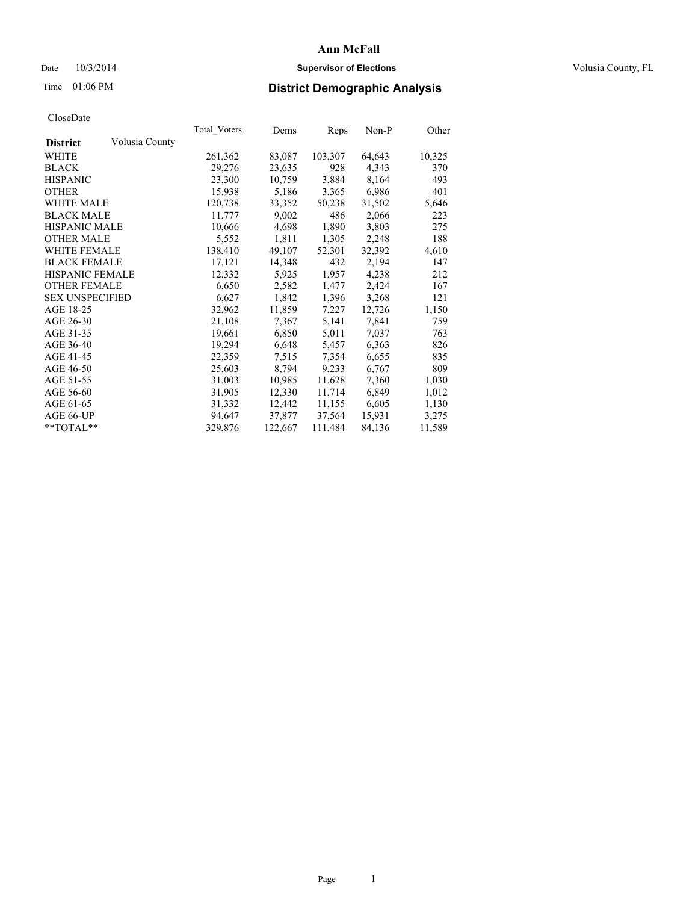## Date  $10/3/2014$  **Supervisor of Elections Supervisor of Elections** Volusia County, FL

# Time 01:06 PM **District Demographic Analysis**

| <b>Total Voters</b> | Dems    | <b>Reps</b> | Non-P  | Other  |
|---------------------|---------|-------------|--------|--------|
|                     |         |             |        |        |
| 261,362             | 83,087  | 103,307     | 64,643 | 10,325 |
| 29,276              | 23,635  | 928         | 4,343  | 370    |
| 23,300              | 10,759  | 3,884       | 8,164  | 493    |
| 15,938              | 5,186   | 3,365       | 6,986  | 401    |
| 120,738             | 33,352  | 50,238      | 31,502 | 5,646  |
| 11,777              | 9,002   | 486         | 2,066  | 223    |
| 10,666              | 4,698   | 1,890       | 3,803  | 275    |
| 5,552               | 1,811   | 1,305       | 2,248  | 188    |
| 138,410             | 49,107  | 52,301      | 32,392 | 4,610  |
| 17,121              | 14,348  | 432         | 2,194  | 147    |
| 12,332              | 5,925   | 1,957       | 4,238  | 212    |
| 6,650               | 2,582   | 1,477       | 2,424  | 167    |
| 6,627               | 1,842   | 1,396       | 3,268  | 121    |
| 32,962              | 11,859  | 7,227       | 12,726 | 1,150  |
| 21,108              | 7,367   | 5,141       | 7,841  | 759    |
| 19,661              | 6,850   | 5,011       | 7,037  | 763    |
| 19,294              | 6,648   | 5,457       | 6,363  | 826    |
| 22,359              | 7.515   | 7,354       | 6,655  | 835    |
| 25,603              | 8,794   | 9,233       | 6,767  | 809    |
| 31,003              | 10,985  | 11,628      | 7,360  | 1,030  |
| 31,905              | 12,330  | 11,714      | 6,849  | 1,012  |
| 31,332              | 12,442  | 11,155      | 6,605  | 1,130  |
| 94,647              | 37,877  | 37,564      | 15,931 | 3,275  |
| 329,876             | 122,667 | 111,484     | 84,136 | 11,589 |
|                     |         |             |        |        |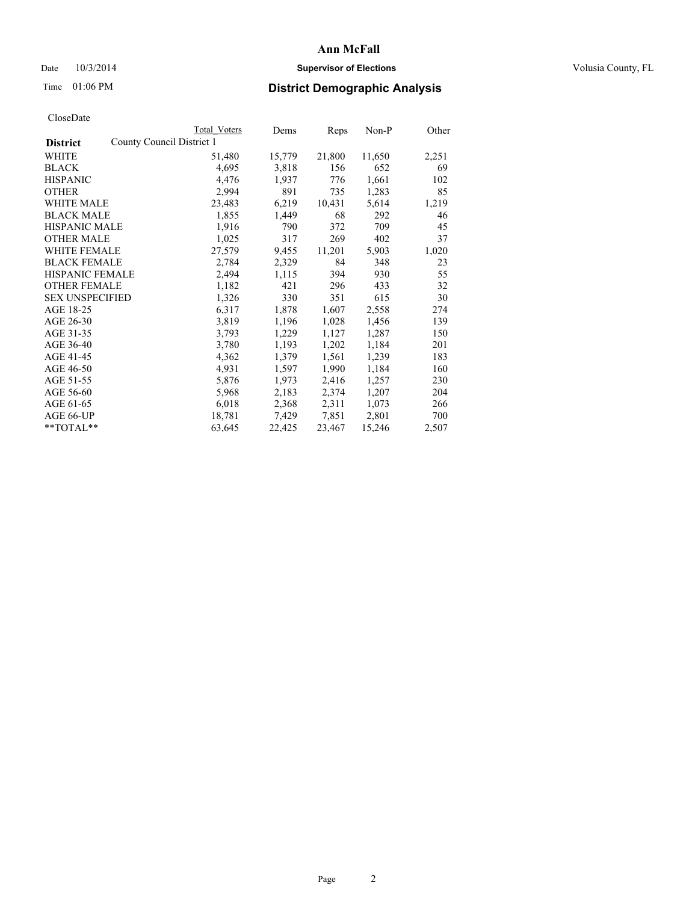## Date  $10/3/2014$  **Supervisor of Elections Supervisor of Elections** Volusia County, FL

# Time 01:06 PM **District Demographic Analysis**

|                                              | Total Voters | Dems   | Reps   | Non-P  | Other |
|----------------------------------------------|--------------|--------|--------|--------|-------|
| County Council District 1<br><b>District</b> |              |        |        |        |       |
| WHITE                                        | 51,480       | 15,779 | 21,800 | 11,650 | 2,251 |
| <b>BLACK</b>                                 | 4,695        | 3,818  | 156    | 652    | 69    |
| <b>HISPANIC</b>                              | 4,476        | 1,937  | 776    | 1,661  | 102   |
| <b>OTHER</b>                                 | 2,994        | 891    | 735    | 1,283  | 85    |
| <b>WHITE MALE</b>                            | 23,483       | 6,219  | 10,431 | 5,614  | 1,219 |
| <b>BLACK MALE</b>                            | 1,855        | 1,449  | 68     | 292    | 46    |
| <b>HISPANIC MALE</b>                         | 1,916        | 790    | 372    | 709    | 45    |
| <b>OTHER MALE</b>                            | 1,025        | 317    | 269    | 402    | 37    |
| WHITE FEMALE                                 | 27,579       | 9,455  | 11,201 | 5,903  | 1,020 |
| <b>BLACK FEMALE</b>                          | 2,784        | 2,329  | 84     | 348    | 23    |
| HISPANIC FEMALE                              | 2,494        | 1,115  | 394    | 930    | 55    |
| <b>OTHER FEMALE</b>                          | 1,182        | 421    | 296    | 433    | 32    |
| <b>SEX UNSPECIFIED</b>                       | 1,326        | 330    | 351    | 615    | 30    |
| AGE 18-25                                    | 6,317        | 1,878  | 1,607  | 2,558  | 274   |
| AGE 26-30                                    | 3,819        | 1,196  | 1,028  | 1,456  | 139   |
| AGE 31-35                                    | 3,793        | 1,229  | 1,127  | 1,287  | 150   |
| AGE 36-40                                    | 3,780        | 1,193  | 1,202  | 1,184  | 201   |
| AGE 41-45                                    | 4,362        | 1,379  | 1,561  | 1,239  | 183   |
| AGE 46-50                                    | 4,931        | 1,597  | 1,990  | 1,184  | 160   |
| AGE 51-55                                    | 5,876        | 1,973  | 2,416  | 1,257  | 230   |
| AGE 56-60                                    | 5,968        | 2,183  | 2,374  | 1,207  | 204   |
| AGE 61-65                                    | 6,018        | 2,368  | 2,311  | 1,073  | 266   |
| AGE 66-UP                                    | 18,781       | 7,429  | 7,851  | 2,801  | 700   |
| $*$ TOTAL $*$                                | 63,645       | 22,425 | 23,467 | 15,246 | 2,507 |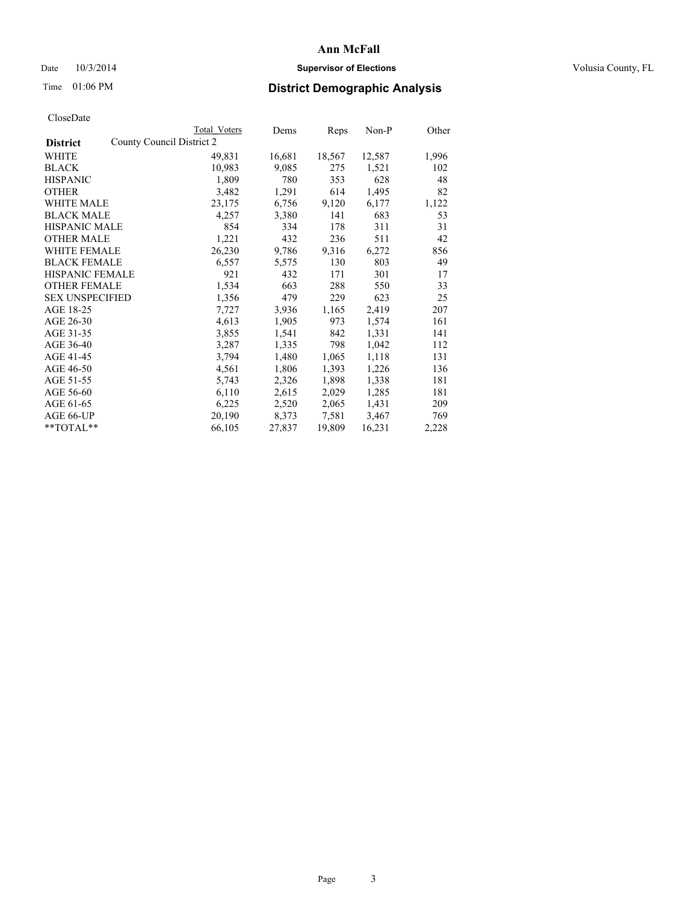## Date  $10/3/2014$  **Supervisor of Elections Supervisor of Elections** Volusia County, FL

# Time 01:06 PM **District Demographic Analysis**

|                                              | Total Voters | Dems   | Reps   | Non-P  | Other |
|----------------------------------------------|--------------|--------|--------|--------|-------|
| County Council District 2<br><b>District</b> |              |        |        |        |       |
| WHITE                                        | 49,831       | 16,681 | 18,567 | 12,587 | 1,996 |
| <b>BLACK</b>                                 | 10,983       | 9,085  | 275    | 1,521  | 102   |
| <b>HISPANIC</b>                              | 1,809        | 780    | 353    | 628    | 48    |
| <b>OTHER</b>                                 | 3,482        | 1,291  | 614    | 1,495  | 82    |
| WHITE MALE                                   | 23,175       | 6,756  | 9,120  | 6,177  | 1,122 |
| <b>BLACK MALE</b>                            | 4,257        | 3,380  | 141    | 683    | 53    |
| <b>HISPANIC MALE</b>                         | 854          | 334    | 178    | 311    | 31    |
| <b>OTHER MALE</b>                            | 1,221        | 432    | 236    | 511    | 42    |
| WHITE FEMALE                                 | 26,230       | 9,786  | 9,316  | 6,272  | 856   |
| <b>BLACK FEMALE</b>                          | 6,557        | 5,575  | 130    | 803    | 49    |
| HISPANIC FEMALE                              | 921          | 432    | 171    | 301    | 17    |
| <b>OTHER FEMALE</b>                          | 1,534        | 663    | 288    | 550    | 33    |
| <b>SEX UNSPECIFIED</b>                       | 1,356        | 479    | 229    | 623    | 25    |
| AGE 18-25                                    | 7,727        | 3,936  | 1,165  | 2,419  | 207   |
| AGE 26-30                                    | 4,613        | 1,905  | 973    | 1,574  | 161   |
| AGE 31-35                                    | 3,855        | 1,541  | 842    | 1,331  | 141   |
| AGE 36-40                                    | 3,287        | 1,335  | 798    | 1,042  | 112   |
| AGE 41-45                                    | 3,794        | 1,480  | 1,065  | 1,118  | 131   |
| AGE 46-50                                    | 4,561        | 1,806  | 1,393  | 1,226  | 136   |
| AGE 51-55                                    | 5,743        | 2,326  | 1,898  | 1,338  | 181   |
| AGE 56-60                                    | 6,110        | 2,615  | 2,029  | 1,285  | 181   |
| AGE 61-65                                    | 6,225        | 2,520  | 2,065  | 1,431  | 209   |
| AGE 66-UP                                    | 20,190       | 8,373  | 7,581  | 3,467  | 769   |
| $*$ $TOTAI.**$                               | 66,105       | 27,837 | 19,809 | 16,231 | 2,228 |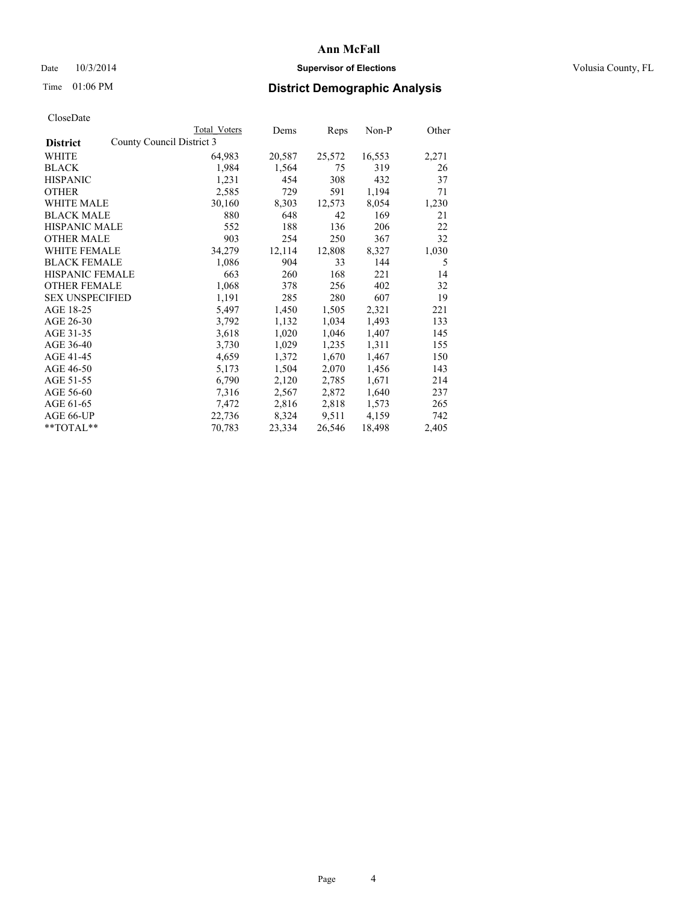## Date  $10/3/2014$  **Supervisor of Elections Supervisor of Elections** Volusia County, FL

# Time 01:06 PM **District Demographic Analysis**

|                                              | <b>Total Voters</b> | Dems   | <u>Reps</u> | $Non-P$ | Other |
|----------------------------------------------|---------------------|--------|-------------|---------|-------|
| County Council District 3<br><b>District</b> |                     |        |             |         |       |
| WHITE                                        | 64,983              | 20,587 | 25,572      | 16,553  | 2,271 |
| <b>BLACK</b>                                 | 1,984               | 1,564  | 75          | 319     | 26    |
| <b>HISPANIC</b>                              | 1,231               | 454    | 308         | 432     | 37    |
| <b>OTHER</b>                                 | 2,585               | 729    | 591         | 1,194   | 71    |
| WHITE MALE                                   | 30,160              | 8,303  | 12,573      | 8,054   | 1,230 |
| <b>BLACK MALE</b>                            | 880                 | 648    | 42          | 169     | 21    |
| <b>HISPANIC MALE</b>                         | 552                 | 188    | 136         | 206     | 22    |
| <b>OTHER MALE</b>                            | 903                 | 254    | 250         | 367     | 32    |
| <b>WHITE FEMALE</b>                          | 34,279              | 12,114 | 12,808      | 8,327   | 1,030 |
| <b>BLACK FEMALE</b>                          | 1,086               | 904    | 33          | 144     | 5     |
| <b>HISPANIC FEMALE</b>                       | 663                 | 260    | 168         | 221     | 14    |
| <b>OTHER FEMALE</b>                          | 1,068               | 378    | 256         | 402     | 32    |
| <b>SEX UNSPECIFIED</b>                       | 1,191               | 285    | 280         | 607     | 19    |
| AGE 18-25                                    | 5,497               | 1,450  | 1,505       | 2,321   | 221   |
| AGE 26-30                                    | 3,792               | 1,132  | 1,034       | 1,493   | 133   |
| AGE 31-35                                    | 3,618               | 1,020  | 1,046       | 1,407   | 145   |
| AGE 36-40                                    | 3,730               | 1,029  | 1,235       | 1,311   | 155   |
| AGE 41-45                                    | 4,659               | 1,372  | 1,670       | 1,467   | 150   |
| AGE 46-50                                    | 5,173               | 1,504  | 2,070       | 1,456   | 143   |
| AGE 51-55                                    | 6,790               | 2,120  | 2,785       | 1,671   | 214   |
| AGE 56-60                                    | 7,316               | 2,567  | 2,872       | 1,640   | 237   |
| AGE 61-65                                    | 7,472               | 2,816  | 2,818       | 1,573   | 265   |
| AGE 66-UP                                    | 22,736              | 8,324  | 9,511       | 4,159   | 742   |
| $*$ $TOTAI.**$                               | 70,783              | 23,334 | 26,546      | 18,498  | 2,405 |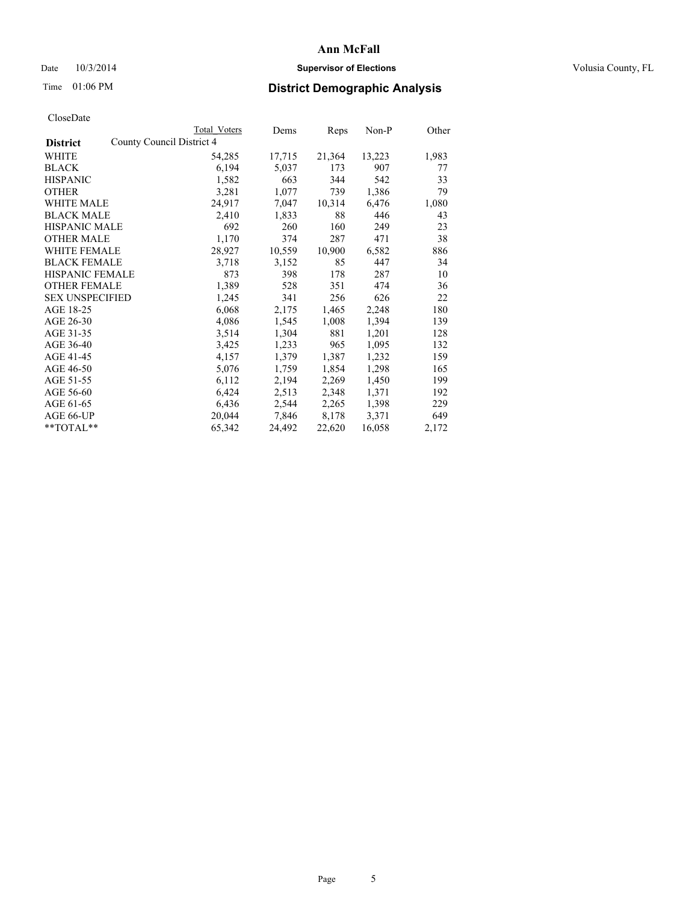## Date  $10/3/2014$  **Supervisor of Elections Supervisor of Elections** Volusia County, FL

# Time 01:06 PM **District Demographic Analysis**

|                                              | Total Voters | Dems   | Reps   | Non-P  | Other |
|----------------------------------------------|--------------|--------|--------|--------|-------|
| County Council District 4<br><b>District</b> |              |        |        |        |       |
| WHITE                                        | 54,285       | 17,715 | 21,364 | 13,223 | 1,983 |
| <b>BLACK</b>                                 | 6,194        | 5,037  | 173    | 907    | 77    |
| <b>HISPANIC</b>                              | 1,582        | 663    | 344    | 542    | 33    |
| <b>OTHER</b>                                 | 3,281        | 1,077  | 739    | 1,386  | 79    |
| WHITE MALE                                   | 24,917       | 7,047  | 10,314 | 6,476  | 1,080 |
| <b>BLACK MALE</b>                            | 2,410        | 1,833  | 88     | 446    | 43    |
| <b>HISPANIC MALE</b>                         | 692          | 260    | 160    | 249    | 23    |
| <b>OTHER MALE</b>                            | 1,170        | 374    | 287    | 471    | 38    |
| WHITE FEMALE                                 | 28,927       | 10,559 | 10,900 | 6,582  | 886   |
| <b>BLACK FEMALE</b>                          | 3,718        | 3,152  | 85     | 447    | 34    |
| HISPANIC FEMALE                              | 873          | 398    | 178    | 287    | 10    |
| <b>OTHER FEMALE</b>                          | 1,389        | 528    | 351    | 474    | 36    |
| <b>SEX UNSPECIFIED</b>                       | 1,245        | 341    | 256    | 626    | 22    |
| AGE 18-25                                    | 6,068        | 2,175  | 1,465  | 2,248  | 180   |
| AGE 26-30                                    | 4,086        | 1,545  | 1,008  | 1,394  | 139   |
| AGE 31-35                                    | 3,514        | 1,304  | 881    | 1,201  | 128   |
| AGE 36-40                                    | 3,425        | 1,233  | 965    | 1,095  | 132   |
| AGE 41-45                                    | 4,157        | 1,379  | 1,387  | 1,232  | 159   |
| AGE 46-50                                    | 5,076        | 1,759  | 1,854  | 1,298  | 165   |
| AGE 51-55                                    | 6,112        | 2,194  | 2,269  | 1,450  | 199   |
| AGE 56-60                                    | 6,424        | 2,513  | 2,348  | 1,371  | 192   |
| AGE 61-65                                    | 6,436        | 2,544  | 2,265  | 1,398  | 229   |
| AGE 66-UP                                    | 20,044       | 7,846  | 8,178  | 3,371  | 649   |
| **TOTAL**                                    | 65,342       | 24,492 | 22,620 | 16,058 | 2,172 |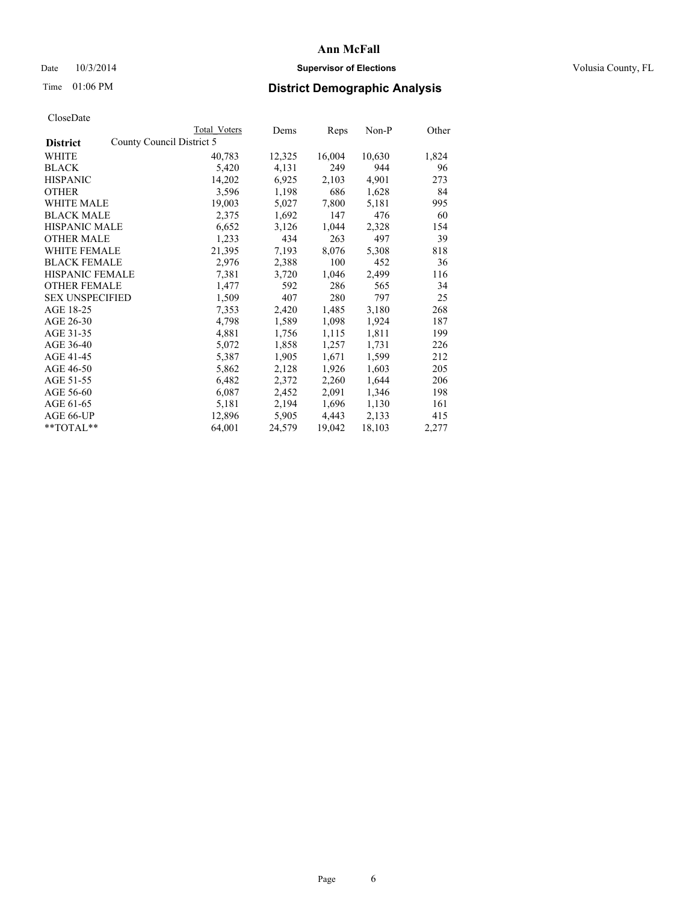## Date  $10/3/2014$  **Supervisor of Elections Supervisor of Elections** Volusia County, FL

# Time 01:06 PM **District Demographic Analysis**

| CloseDate |
|-----------|
|-----------|

|                        | <b>Total Voters</b>       | Dems   | Reps   | Non-P  | Other |
|------------------------|---------------------------|--------|--------|--------|-------|
| <b>District</b>        | County Council District 5 |        |        |        |       |
| WHITE                  | 40,783                    | 12,325 | 16,004 | 10,630 | 1,824 |
| <b>BLACK</b>           | 5,420                     | 4,131  | 249    | 944    | 96    |
| <b>HISPANIC</b>        | 14,202                    | 6,925  | 2,103  | 4,901  | 273   |
| <b>OTHER</b>           | 3,596                     | 1,198  | 686    | 1,628  | 84    |
| WHITE MALE             | 19,003                    | 5,027  | 7,800  | 5,181  | 995   |
| <b>BLACK MALE</b>      | 2,375                     | 1,692  | 147    | 476    | 60    |
| <b>HISPANIC MALE</b>   | 6,652                     | 3,126  | 1,044  | 2,328  | 154   |
| <b>OTHER MALE</b>      | 1,233                     | 434    | 263    | 497    | 39    |
| WHITE FEMALE           | 21,395                    | 7,193  | 8,076  | 5,308  | 818   |
| <b>BLACK FEMALE</b>    | 2,976                     | 2,388  | 100    | 452    | 36    |
| HISPANIC FEMALE        | 7,381                     | 3,720  | 1,046  | 2,499  | 116   |
| <b>OTHER FEMALE</b>    | 1,477                     | 592    | 286    | 565    | 34    |
| <b>SEX UNSPECIFIED</b> | 1,509                     | 407    | 280    | 797    | 25    |
| AGE 18-25              | 7,353                     | 2,420  | 1,485  | 3,180  | 268   |
| AGE 26-30              | 4,798                     | 1,589  | 1,098  | 1,924  | 187   |
| AGE 31-35              | 4,881                     | 1,756  | 1,115  | 1,811  | 199   |
| AGE 36-40              | 5,072                     | 1,858  | 1,257  | 1,731  | 226   |
| AGE 41-45              | 5,387                     | 1,905  | 1,671  | 1,599  | 212   |
| AGE 46-50              | 5,862                     | 2,128  | 1,926  | 1,603  | 205   |
| AGE 51-55              | 6,482                     | 2,372  | 2,260  | 1,644  | 206   |
| AGE 56-60              | 6,087                     | 2,452  | 2,091  | 1,346  | 198   |
| AGE 61-65              | 5,181                     | 2,194  | 1,696  | 1,130  | 161   |
| AGE 66-UP              | 12,896                    | 5,905  | 4,443  | 2,133  | 415   |
| $*$ TOTAL $*$          | 64,001                    | 24,579 | 19,042 | 18,103 | 2,277 |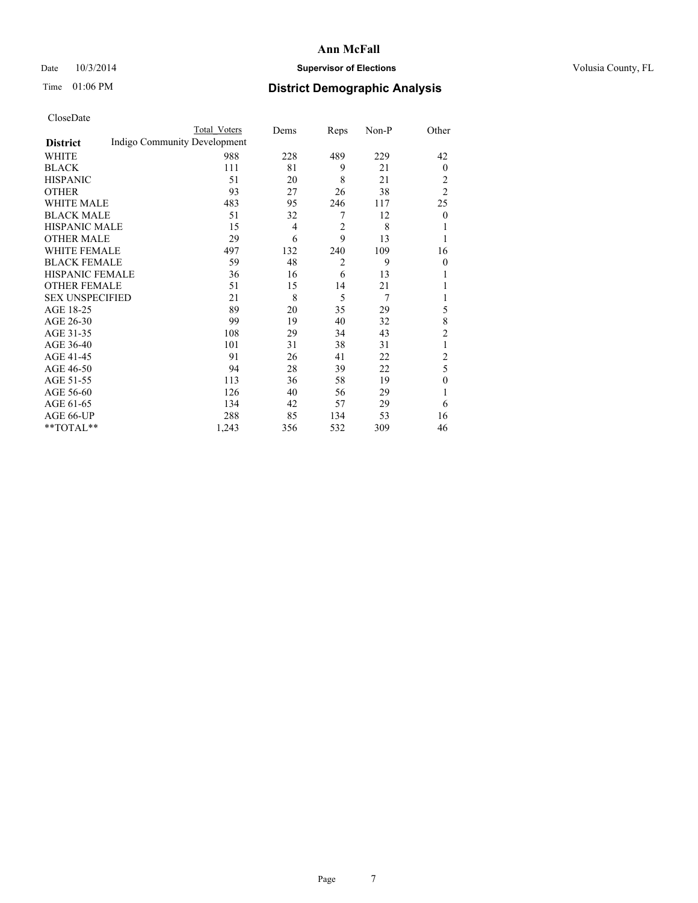## Date  $10/3/2014$  **Supervisor of Elections Supervisor of Elections** Volusia County, FL

# Time 01:06 PM **District Demographic Analysis**

|                        |                              | <b>Total Voters</b> | Dems | Reps           | Non-P | Other          |
|------------------------|------------------------------|---------------------|------|----------------|-------|----------------|
| <b>District</b>        | Indigo Community Development |                     |      |                |       |                |
| WHITE                  |                              | 988                 | 228  | 489            | 229   | 42             |
| <b>BLACK</b>           |                              | 111                 | 81   | 9              | 21    | $\mathbf{0}$   |
| <b>HISPANIC</b>        |                              | 51                  | 20   | 8              | 21    | 2              |
| <b>OTHER</b>           |                              | 93                  | 27   | 26             | 38    | $\overline{2}$ |
| <b>WHITE MALE</b>      |                              | 483                 | 95   | 246            | 117   | 25             |
| <b>BLACK MALE</b>      |                              | 51                  | 32   | 7              | 12    | $\overline{0}$ |
| <b>HISPANIC MALE</b>   |                              | 15                  | 4    | $\overline{2}$ | 8     |                |
| <b>OTHER MALE</b>      |                              | 29                  | 6    | 9              | 13    | 1              |
| <b>WHITE FEMALE</b>    |                              | 497                 | 132  | 240            | 109   | 16             |
| <b>BLACK FEMALE</b>    |                              | 59                  | 48   | $\overline{2}$ | 9     | $\theta$       |
| <b>HISPANIC FEMALE</b> |                              | 36                  | 16   | 6              | 13    |                |
| <b>OTHER FEMALE</b>    |                              | 51                  | 15   | 14             | 21    |                |
| <b>SEX UNSPECIFIED</b> |                              | 21                  | 8    | 5              | 7     |                |
| AGE 18-25              |                              | 89                  | 20   | 35             | 29    | 5              |
| AGE 26-30              |                              | 99                  | 19   | 40             | 32    | 8              |
| AGE 31-35              |                              | 108                 | 29   | 34             | 43    | $\overline{c}$ |
| AGE 36-40              |                              | 101                 | 31   | 38             | 31    | 1              |
| AGE 41-45              |                              | 91                  | 26   | 41             | 22    | $\overline{c}$ |
| AGE 46-50              |                              | 94                  | 28   | 39             | 22    | 5              |
| AGE 51-55              |                              | 113                 | 36   | 58             | 19    | $\mathbf{0}$   |
| AGE 56-60              |                              | 126                 | 40   | 56             | 29    |                |
| AGE 61-65              |                              | 134                 | 42   | 57             | 29    | 6              |
| AGE 66-UP              |                              | 288                 | 85   | 134            | 53    | 16             |
| **TOTAL**              |                              | 1,243               | 356  | 532            | 309   | 46             |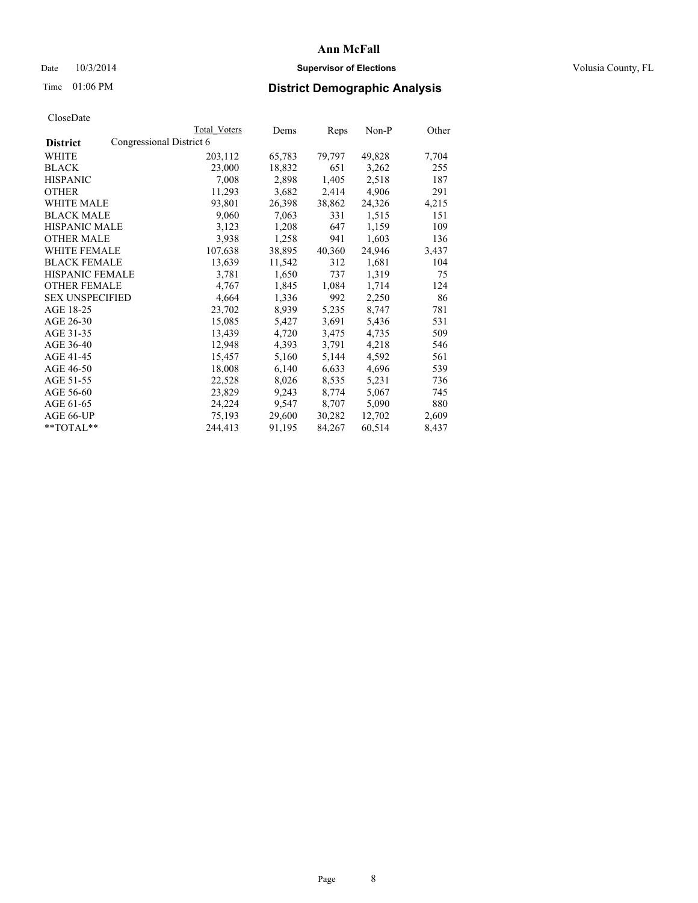## Date  $10/3/2014$  **Supervisor of Elections Supervisor of Elections** Volusia County, FL

# Time 01:06 PM **District Demographic Analysis**

|                        |                          | <b>Total Voters</b> | Dems   | Reps   | Non-P  | Other |
|------------------------|--------------------------|---------------------|--------|--------|--------|-------|
| <b>District</b>        | Congressional District 6 |                     |        |        |        |       |
| WHITE                  |                          | 203,112             | 65,783 | 79,797 | 49,828 | 7,704 |
| <b>BLACK</b>           |                          | 23,000              | 18,832 | 651    | 3,262  | 255   |
| <b>HISPANIC</b>        |                          | 7,008               | 2,898  | 1,405  | 2,518  | 187   |
| <b>OTHER</b>           |                          | 11,293              | 3,682  | 2,414  | 4,906  | 291   |
| WHITE MALE             |                          | 93,801              | 26,398 | 38,862 | 24,326 | 4,215 |
| <b>BLACK MALE</b>      |                          | 9,060               | 7,063  | 331    | 1,515  | 151   |
| <b>HISPANIC MALE</b>   |                          | 3,123               | 1,208  | 647    | 1,159  | 109   |
| <b>OTHER MALE</b>      |                          | 3,938               | 1,258  | 941    | 1,603  | 136   |
| <b>WHITE FEMALE</b>    |                          | 107,638             | 38,895 | 40,360 | 24,946 | 3,437 |
| <b>BLACK FEMALE</b>    |                          | 13,639              | 11,542 | 312    | 1,681  | 104   |
| <b>HISPANIC FEMALE</b> |                          | 3,781               | 1,650  | 737    | 1,319  | 75    |
| <b>OTHER FEMALE</b>    |                          | 4,767               | 1,845  | 1,084  | 1,714  | 124   |
| <b>SEX UNSPECIFIED</b> |                          | 4,664               | 1,336  | 992    | 2,250  | 86    |
| AGE 18-25              |                          | 23,702              | 8,939  | 5,235  | 8,747  | 781   |
| AGE 26-30              |                          | 15,085              | 5,427  | 3,691  | 5,436  | 531   |
| AGE 31-35              |                          | 13,439              | 4,720  | 3,475  | 4,735  | 509   |
| AGE 36-40              |                          | 12,948              | 4,393  | 3,791  | 4,218  | 546   |
| AGE 41-45              |                          | 15,457              | 5,160  | 5,144  | 4,592  | 561   |
| AGE 46-50              |                          | 18,008              | 6,140  | 6,633  | 4,696  | 539   |
| AGE 51-55              |                          | 22,528              | 8,026  | 8,535  | 5,231  | 736   |
| AGE 56-60              |                          | 23,829              | 9,243  | 8,774  | 5,067  | 745   |
| AGE 61-65              |                          | 24,224              | 9,547  | 8,707  | 5,090  | 880   |
| AGE 66-UP              |                          | 75,193              | 29,600 | 30,282 | 12,702 | 2,609 |
| $*$ TOTAL $*$          |                          | 244,413             | 91,195 | 84,267 | 60,514 | 8,437 |
|                        |                          |                     |        |        |        |       |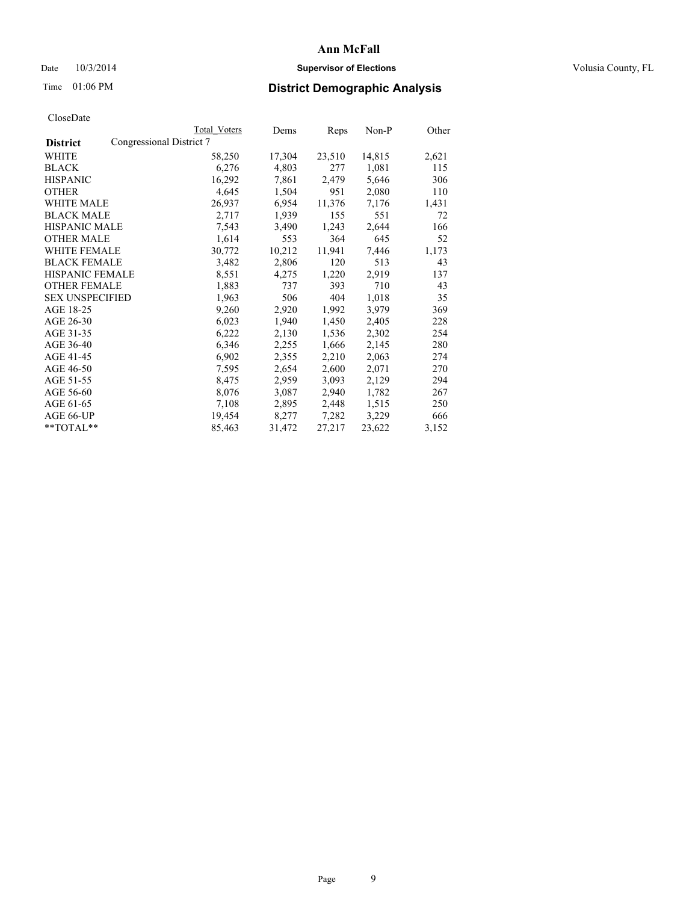## Date  $10/3/2014$  **Supervisor of Elections Supervisor of Elections** Volusia County, FL

# Time 01:06 PM **District Demographic Analysis**

|                                             | Total Voters | Dems   | Reps   | $Non-P$ | Other |
|---------------------------------------------|--------------|--------|--------|---------|-------|
| Congressional District 7<br><b>District</b> |              |        |        |         |       |
| <b>WHITE</b>                                | 58,250       | 17,304 | 23,510 | 14,815  | 2,621 |
| <b>BLACK</b>                                | 6,276        | 4,803  | 277    | 1,081   | 115   |
| <b>HISPANIC</b>                             | 16,292       | 7,861  | 2,479  | 5,646   | 306   |
| <b>OTHER</b>                                | 4,645        | 1,504  | 951    | 2,080   | 110   |
| WHITE MALE                                  | 26,937       | 6,954  | 11,376 | 7,176   | 1,431 |
| <b>BLACK MALE</b>                           | 2,717        | 1,939  | 155    | 551     | 72    |
| <b>HISPANIC MALE</b>                        | 7,543        | 3,490  | 1,243  | 2,644   | 166   |
| <b>OTHER MALE</b>                           | 1,614        | 553    | 364    | 645     | 52    |
| <b>WHITE FEMALE</b>                         | 30,772       | 10,212 | 11,941 | 7,446   | 1,173 |
| <b>BLACK FEMALE</b>                         | 3,482        | 2,806  | 120    | 513     | 43    |
| HISPANIC FEMALE                             | 8,551        | 4,275  | 1,220  | 2,919   | 137   |
| <b>OTHER FEMALE</b>                         | 1,883        | 737    | 393    | 710     | 43    |
| <b>SEX UNSPECIFIED</b>                      | 1,963        | 506    | 404    | 1,018   | 35    |
| AGE 18-25                                   | 9,260        | 2,920  | 1,992  | 3,979   | 369   |
| AGE 26-30                                   | 6,023        | 1,940  | 1,450  | 2,405   | 228   |
| AGE 31-35                                   | 6,222        | 2,130  | 1,536  | 2,302   | 254   |
| AGE 36-40                                   | 6,346        | 2,255  | 1,666  | 2,145   | 280   |
| AGE 41-45                                   | 6,902        | 2,355  | 2,210  | 2,063   | 274   |
| AGE 46-50                                   | 7,595        | 2,654  | 2,600  | 2,071   | 270   |
| AGE 51-55                                   | 8,475        | 2,959  | 3,093  | 2,129   | 294   |
| AGE 56-60                                   | 8,076        | 3,087  | 2,940  | 1,782   | 267   |
| AGE 61-65                                   | 7,108        | 2,895  | 2,448  | 1,515   | 250   |
| AGE 66-UP                                   | 19,454       | 8,277  | 7,282  | 3,229   | 666   |
| $*$ TOTAL $*$                               | 85,463       | 31,472 | 27,217 | 23,622  | 3,152 |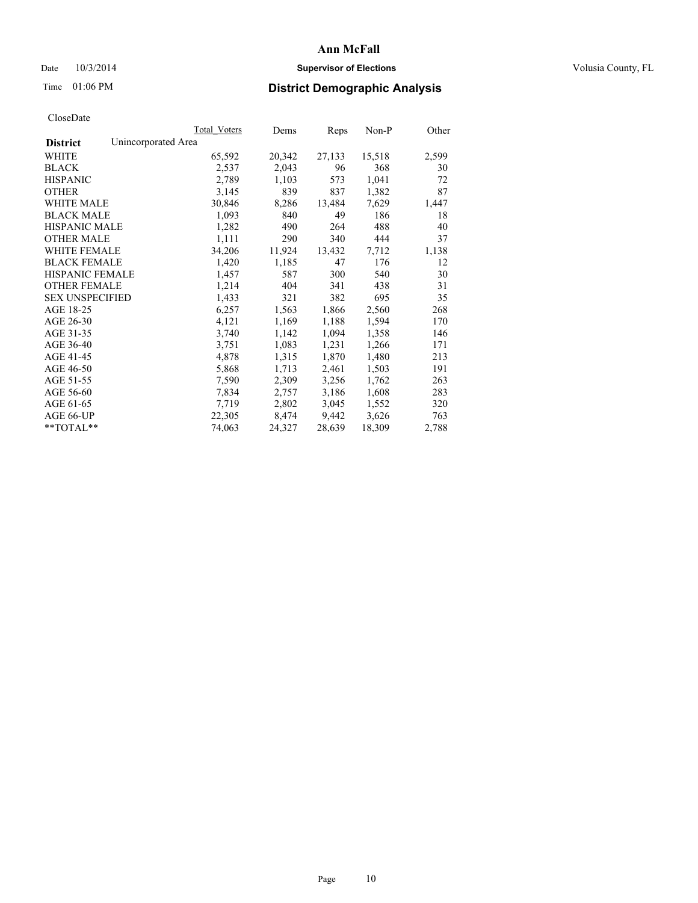## Date  $10/3/2014$  **Supervisor of Elections Supervisor of Elections** Volusia County, FL

# Time 01:06 PM **District Demographic Analysis**

|                        |                     | Total Voters | Dems   | Reps   | Non-P  | Other |
|------------------------|---------------------|--------------|--------|--------|--------|-------|
| <b>District</b>        | Unincorporated Area |              |        |        |        |       |
| WHITE                  |                     | 65,592       | 20,342 | 27,133 | 15,518 | 2,599 |
| <b>BLACK</b>           |                     | 2,537        | 2,043  | 96     | 368    | 30    |
| <b>HISPANIC</b>        |                     | 2,789        | 1,103  | 573    | 1,041  | 72    |
| <b>OTHER</b>           |                     | 3,145        | 839    | 837    | 1,382  | 87    |
| WHITE MALE             |                     | 30,846       | 8,286  | 13,484 | 7,629  | 1,447 |
| <b>BLACK MALE</b>      |                     | 1,093        | 840    | 49     | 186    | 18    |
| <b>HISPANIC MALE</b>   |                     | 1,282        | 490    | 264    | 488    | 40    |
| <b>OTHER MALE</b>      |                     | 1,111        | 290    | 340    | 444    | 37    |
| WHITE FEMALE           |                     | 34,206       | 11,924 | 13,432 | 7,712  | 1,138 |
| <b>BLACK FEMALE</b>    |                     | 1,420        | 1,185  | 47     | 176    | 12    |
| HISPANIC FEMALE        |                     | 1,457        | 587    | 300    | 540    | 30    |
| <b>OTHER FEMALE</b>    |                     | 1,214        | 404    | 341    | 438    | 31    |
| <b>SEX UNSPECIFIED</b> |                     | 1,433        | 321    | 382    | 695    | 35    |
| AGE 18-25              |                     | 6,257        | 1,563  | 1,866  | 2,560  | 268   |
| AGE 26-30              |                     | 4,121        | 1,169  | 1,188  | 1,594  | 170   |
| AGE 31-35              |                     | 3,740        | 1,142  | 1,094  | 1,358  | 146   |
| AGE 36-40              |                     | 3,751        | 1,083  | 1,231  | 1,266  | 171   |
| AGE 41-45              |                     | 4,878        | 1,315  | 1,870  | 1,480  | 213   |
| AGE 46-50              |                     | 5,868        | 1,713  | 2,461  | 1,503  | 191   |
| AGE 51-55              |                     | 7,590        | 2,309  | 3,256  | 1,762  | 263   |
| AGE 56-60              |                     | 7,834        | 2,757  | 3,186  | 1,608  | 283   |
| AGE 61-65              |                     | 7,719        | 2,802  | 3,045  | 1,552  | 320   |
| AGE 66-UP              |                     | 22,305       | 8,474  | 9,442  | 3,626  | 763   |
| **TOTAL**              |                     | 74,063       | 24,327 | 28,639 | 18,309 | 2,788 |
|                        |                     |              |        |        |        |       |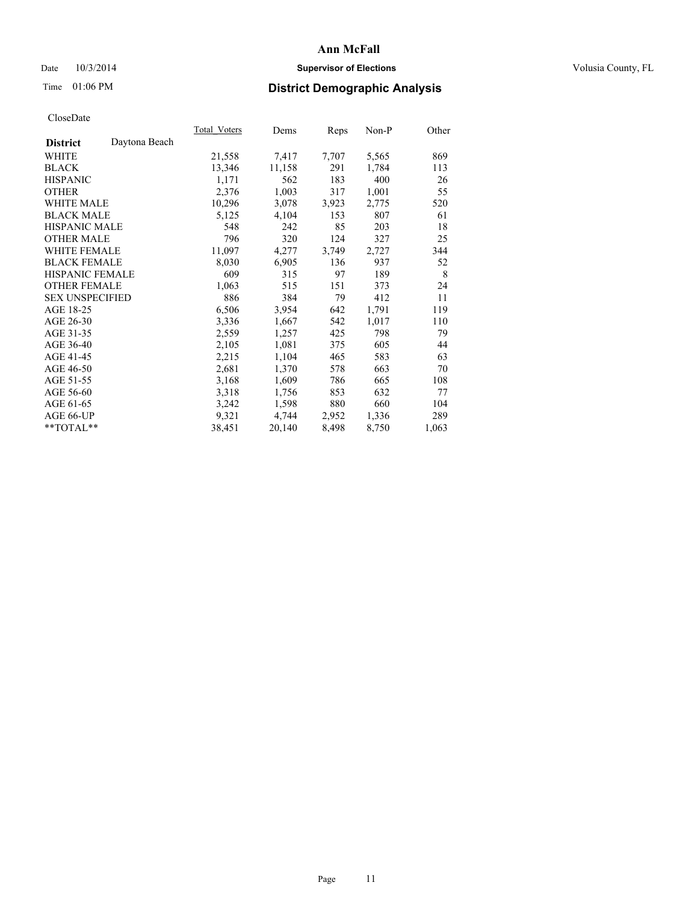## Date  $10/3/2014$  **Supervisor of Elections Supervisor of Elections** Volusia County, FL

# Time 01:06 PM **District Demographic Analysis**

|                        |               | Total Voters | Dems   | Reps  | Non-P | Other |
|------------------------|---------------|--------------|--------|-------|-------|-------|
| <b>District</b>        | Daytona Beach |              |        |       |       |       |
| WHITE                  |               | 21,558       | 7,417  | 7,707 | 5,565 | 869   |
| <b>BLACK</b>           |               | 13,346       | 11,158 | 291   | 1,784 | 113   |
| <b>HISPANIC</b>        |               | 1,171        | 562    | 183   | 400   | 26    |
| <b>OTHER</b>           |               | 2,376        | 1,003  | 317   | 1,001 | 55    |
| WHITE MALE             |               | 10,296       | 3,078  | 3,923 | 2,775 | 520   |
| <b>BLACK MALE</b>      |               | 5,125        | 4,104  | 153   | 807   | 61    |
| <b>HISPANIC MALE</b>   |               | 548          | 242    | 85    | 203   | 18    |
| <b>OTHER MALE</b>      |               | 796          | 320    | 124   | 327   | 25    |
| <b>WHITE FEMALE</b>    |               | 11,097       | 4,277  | 3,749 | 2,727 | 344   |
| <b>BLACK FEMALE</b>    |               | 8,030        | 6,905  | 136   | 937   | 52    |
| <b>HISPANIC FEMALE</b> |               | 609          | 315    | 97    | 189   | 8     |
| <b>OTHER FEMALE</b>    |               | 1,063        | 515    | 151   | 373   | 24    |
| <b>SEX UNSPECIFIED</b> |               | 886          | 384    | 79    | 412   | 11    |
| AGE 18-25              |               | 6,506        | 3,954  | 642   | 1,791 | 119   |
| AGE 26-30              |               | 3,336        | 1,667  | 542   | 1,017 | 110   |
| AGE 31-35              |               | 2,559        | 1,257  | 425   | 798   | 79    |
| AGE 36-40              |               | 2,105        | 1,081  | 375   | 605   | 44    |
| AGE 41-45              |               | 2,215        | 1,104  | 465   | 583   | 63    |
| AGE 46-50              |               | 2,681        | 1,370  | 578   | 663   | 70    |
| AGE 51-55              |               | 3,168        | 1,609  | 786   | 665   | 108   |
| AGE 56-60              |               | 3,318        | 1,756  | 853   | 632   | 77    |
| AGE 61-65              |               | 3,242        | 1,598  | 880   | 660   | 104   |
| AGE 66-UP              |               | 9,321        | 4,744  | 2,952 | 1,336 | 289   |
| **TOTAL**              |               | 38,451       | 20,140 | 8,498 | 8,750 | 1,063 |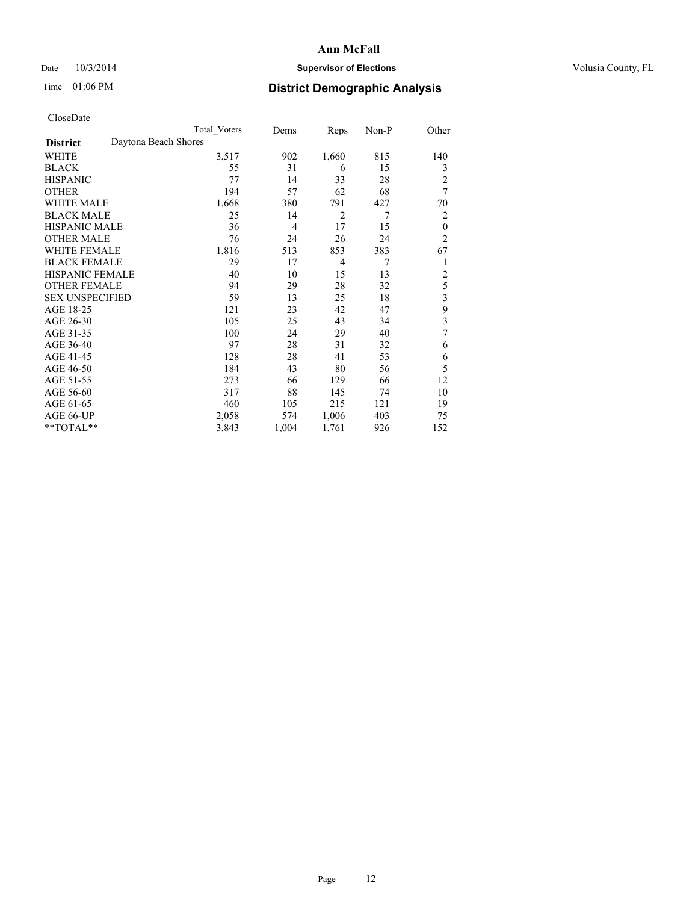## Date  $10/3/2014$  **Supervisor of Elections Supervisor of Elections** Volusia County, FL

# Time 01:06 PM **District Demographic Analysis**

|                                         | Total Voters | Dems           | Reps           | Non-P | Other          |
|-----------------------------------------|--------------|----------------|----------------|-------|----------------|
| Daytona Beach Shores<br><b>District</b> |              |                |                |       |                |
| WHITE                                   | 3,517        | 902            | 1,660          | 815   | 140            |
| <b>BLACK</b>                            | 55           | 31             | 6              | 15    | 3              |
| <b>HISPANIC</b>                         | 77           | 14             | 33             | 28    | $\overline{c}$ |
| <b>OTHER</b>                            | 194          | 57             | 62             | 68    | 7              |
| WHITE MALE                              | 1,668        | 380            | 791            | 427   | 70             |
| <b>BLACK MALE</b>                       | 25           | 14             | $\overline{2}$ | 7     | 2              |
| <b>HISPANIC MALE</b>                    | 36           | $\overline{4}$ | 17             | 15    | $\mathbf{0}$   |
| <b>OTHER MALE</b>                       | 76           | 24             | 26             | 24    | $\overline{2}$ |
| WHITE FEMALE                            | 1,816        | 513            | 853            | 383   | 67             |
| <b>BLACK FEMALE</b>                     | 29           | 17             | $\overline{4}$ | 7     | 1              |
| <b>HISPANIC FEMALE</b>                  | 40           | 10             | 15             | 13    | $\overline{2}$ |
| <b>OTHER FEMALE</b>                     | 94           | 29             | 28             | 32    | 5              |
| <b>SEX UNSPECIFIED</b>                  | 59           | 13             | 25             | 18    | 3              |
| AGE 18-25                               | 121          | 23             | 42             | 47    | 9              |
| AGE 26-30                               | 105          | 25             | 43             | 34    | 3              |
| AGE 31-35                               | 100          | 24             | 29             | 40    | 7              |
| AGE 36-40                               | 97           | 28             | 31             | 32    | 6              |
| AGE 41-45                               | 128          | 28             | 41             | 53    | 6              |
| AGE 46-50                               | 184          | 43             | 80             | 56    | 5              |
| AGE 51-55                               | 273          | 66             | 129            | 66    | 12             |
| AGE 56-60                               | 317          | 88             | 145            | 74    | 10             |
| AGE 61-65                               | 460          | 105            | 215            | 121   | 19             |
| AGE 66-UP                               | 2,058        | 574            | 1,006          | 403   | 75             |
| **TOTAL**                               | 3,843        | 1,004          | 1,761          | 926   | 152            |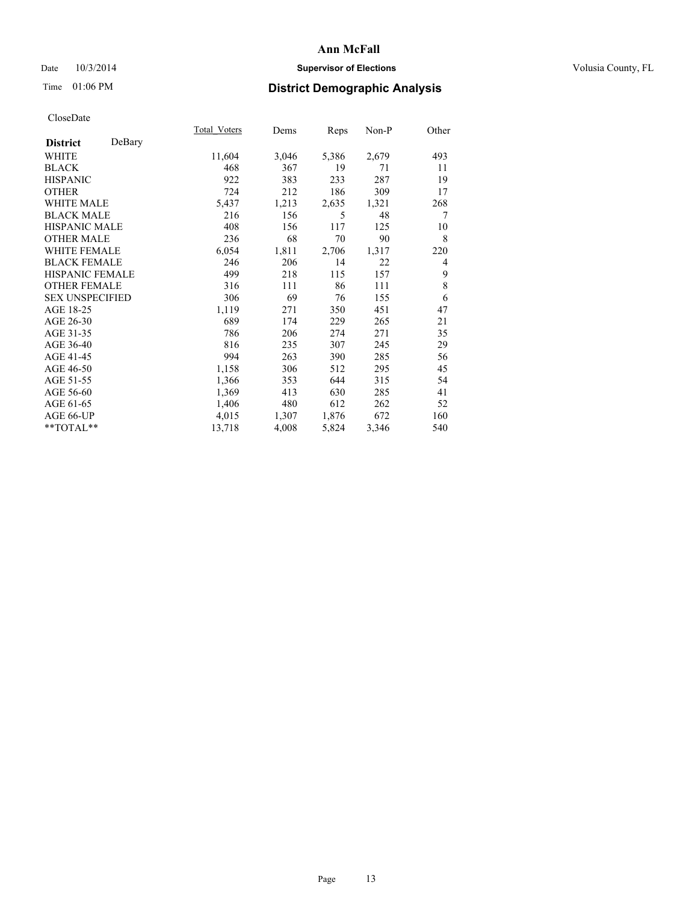## Date  $10/3/2014$  **Supervisor of Elections Supervisor of Elections** Volusia County, FL

# Time 01:06 PM **District Demographic Analysis**

| Total Voters | Dems  | <b>Reps</b> | Non-P | Other          |
|--------------|-------|-------------|-------|----------------|
|              |       |             |       |                |
| 11,604       | 3,046 | 5,386       | 2,679 | 493            |
| 468          | 367   | 19          | 71    | 11             |
| 922          | 383   | 233         | 287   | 19             |
| 724          | 212   | 186         | 309   | 17             |
| 5,437        | 1,213 | 2,635       | 1,321 | 268            |
| 216          | 156   | 5           | 48    | 7              |
| 408          | 156   | 117         | 125   | 10             |
| 236          | 68    | 70          | 90    | 8              |
| 6,054        | 1,811 | 2,706       | 1,317 | 220            |
| 246          | 206   | 14          | 22    | $\overline{4}$ |
| 499          | 218   | 115         | 157   | 9              |
| 316          | 111   | 86          | 111   | 8              |
| 306          | 69    | 76          | 155   | 6              |
| 1,119        | 271   | 350         | 451   | 47             |
| 689          | 174   | 229         | 265   | 21             |
| 786          | 206   | 274         | 271   | 35             |
| 816          | 235   | 307         | 245   | 29             |
| 994          | 263   | 390         | 285   | 56             |
| 1,158        | 306   | 512         | 295   | 45             |
| 1,366        | 353   | 644         | 315   | 54             |
| 1,369        | 413   | 630         | 285   | 41             |
| 1,406        | 480   | 612         | 262   | 52             |
| 4,015        | 1,307 | 1,876       | 672   | 160            |
| 13,718       | 4,008 | 5,824       | 3,346 | 540            |
|              |       |             |       |                |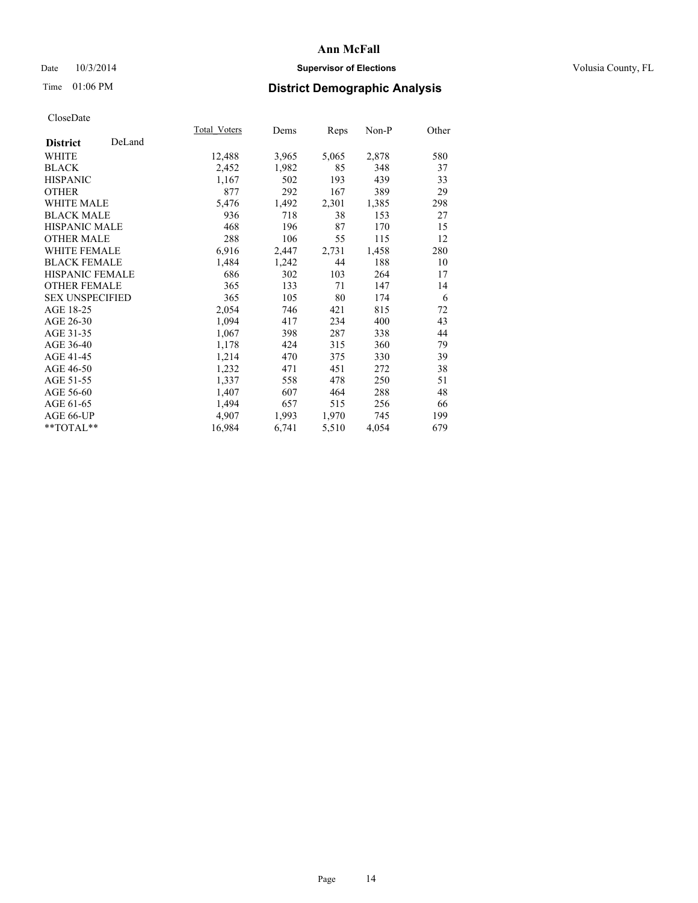## Date  $10/3/2014$  **Supervisor of Elections Supervisor of Elections** Volusia County, FL

# Time 01:06 PM **District Demographic Analysis**

|                        |        | <b>Total Voters</b> | Dems  | <b>Reps</b> | Non-P | Other |
|------------------------|--------|---------------------|-------|-------------|-------|-------|
| <b>District</b>        | DeLand |                     |       |             |       |       |
| WHITE                  |        | 12,488              | 3,965 | 5,065       | 2,878 | 580   |
| <b>BLACK</b>           |        | 2,452               | 1,982 | 85          | 348   | 37    |
| <b>HISPANIC</b>        |        | 1,167               | 502   | 193         | 439   | 33    |
| <b>OTHER</b>           |        | 877                 | 292   | 167         | 389   | 29    |
| WHITE MALE             |        | 5,476               | 1,492 | 2,301       | 1,385 | 298   |
| <b>BLACK MALE</b>      |        | 936                 | 718   | 38          | 153   | 27    |
| <b>HISPANIC MALE</b>   |        | 468                 | 196   | 87          | 170   | 15    |
| <b>OTHER MALE</b>      |        | 288                 | 106   | 55          | 115   | 12    |
| WHITE FEMALE           |        | 6,916               | 2,447 | 2,731       | 1,458 | 280   |
| <b>BLACK FEMALE</b>    |        | 1,484               | 1,242 | 44          | 188   | 10    |
| <b>HISPANIC FEMALE</b> |        | 686                 | 302   | 103         | 264   | 17    |
| <b>OTHER FEMALE</b>    |        | 365                 | 133   | 71          | 147   | 14    |
| <b>SEX UNSPECIFIED</b> |        | 365                 | 105   | 80          | 174   | 6     |
| AGE 18-25              |        | 2,054               | 746   | 421         | 815   | 72    |
| AGE 26-30              |        | 1,094               | 417   | 234         | 400   | 43    |
| AGE 31-35              |        | 1,067               | 398   | 287         | 338   | 44    |
| AGE 36-40              |        | 1,178               | 424   | 315         | 360   | 79    |
| AGE 41-45              |        | 1,214               | 470   | 375         | 330   | 39    |
| AGE 46-50              |        | 1,232               | 471   | 451         | 272   | 38    |
| AGE 51-55              |        | 1,337               | 558   | 478         | 250   | 51    |
| AGE 56-60              |        | 1,407               | 607   | 464         | 288   | 48    |
| AGE 61-65              |        | 1,494               | 657   | 515         | 256   | 66    |
| AGE 66-UP              |        | 4,907               | 1,993 | 1,970       | 745   | 199   |
| **TOTAL**              |        | 16,984              | 6,741 | 5,510       | 4,054 | 679   |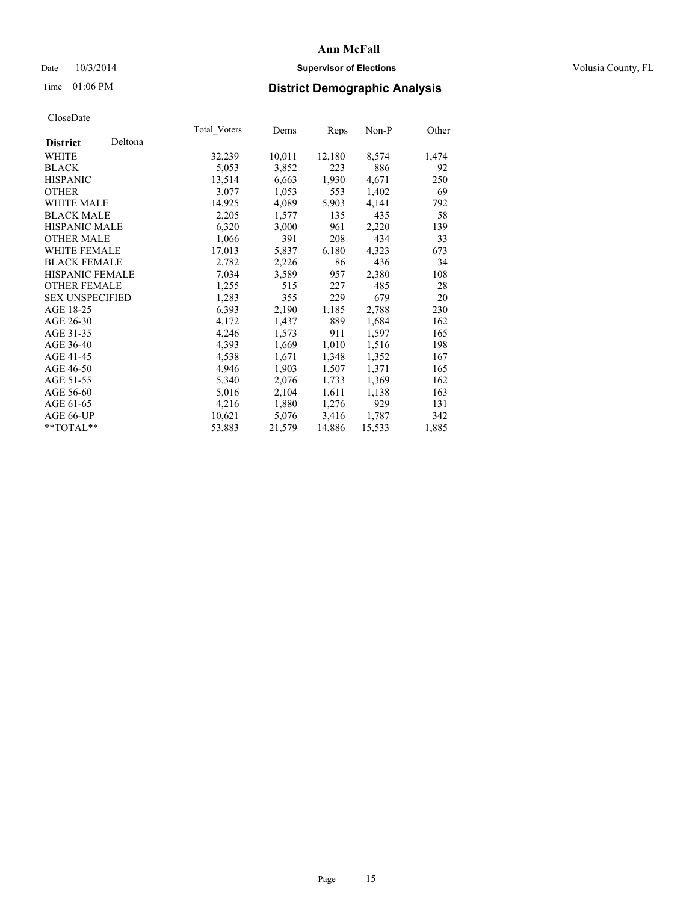## Date  $10/3/2014$  **Supervisor of Elections Supervisor of Elections** Volusia County, FL

# Time 01:06 PM **District Demographic Analysis**

|                        |         | Total Voters | Dems   | <b>Reps</b> | Non-P  | Other |
|------------------------|---------|--------------|--------|-------------|--------|-------|
| <b>District</b>        | Deltona |              |        |             |        |       |
| WHITE                  |         | 32,239       | 10,011 | 12,180      | 8,574  | 1,474 |
| <b>BLACK</b>           |         | 5,053        | 3,852  | 223         | 886    | 92    |
| <b>HISPANIC</b>        |         | 13,514       | 6,663  | 1,930       | 4,671  | 250   |
| <b>OTHER</b>           |         | 3,077        | 1,053  | 553         | 1,402  | 69    |
| <b>WHITE MALE</b>      |         | 14,925       | 4,089  | 5,903       | 4,141  | 792   |
| <b>BLACK MALE</b>      |         | 2,205        | 1,577  | 135         | 435    | 58    |
| <b>HISPANIC MALE</b>   |         | 6,320        | 3,000  | 961         | 2,220  | 139   |
| <b>OTHER MALE</b>      |         | 1,066        | 391    | 208         | 434    | 33    |
| <b>WHITE FEMALE</b>    |         | 17,013       | 5,837  | 6,180       | 4,323  | 673   |
| <b>BLACK FEMALE</b>    |         | 2,782        | 2,226  | 86          | 436    | 34    |
| HISPANIC FEMALE        |         | 7,034        | 3,589  | 957         | 2,380  | 108   |
| <b>OTHER FEMALE</b>    |         | 1,255        | 515    | 227         | 485    | 28    |
| <b>SEX UNSPECIFIED</b> |         | 1,283        | 355    | 229         | 679    | 20    |
| AGE 18-25              |         | 6,393        | 2,190  | 1,185       | 2,788  | 230   |
| AGE 26-30              |         | 4,172        | 1,437  | 889         | 1,684  | 162   |
| AGE 31-35              |         | 4,246        | 1,573  | 911         | 1,597  | 165   |
| AGE 36-40              |         | 4,393        | 1,669  | 1,010       | 1,516  | 198   |
| AGE 41-45              |         | 4,538        | 1,671  | 1,348       | 1,352  | 167   |
| AGE 46-50              |         | 4,946        | 1,903  | 1,507       | 1,371  | 165   |
| AGE 51-55              |         | 5,340        | 2,076  | 1,733       | 1,369  | 162   |
| AGE 56-60              |         | 5,016        | 2,104  | 1,611       | 1,138  | 163   |
| AGE 61-65              |         | 4,216        | 1,880  | 1,276       | 929    | 131   |
| AGE 66-UP              |         | 10,621       | 5,076  | 3,416       | 1,787  | 342   |
| $*$ $TOTAI.**$         |         | 53,883       | 21,579 | 14,886      | 15,533 | 1,885 |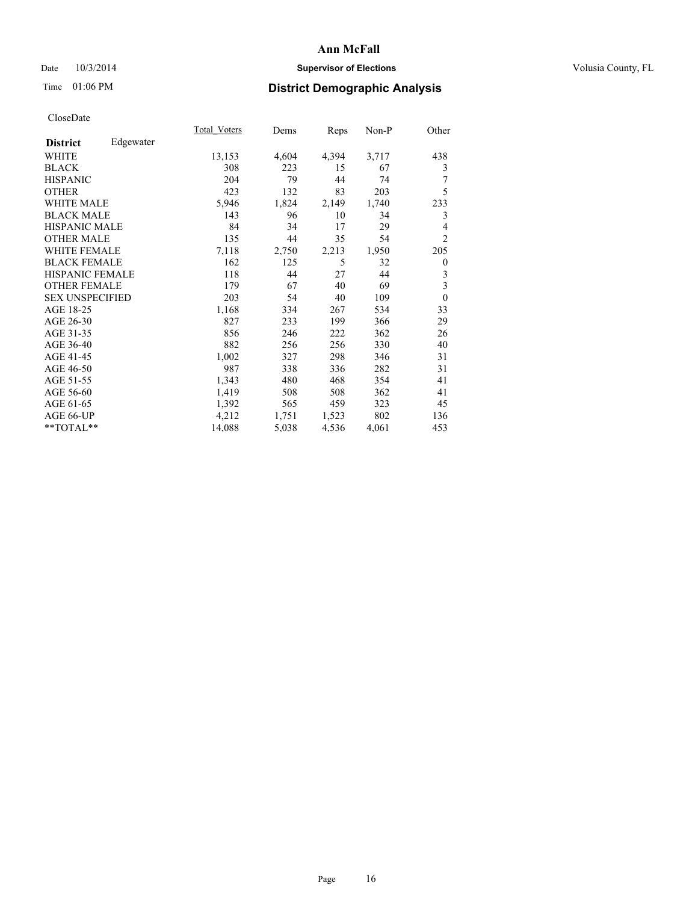## Date  $10/3/2014$  **Supervisor of Elections Supervisor of Elections** Volusia County, FL

# Time 01:06 PM **District Demographic Analysis**

|                              | Total Voters | Dems  | Reps  | Non-P | Other          |
|------------------------------|--------------|-------|-------|-------|----------------|
| Edgewater<br><b>District</b> |              |       |       |       |                |
| WHITE                        | 13,153       | 4,604 | 4,394 | 3,717 | 438            |
| <b>BLACK</b>                 | 308          | 223   | 15    | 67    | 3              |
| <b>HISPANIC</b>              | 204          | 79    | 44    | 74    | 7              |
| <b>OTHER</b>                 | 423          | 132   | 83    | 203   | 5              |
| <b>WHITE MALE</b>            | 5,946        | 1,824 | 2,149 | 1,740 | 233            |
| <b>BLACK MALE</b>            | 143          | 96    | 10    | 34    | 3              |
| HISPANIC MALE                | 84           | 34    | 17    | 29    | 4              |
| <b>OTHER MALE</b>            | 135          | 44    | 35    | 54    | $\overline{2}$ |
| <b>WHITE FEMALE</b>          | 7,118        | 2,750 | 2,213 | 1,950 | 205            |
| <b>BLACK FEMALE</b>          | 162          | 125   | 5     | 32    | $\theta$       |
| <b>HISPANIC FEMALE</b>       | 118          | 44    | 27    | 44    | 3              |
| <b>OTHER FEMALE</b>          | 179          | 67    | 40    | 69    | 3              |
| <b>SEX UNSPECIFIED</b>       | 203          | 54    | 40    | 109   | $\mathbf{0}$   |
| AGE 18-25                    | 1,168        | 334   | 267   | 534   | 33             |
| AGE 26-30                    | 827          | 233   | 199   | 366   | 29             |
| AGE 31-35                    | 856          | 246   | 222   | 362   | 26             |
| AGE 36-40                    | 882          | 256   | 256   | 330   | 40             |
| AGE 41-45                    | 1,002        | 327   | 298   | 346   | 31             |
| AGE 46-50                    | 987          | 338   | 336   | 282   | 31             |
| AGE 51-55                    | 1,343        | 480   | 468   | 354   | 41             |
| AGE 56-60                    | 1,419        | 508   | 508   | 362   | 41             |
| AGE 61-65                    | 1,392        | 565   | 459   | 323   | 45             |
| AGE 66-UP                    | 4,212        | 1,751 | 1,523 | 802   | 136            |
| **TOTAL**                    | 14,088       | 5,038 | 4,536 | 4,061 | 453            |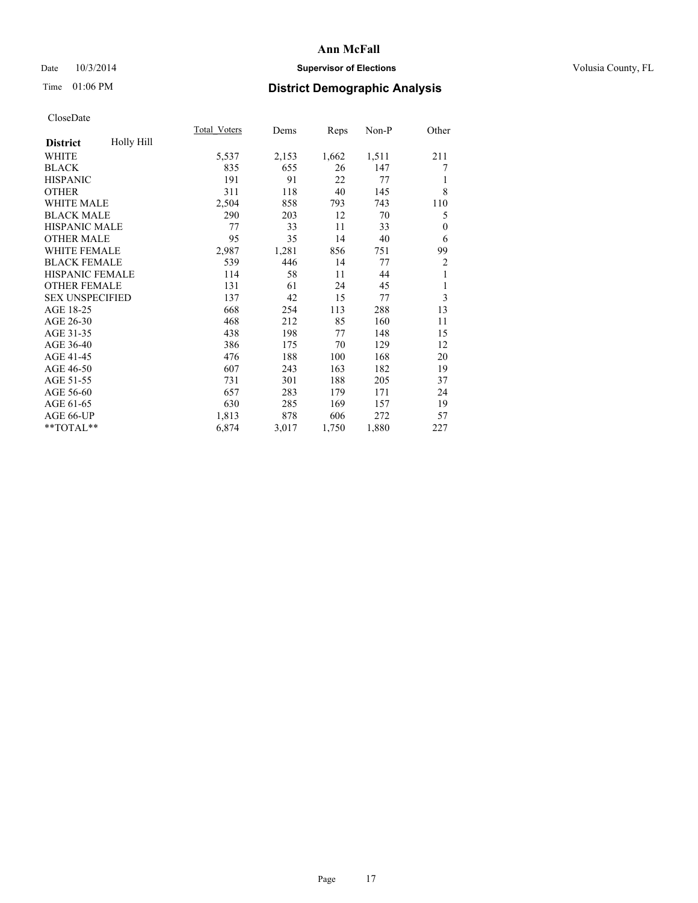## Date  $10/3/2014$  **Supervisor of Elections Supervisor of Elections** Volusia County, FL

# Time 01:06 PM **District Demographic Analysis**

|                        |            | Total Voters | Dems  | <b>Reps</b> | Non-P | Other        |
|------------------------|------------|--------------|-------|-------------|-------|--------------|
| <b>District</b>        | Holly Hill |              |       |             |       |              |
| WHITE                  |            | 5,537        | 2,153 | 1,662       | 1,511 | 211          |
| <b>BLACK</b>           |            | 835          | 655   | 26          | 147   | 7            |
| <b>HISPANIC</b>        |            | 191          | 91    | 22          | 77    | 1            |
| <b>OTHER</b>           |            | 311          | 118   | 40          | 145   | 8            |
| <b>WHITE MALE</b>      |            | 2,504        | 858   | 793         | 743   | 110          |
| <b>BLACK MALE</b>      |            | 290          | 203   | 12          | 70    | 5            |
| <b>HISPANIC MALE</b>   |            | 77           | 33    | 11          | 33    | $\mathbf{0}$ |
| <b>OTHER MALE</b>      |            | 95           | 35    | 14          | 40    | 6            |
| <b>WHITE FEMALE</b>    |            | 2,987        | 1,281 | 856         | 751   | 99           |
| <b>BLACK FEMALE</b>    |            | 539          | 446   | 14          | 77    | 2            |
| <b>HISPANIC FEMALE</b> |            | 114          | 58    | 11          | 44    | 1            |
| <b>OTHER FEMALE</b>    |            | 131          | 61    | 24          | 45    | 1            |
| <b>SEX UNSPECIFIED</b> |            | 137          | 42    | 15          | 77    | 3            |
| AGE 18-25              |            | 668          | 254   | 113         | 288   | 13           |
| AGE 26-30              |            | 468          | 212   | 85          | 160   | 11           |
| AGE 31-35              |            | 438          | 198   | 77          | 148   | 15           |
| AGE 36-40              |            | 386          | 175   | 70          | 129   | 12           |
| AGE 41-45              |            | 476          | 188   | 100         | 168   | 20           |
| AGE 46-50              |            | 607          | 243   | 163         | 182   | 19           |
| AGE 51-55              |            | 731          | 301   | 188         | 205   | 37           |
| AGE 56-60              |            | 657          | 283   | 179         | 171   | 24           |
| AGE 61-65              |            | 630          | 285   | 169         | 157   | 19           |
| AGE 66-UP              |            | 1,813        | 878   | 606         | 272   | 57           |
| **TOTAL**              |            | 6,874        | 3,017 | 1,750       | 1,880 | 227          |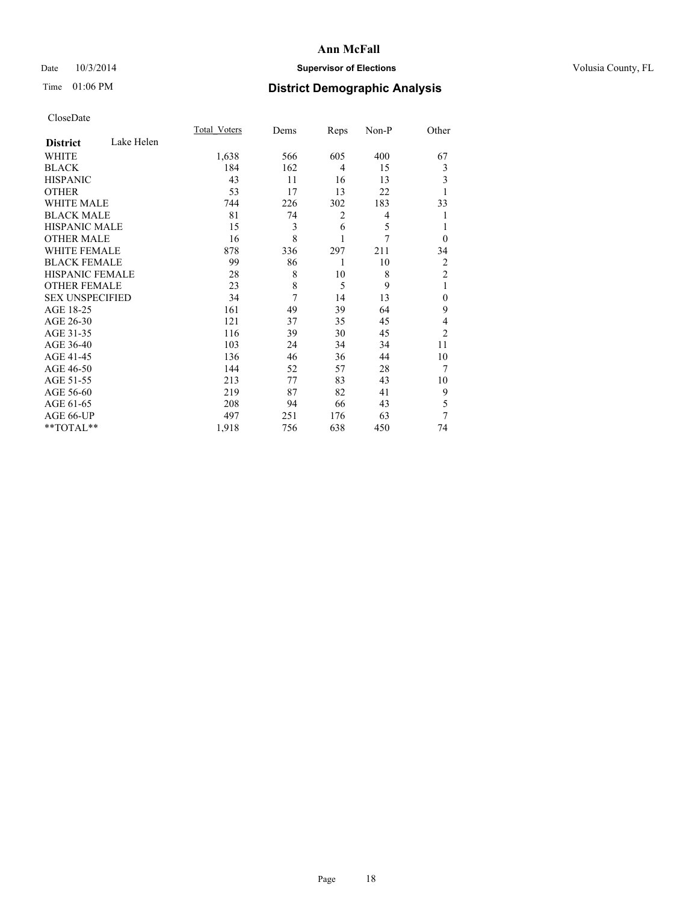## Date  $10/3/2014$  **Supervisor of Elections Supervisor of Elections** Volusia County, FL

# Time 01:06 PM **District Demographic Analysis**

|                        |            | <b>Total Voters</b> | Dems | Reps           | Non-P | Other          |
|------------------------|------------|---------------------|------|----------------|-------|----------------|
| <b>District</b>        | Lake Helen |                     |      |                |       |                |
| WHITE                  |            | 1,638               | 566  | 605            | 400   | 67             |
| <b>BLACK</b>           |            | 184                 | 162  | $\overline{4}$ | 15    | 3              |
| <b>HISPANIC</b>        |            | 43                  | 11   | 16             | 13    | 3              |
| <b>OTHER</b>           |            | 53                  | 17   | 13             | 22    | 1              |
| WHITE MALE             |            | 744                 | 226  | 302            | 183   | 33             |
| <b>BLACK MALE</b>      |            | 81                  | 74   | $\overline{2}$ | 4     | 1              |
| <b>HISPANIC MALE</b>   |            | 15                  | 3    | 6              | 5     | 1              |
| <b>OTHER MALE</b>      |            | 16                  | 8    | 1              | 7     | $\theta$       |
| WHITE FEMALE           |            | 878                 | 336  | 297            | 211   | 34             |
| <b>BLACK FEMALE</b>    |            | 99                  | 86   | 1              | 10    | $\overline{c}$ |
| <b>HISPANIC FEMALE</b> |            | 28                  | 8    | 10             | 8     | $\overline{2}$ |
| <b>OTHER FEMALE</b>    |            | 23                  | 8    | 5              | 9     | 1              |
| <b>SEX UNSPECIFIED</b> |            | 34                  | 7    | 14             | 13    | $\mathbf{0}$   |
| AGE 18-25              |            | 161                 | 49   | 39             | 64    | 9              |
| AGE 26-30              |            | 121                 | 37   | 35             | 45    | 4              |
| AGE 31-35              |            | 116                 | 39   | 30             | 45    | $\overline{2}$ |
| AGE 36-40              |            | 103                 | 24   | 34             | 34    | 11             |
| AGE 41-45              |            | 136                 | 46   | 36             | 44    | 10             |
| AGE 46-50              |            | 144                 | 52   | 57             | 28    | 7              |
| AGE 51-55              |            | 213                 | 77   | 83             | 43    | 10             |
| AGE 56-60              |            | 219                 | 87   | 82             | 41    | 9              |
| AGE 61-65              |            | 208                 | 94   | 66             | 43    | 5              |
| AGE 66-UP              |            | 497                 | 251  | 176            | 63    | 7              |
| **TOTAL**              |            | 1,918               | 756  | 638            | 450   | 74             |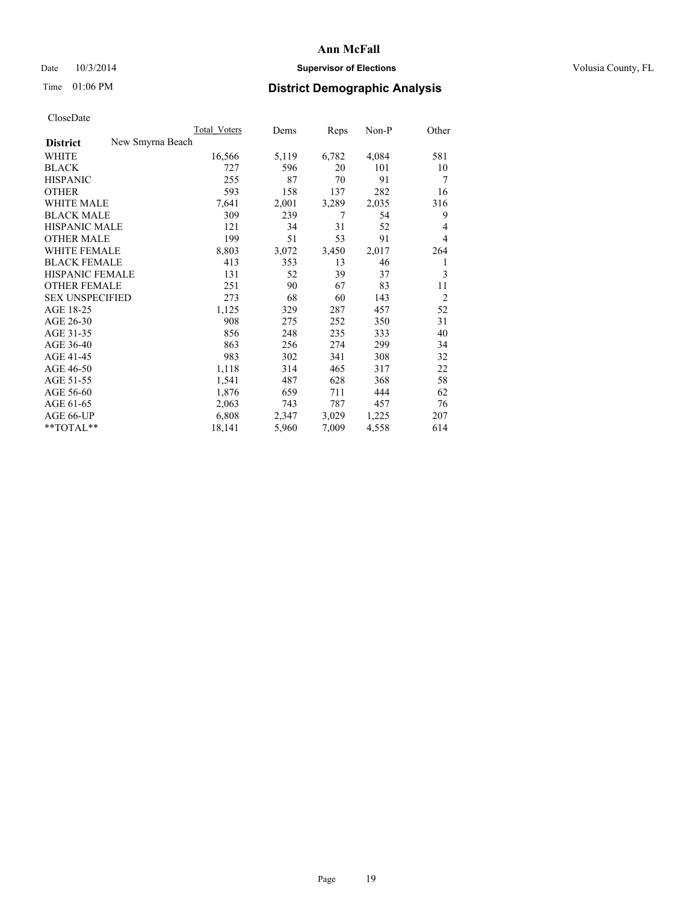## Date  $10/3/2014$  **Supervisor of Elections Supervisor of Elections** Volusia County, FL

# Time 01:06 PM **District Demographic Analysis**

|                                     | <b>Total Voters</b> | Dems  | Reps  | Non-P | Other          |
|-------------------------------------|---------------------|-------|-------|-------|----------------|
| New Smyrna Beach<br><b>District</b> |                     |       |       |       |                |
| WHITE                               | 16,566              | 5,119 | 6,782 | 4,084 | 581            |
| <b>BLACK</b>                        | 727                 | 596   | 20    | 101   | 10             |
| <b>HISPANIC</b>                     | 255                 | 87    | 70    | 91    | 7              |
| <b>OTHER</b>                        | 593                 | 158   | 137   | 282   | 16             |
| WHITE MALE                          | 7,641               | 2,001 | 3,289 | 2,035 | 316            |
| <b>BLACK MALE</b>                   | 309                 | 239   | 7     | 54    | 9              |
| <b>HISPANIC MALE</b>                | 121                 | 34    | 31    | 52    | 4              |
| <b>OTHER MALE</b>                   | 199                 | 51    | 53    | 91    | 4              |
| <b>WHITE FEMALE</b>                 | 8,803               | 3,072 | 3,450 | 2,017 | 264            |
| <b>BLACK FEMALE</b>                 | 413                 | 353   | 13    | 46    | 1              |
| HISPANIC FEMALE                     | 131                 | 52    | 39    | 37    | 3              |
| <b>OTHER FEMALE</b>                 | 251                 | 90    | 67    | 83    | 11             |
| <b>SEX UNSPECIFIED</b>              | 273                 | 68    | 60    | 143   | $\overline{2}$ |
| AGE 18-25                           | 1,125               | 329   | 287   | 457   | 52             |
| AGE 26-30                           | 908                 | 275   | 252   | 350   | 31             |
| AGE 31-35                           | 856                 | 248   | 235   | 333   | 40             |
| AGE 36-40                           | 863                 | 256   | 274   | 299   | 34             |
| AGE 41-45                           | 983                 | 302   | 341   | 308   | 32             |
| AGE 46-50                           | 1,118               | 314   | 465   | 317   | 22             |
| AGE 51-55                           | 1,541               | 487   | 628   | 368   | 58             |
| AGE 56-60                           | 1,876               | 659   | 711   | 444   | 62             |
| AGE 61-65                           | 2,063               | 743   | 787   | 457   | 76             |
| AGE 66-UP                           | 6,808               | 2,347 | 3,029 | 1,225 | 207            |
| **TOTAL**                           | 18,141              | 5,960 | 7,009 | 4,558 | 614            |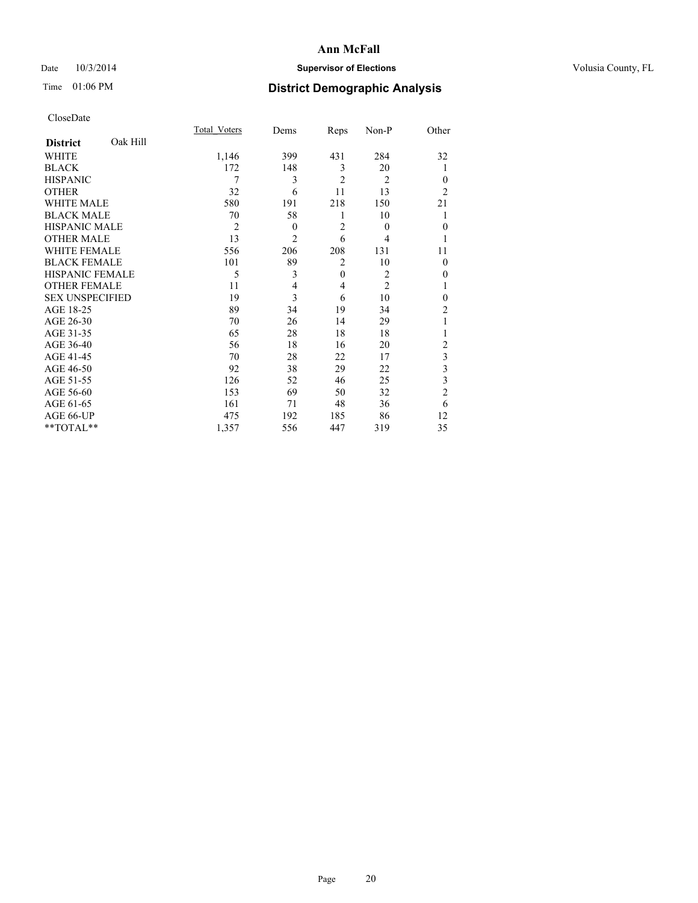## Date  $10/3/2014$  **Supervisor of Elections Supervisor of Elections** Volusia County, FL

# Time 01:06 PM **District Demographic Analysis**

|                        |          | <b>Total Voters</b> | Dems           | Reps           | Non-P          | Other          |
|------------------------|----------|---------------------|----------------|----------------|----------------|----------------|
| <b>District</b>        | Oak Hill |                     |                |                |                |                |
| WHITE                  |          | 1,146               | 399            | 431            | 284            | 32             |
| <b>BLACK</b>           |          | 172                 | 148            | 3              | 20             | 1              |
| <b>HISPANIC</b>        |          | 7                   | 3              | $\overline{2}$ | $\overline{2}$ | $\theta$       |
| <b>OTHER</b>           |          | 32                  | 6              | 11             | 13             | $\overline{2}$ |
| WHITE MALE             |          | 580                 | 191            | 218            | 150            | 21             |
| <b>BLACK MALE</b>      |          | 70                  | 58             | 1              | 10             |                |
| <b>HISPANIC MALE</b>   |          | $\overline{2}$      | $\mathbf{0}$   | $\overline{2}$ | $\theta$       | $\mathbf{0}$   |
| <b>OTHER MALE</b>      |          | 13                  | $\overline{2}$ | 6              | 4              | 1              |
| <b>WHITE FEMALE</b>    |          | 556                 | 206            | 208            | 131            | 11             |
| <b>BLACK FEMALE</b>    |          | 101                 | 89             | $\overline{2}$ | 10             | $\theta$       |
| <b>HISPANIC FEMALE</b> |          | 5                   | 3              | $\mathbf{0}$   | $\overline{2}$ | 0              |
| <b>OTHER FEMALE</b>    |          | 11                  | 4              | 4              | $\overline{c}$ |                |
| <b>SEX UNSPECIFIED</b> |          | 19                  | 3              | 6              | 10             | $\mathbf{0}$   |
| AGE 18-25              |          | 89                  | 34             | 19             | 34             | $\overline{c}$ |
| AGE 26-30              |          | 70                  | 26             | 14             | 29             | 1              |
| AGE 31-35              |          | 65                  | 28             | 18             | 18             |                |
| AGE 36-40              |          | 56                  | 18             | 16             | 20             | $\overline{c}$ |
| AGE 41-45              |          | 70                  | 28             | 22             | 17             | 3              |
| AGE 46-50              |          | 92                  | 38             | 29             | 22             | 3              |
| AGE 51-55              |          | 126                 | 52             | 46             | 25             | 3              |
| AGE 56-60              |          | 153                 | 69             | 50             | 32             | $\overline{c}$ |
| AGE 61-65              |          | 161                 | 71             | 48             | 36             | 6              |
| AGE 66-UP              |          | 475                 | 192            | 185            | 86             | 12             |
| **TOTAL**              |          | 1,357               | 556            | 447            | 319            | 35             |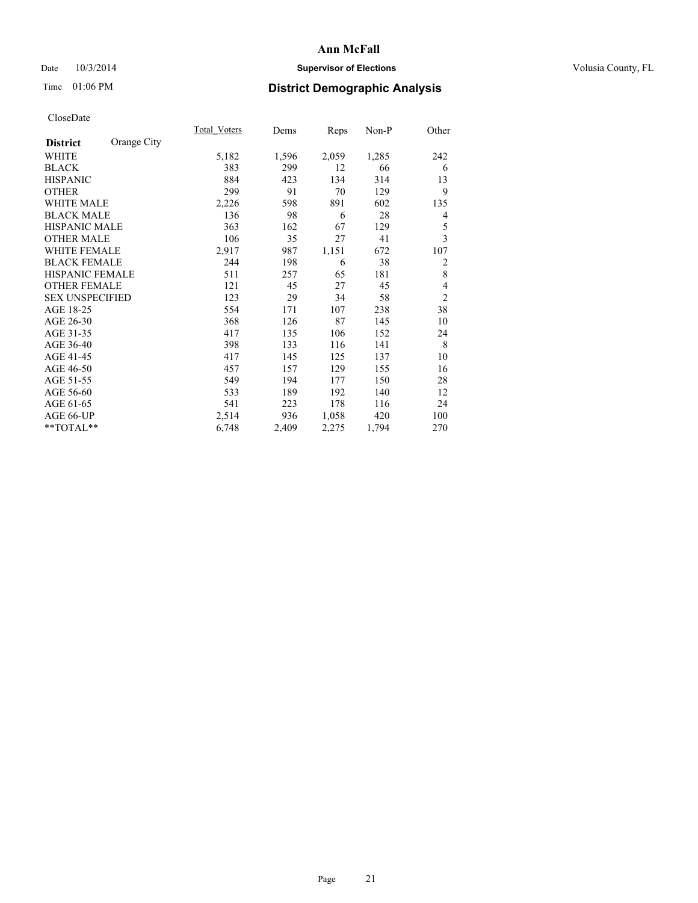## Date  $10/3/2014$  **Supervisor of Elections Supervisor of Elections** Volusia County, FL

# Time 01:06 PM **District Demographic Analysis**

|                        |             | <b>Total Voters</b> | Dems  | Reps  | Non-P | Other          |
|------------------------|-------------|---------------------|-------|-------|-------|----------------|
| <b>District</b>        | Orange City |                     |       |       |       |                |
| WHITE                  |             | 5,182               | 1,596 | 2,059 | 1,285 | 242            |
| <b>BLACK</b>           |             | 383                 | 299   | 12    | 66    | 6              |
| <b>HISPANIC</b>        |             | 884                 | 423   | 134   | 314   | 13             |
| <b>OTHER</b>           |             | 299                 | 91    | 70    | 129   | 9              |
| <b>WHITE MALE</b>      |             | 2,226               | 598   | 891   | 602   | 135            |
| <b>BLACK MALE</b>      |             | 136                 | 98    | 6     | 28    | 4              |
| <b>HISPANIC MALE</b>   |             | 363                 | 162   | 67    | 129   | 5              |
| <b>OTHER MALE</b>      |             | 106                 | 35    | 27    | 41    | 3              |
| WHITE FEMALE           |             | 2,917               | 987   | 1,151 | 672   | 107            |
| <b>BLACK FEMALE</b>    |             | 244                 | 198   | 6     | 38    | $\overline{2}$ |
| HISPANIC FEMALE        |             | 511                 | 257   | 65    | 181   | 8              |
| <b>OTHER FEMALE</b>    |             | 121                 | 45    | 27    | 45    | 4              |
| <b>SEX UNSPECIFIED</b> |             | 123                 | 29    | 34    | 58    | $\overline{2}$ |
| AGE 18-25              |             | 554                 | 171   | 107   | 238   | 38             |
| AGE 26-30              |             | 368                 | 126   | 87    | 145   | 10             |
| AGE 31-35              |             | 417                 | 135   | 106   | 152   | 24             |
| AGE 36-40              |             | 398                 | 133   | 116   | 141   | 8              |
| AGE 41-45              |             | 417                 | 145   | 125   | 137   | 10             |
| AGE 46-50              |             | 457                 | 157   | 129   | 155   | 16             |
| AGE 51-55              |             | 549                 | 194   | 177   | 150   | 28             |
| AGE 56-60              |             | 533                 | 189   | 192   | 140   | 12             |
| AGE 61-65              |             | 541                 | 223   | 178   | 116   | 24             |
| AGE 66-UP              |             | 2,514               | 936   | 1,058 | 420   | 100            |
| **TOTAL**              |             | 6,748               | 2,409 | 2,275 | 1,794 | 270            |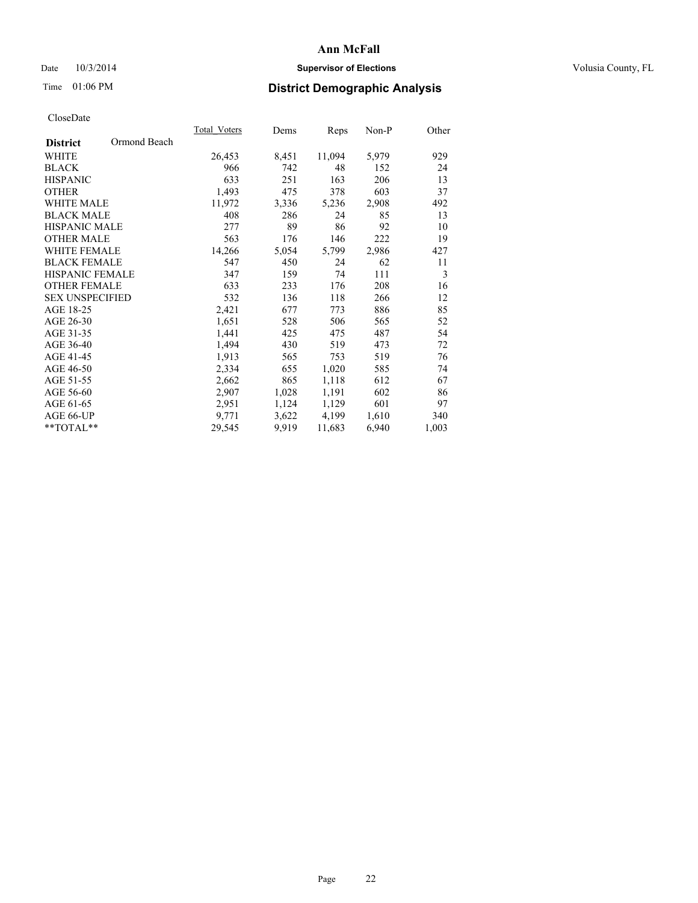## Date  $10/3/2014$  **Supervisor of Elections Supervisor of Elections** Volusia County, FL

# Time 01:06 PM **District Demographic Analysis**

|                                 | <b>Total Voters</b> | Dems  | Reps   | Non-P | Other |
|---------------------------------|---------------------|-------|--------|-------|-------|
| Ormond Beach<br><b>District</b> |                     |       |        |       |       |
| WHITE                           | 26,453              | 8,451 | 11,094 | 5,979 | 929   |
| <b>BLACK</b>                    | 966                 | 742   | 48     | 152   | 24    |
| <b>HISPANIC</b>                 | 633                 | 251   | 163    | 206   | 13    |
| <b>OTHER</b>                    | 1,493               | 475   | 378    | 603   | 37    |
| WHITE MALE                      | 11,972              | 3,336 | 5,236  | 2,908 | 492   |
| <b>BLACK MALE</b>               | 408                 | 286   | 24     | 85    | 13    |
| <b>HISPANIC MALE</b>            | 277                 | 89    | 86     | 92    | 10    |
| <b>OTHER MALE</b>               | 563                 | 176   | 146    | 222   | 19    |
| <b>WHITE FEMALE</b>             | 14,266              | 5,054 | 5,799  | 2,986 | 427   |
| <b>BLACK FEMALE</b>             | 547                 | 450   | 24     | 62    | 11    |
| HISPANIC FEMALE                 | 347                 | 159   | 74     | 111   | 3     |
| <b>OTHER FEMALE</b>             | 633                 | 233   | 176    | 208   | 16    |
| <b>SEX UNSPECIFIED</b>          | 532                 | 136   | 118    | 266   | 12    |
| AGE 18-25                       | 2,421               | 677   | 773    | 886   | 85    |
| AGE 26-30                       | 1,651               | 528   | 506    | 565   | 52    |
| AGE 31-35                       | 1,441               | 425   | 475    | 487   | 54    |
| AGE 36-40                       | 1,494               | 430   | 519    | 473   | 72    |
| AGE 41-45                       | 1,913               | 565   | 753    | 519   | 76    |
| AGE 46-50                       | 2,334               | 655   | 1,020  | 585   | 74    |
| AGE 51-55                       | 2,662               | 865   | 1,118  | 612   | 67    |
| AGE 56-60                       | 2,907               | 1,028 | 1,191  | 602   | 86    |
| AGE 61-65                       | 2,951               | 1,124 | 1,129  | 601   | 97    |
| AGE 66-UP                       | 9,771               | 3,622 | 4,199  | 1,610 | 340   |
| **TOTAL**                       | 29,545              | 9,919 | 11,683 | 6,940 | 1,003 |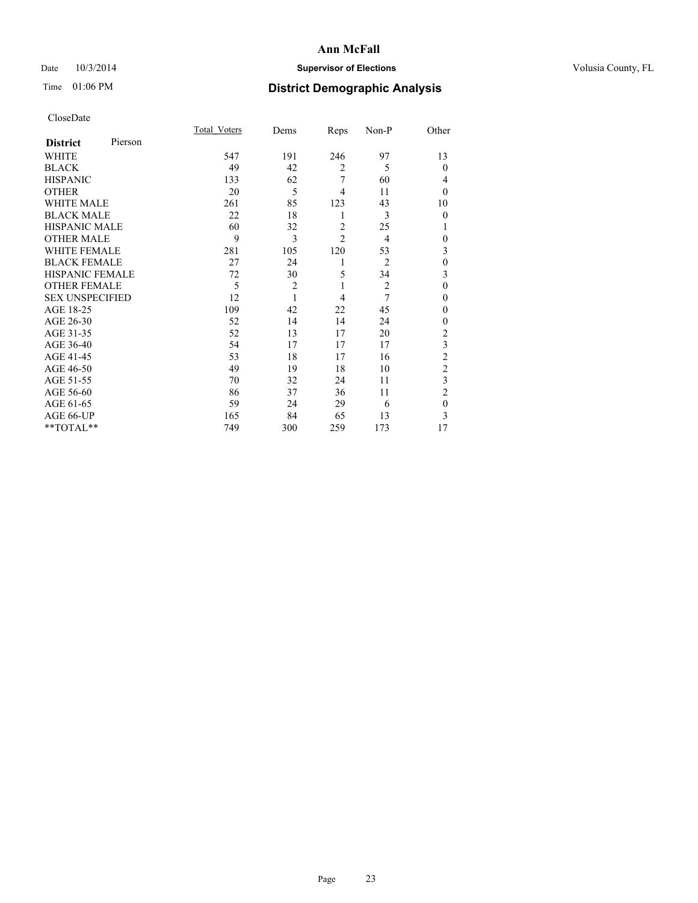## Date  $10/3/2014$  **Supervisor of Elections Supervisor of Elections** Volusia County, FL

# Time 01:06 PM **District Demographic Analysis**

|                        |         | Total Voters | Dems           | Reps           | Non-P          | Other          |
|------------------------|---------|--------------|----------------|----------------|----------------|----------------|
| <b>District</b>        | Pierson |              |                |                |                |                |
| WHITE                  |         | 547          | 191            | 246            | 97             | 13             |
| <b>BLACK</b>           |         | 49           | 42             | $\overline{2}$ | 5              | $\theta$       |
| <b>HISPANIC</b>        |         | 133          | 62             | 7              | 60             | 4              |
| <b>OTHER</b>           |         | 20           | 5              | 4              | 11             | $\theta$       |
| WHITE MALE             |         | 261          | 85             | 123            | 43             | 10             |
| <b>BLACK MALE</b>      |         | 22           | 18             | 1              | 3              | $\theta$       |
| <b>HISPANIC MALE</b>   |         | 60           | 32             | $\overline{2}$ | 25             | 1              |
| <b>OTHER MALE</b>      |         | 9            | 3              | $\overline{c}$ | 4              | $\theta$       |
| <b>WHITE FEMALE</b>    |         | 281          | 105            | 120            | 53             | 3              |
| <b>BLACK FEMALE</b>    |         | 27           | 24             | 1              | 2              | $\theta$       |
| HISPANIC FEMALE        |         | 72           | 30             | 5              | 34             | 3              |
| <b>OTHER FEMALE</b>    |         | 5            | $\overline{2}$ | 1              | $\overline{2}$ | $\theta$       |
| <b>SEX UNSPECIFIED</b> |         | 12           | 1              | $\overline{4}$ | 7              | $\theta$       |
| AGE 18-25              |         | 109          | 42             | 22             | 45             | $\Omega$       |
| AGE 26-30              |         | 52           | 14             | 14             | 24             | $\mathbf{0}$   |
| AGE 31-35              |         | 52           | 13             | 17             | 20             | $\overline{c}$ |
| AGE 36-40              |         | 54           | 17             | 17             | 17             | 3              |
| AGE 41-45              |         | 53           | 18             | 17             | 16             | $\overline{2}$ |
| AGE 46-50              |         | 49           | 19             | 18             | 10             | $\overline{2}$ |
| AGE 51-55              |         | 70           | 32             | 24             | 11             | 3              |
| AGE 56-60              |         | 86           | 37             | 36             | 11             | $\overline{2}$ |
| AGE 61-65              |         | 59           | 24             | 29             | 6              | $\mathbf{0}$   |
| AGE 66-UP              |         | 165          | 84             | 65             | 13             | 3              |
| **TOTAL**              |         | 749          | 300            | 259            | 173            | 17             |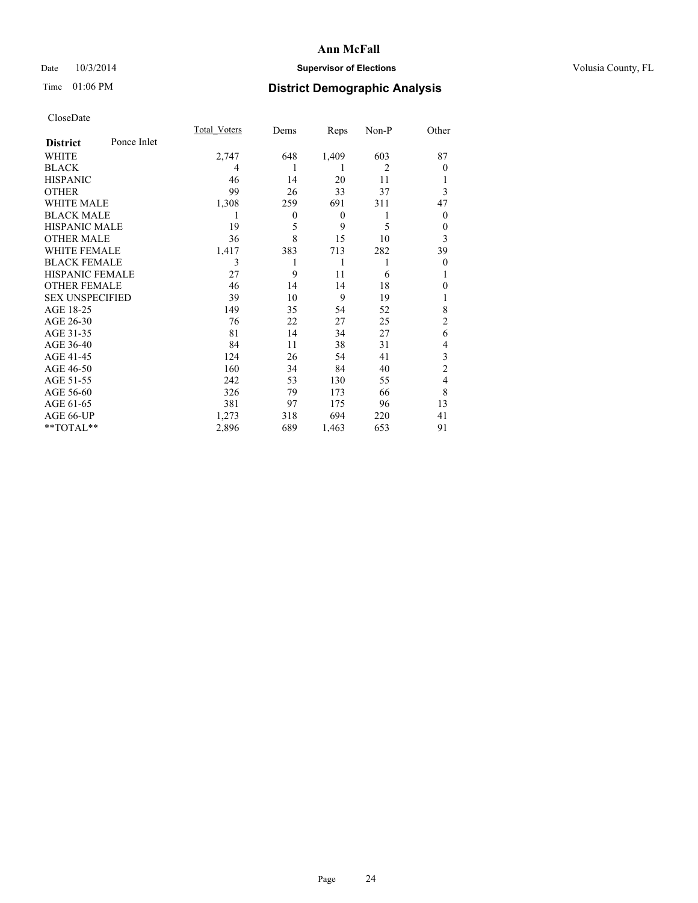## Date  $10/3/2014$  **Supervisor of Elections Supervisor of Elections** Volusia County, FL

# Time 01:06 PM **District Demographic Analysis**

|                        |             | <b>Total Voters</b> | Dems         | Reps           | Non-P          | Other          |
|------------------------|-------------|---------------------|--------------|----------------|----------------|----------------|
| <b>District</b>        | Ponce Inlet |                     |              |                |                |                |
| WHITE                  |             | 2,747               | 648          | 1,409          | 603            | 87             |
| <b>BLACK</b>           |             | 4                   | 1            | 1              | $\overline{2}$ | $\theta$       |
| <b>HISPANIC</b>        |             | 46                  | 14           | 20             | 11             |                |
| <b>OTHER</b>           |             | 99                  | 26           | 33             | 37             | 3              |
| WHITE MALE             |             | 1,308               | 259          | 691            | 311            | 47             |
| <b>BLACK MALE</b>      |             | 1                   | $\mathbf{0}$ | $\overline{0}$ | 1              | $\theta$       |
| <b>HISPANIC MALE</b>   |             | 19                  | 5            | 9              | 5              | 0              |
| <b>OTHER MALE</b>      |             | 36                  | 8            | 15             | 10             | 3              |
| <b>WHITE FEMALE</b>    |             | 1,417               | 383          | 713            | 282            | 39             |
| <b>BLACK FEMALE</b>    |             | 3                   | 1            | 1              | 1              | $\theta$       |
| <b>HISPANIC FEMALE</b> |             | 27                  | 9            | 11             | 6              |                |
| <b>OTHER FEMALE</b>    |             | 46                  | 14           | 14             | 18             | 0              |
| <b>SEX UNSPECIFIED</b> |             | 39                  | 10           | 9              | 19             | 1              |
| AGE 18-25              |             | 149                 | 35           | 54             | 52             | 8              |
| AGE 26-30              |             | 76                  | 22           | 27             | 25             | $\overline{c}$ |
| AGE 31-35              |             | 81                  | 14           | 34             | 27             | 6              |
| AGE 36-40              |             | 84                  | 11           | 38             | 31             | 4              |
| AGE 41-45              |             | 124                 | 26           | 54             | 41             | 3              |
| AGE 46-50              |             | 160                 | 34           | 84             | 40             | $\overline{2}$ |
| AGE 51-55              |             | 242                 | 53           | 130            | 55             | 4              |
| AGE 56-60              |             | 326                 | 79           | 173            | 66             | 8              |
| AGE 61-65              |             | 381                 | 97           | 175            | 96             | 13             |
| AGE 66-UP              |             | 1,273               | 318          | 694            | 220            | 41             |
| **TOTAL**              |             | 2,896               | 689          | 1,463          | 653            | 91             |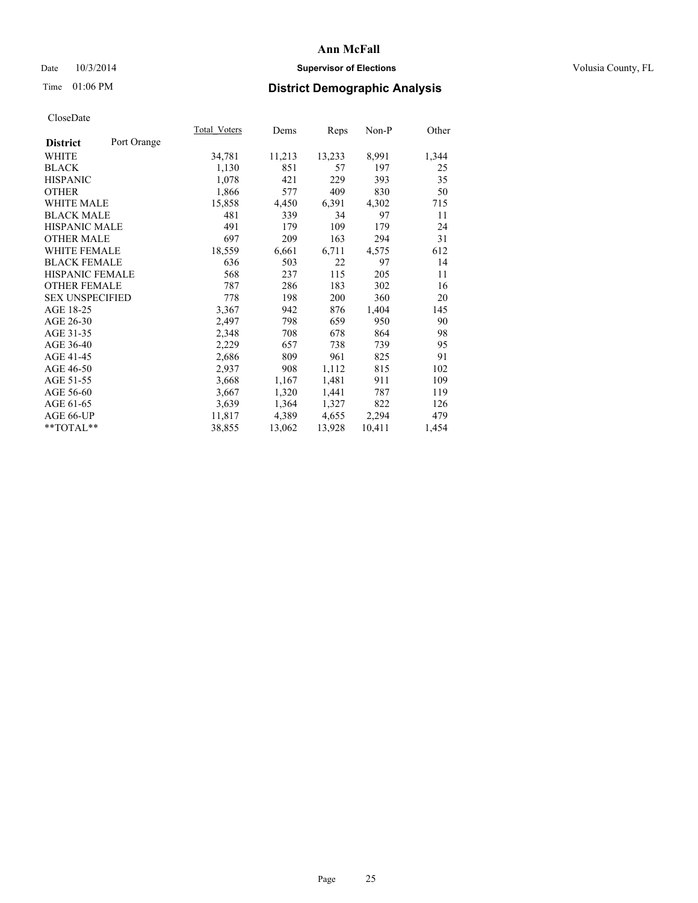## Date  $10/3/2014$  **Supervisor of Elections Supervisor of Elections** Volusia County, FL

# Time 01:06 PM **District Demographic Analysis**

|                                | <b>Total Voters</b> | Dems   | Reps   | Non-P  | Other |
|--------------------------------|---------------------|--------|--------|--------|-------|
| Port Orange<br><b>District</b> |                     |        |        |        |       |
| WHITE                          | 34,781              | 11,213 | 13,233 | 8,991  | 1,344 |
| <b>BLACK</b>                   | 1,130               | 851    | 57     | 197    | 25    |
| <b>HISPANIC</b>                | 1,078               | 421    | 229    | 393    | 35    |
| <b>OTHER</b>                   | 1,866               | 577    | 409    | 830    | 50    |
| WHITE MALE                     | 15,858              | 4,450  | 6,391  | 4,302  | 715   |
| <b>BLACK MALE</b>              | 481                 | 339    | 34     | 97     | 11    |
| <b>HISPANIC MALE</b>           | 491                 | 179    | 109    | 179    | 24    |
| <b>OTHER MALE</b>              | 697                 | 209    | 163    | 294    | 31    |
| <b>WHITE FEMALE</b>            | 18,559              | 6,661  | 6,711  | 4,575  | 612   |
| <b>BLACK FEMALE</b>            | 636                 | 503    | 22     | 97     | 14    |
| HISPANIC FEMALE                | 568                 | 237    | 115    | 205    | 11    |
| <b>OTHER FEMALE</b>            | 787                 | 286    | 183    | 302    | 16    |
| <b>SEX UNSPECIFIED</b>         | 778                 | 198    | 200    | 360    | 20    |
| AGE 18-25                      | 3,367               | 942    | 876    | 1,404  | 145   |
| AGE 26-30                      | 2,497               | 798    | 659    | 950    | 90    |
| AGE 31-35                      | 2,348               | 708    | 678    | 864    | 98    |
| AGE 36-40                      | 2,229               | 657    | 738    | 739    | 95    |
| AGE 41-45                      | 2,686               | 809    | 961    | 825    | 91    |
| AGE 46-50                      | 2,937               | 908    | 1,112  | 815    | 102   |
| AGE 51-55                      | 3,668               | 1,167  | 1,481  | 911    | 109   |
| AGE 56-60                      | 3,667               | 1,320  | 1,441  | 787    | 119   |
| AGE 61-65                      | 3,639               | 1,364  | 1,327  | 822    | 126   |
| AGE 66-UP                      | 11,817              | 4,389  | 4,655  | 2,294  | 479   |
| $*$ $TOTAL**$                  | 38,855              | 13,062 | 13,928 | 10,411 | 1,454 |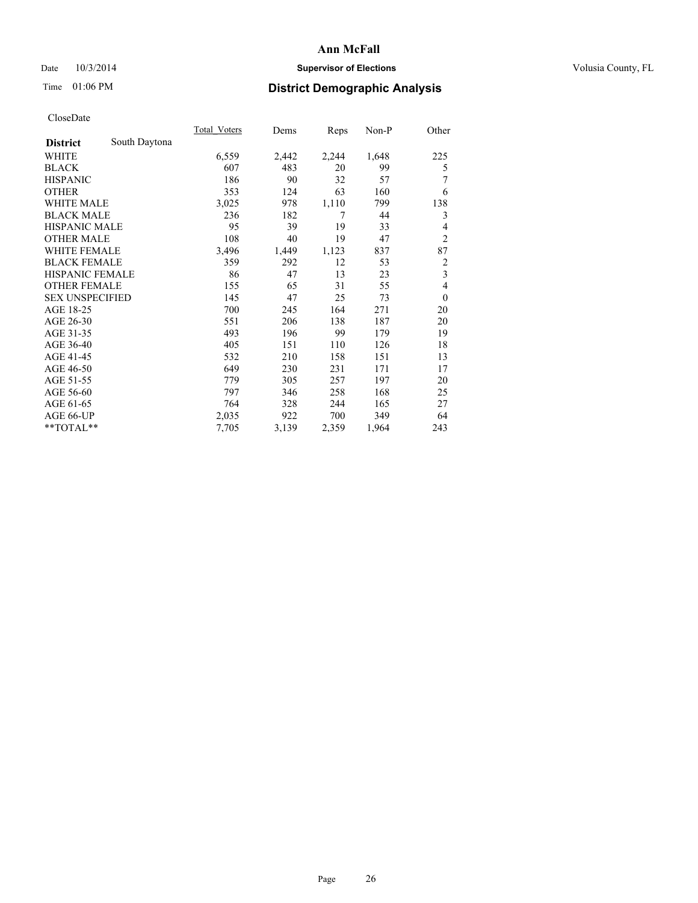## Date  $10/3/2014$  **Supervisor of Elections Supervisor of Elections** Volusia County, FL

# Time 01:06 PM **District Demographic Analysis**

|                                  | <b>Total Voters</b> | Dems  | Reps  | $Non-P$ | Other                   |
|----------------------------------|---------------------|-------|-------|---------|-------------------------|
| South Daytona<br><b>District</b> |                     |       |       |         |                         |
| WHITE                            | 6,559               | 2,442 | 2,244 | 1,648   | 225                     |
| <b>BLACK</b>                     | 607                 | 483   | 20    | 99      | 5                       |
| <b>HISPANIC</b>                  | 186                 | 90    | 32    | 57      | 7                       |
| <b>OTHER</b>                     | 353                 | 124   | 63    | 160     | 6                       |
| <b>WHITE MALE</b>                | 3,025               | 978   | 1,110 | 799     | 138                     |
| <b>BLACK MALE</b>                | 236                 | 182   | 7     | 44      | 3                       |
| <b>HISPANIC MALE</b>             | 95                  | 39    | 19    | 33      | 4                       |
| <b>OTHER MALE</b>                | 108                 | 40    | 19    | 47      | $\overline{2}$          |
| <b>WHITE FEMALE</b>              | 3,496               | 1,449 | 1,123 | 837     | 87                      |
| <b>BLACK FEMALE</b>              | 359                 | 292   | 12    | 53      | $\overline{c}$          |
| HISPANIC FEMALE                  | 86                  | 47    | 13    | 23      | $\overline{\mathbf{3}}$ |
| <b>OTHER FEMALE</b>              | 155                 | 65    | 31    | 55      | 4                       |
| <b>SEX UNSPECIFIED</b>           | 145                 | 47    | 25    | 73      | $\mathbf{0}$            |
| AGE 18-25                        | 700                 | 245   | 164   | 271     | 20                      |
| AGE 26-30                        | 551                 | 206   | 138   | 187     | 20                      |
| AGE 31-35                        | 493                 | 196   | 99    | 179     | 19                      |
| AGE 36-40                        | 405                 | 151   | 110   | 126     | 18                      |
| AGE 41-45                        | 532                 | 210   | 158   | 151     | 13                      |
| AGE 46-50                        | 649                 | 230   | 231   | 171     | 17                      |
| AGE 51-55                        | 779                 | 305   | 257   | 197     | 20                      |
| AGE 56-60                        | 797                 | 346   | 258   | 168     | 25                      |
| AGE 61-65                        | 764                 | 328   | 244   | 165     | 27                      |
| AGE 66-UP                        | 2,035               | 922   | 700   | 349     | 64                      |
| **TOTAL**                        | 7,705               | 3,139 | 2,359 | 1,964   | 243                     |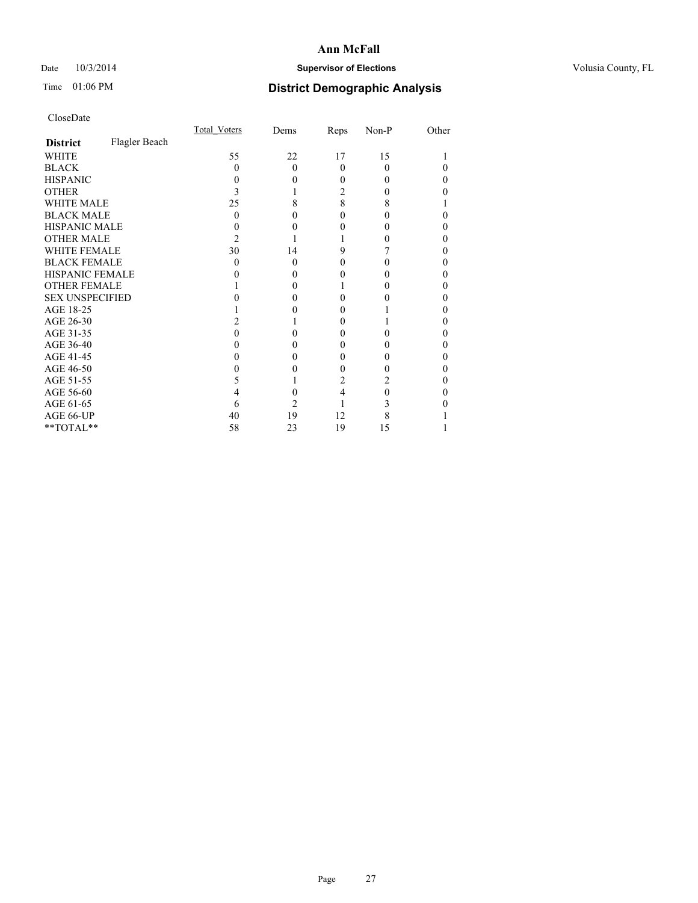## Date  $10/3/2014$  **Supervisor of Elections Supervisor of Elections** Volusia County, FL

# Time 01:06 PM **District Demographic Analysis**

|                        |               | Total Voters | Dems     | Reps     | Non-P | Other |
|------------------------|---------------|--------------|----------|----------|-------|-------|
| <b>District</b>        | Flagler Beach |              |          |          |       |       |
| WHITE                  |               | 55           | 22       | 17       | 15    |       |
| <b>BLACK</b>           |               | 0            | $\Omega$ | $\theta$ | 0     | 0     |
| <b>HISPANIC</b>        |               | $\theta$     | 0        | 0        | 0     | 0     |
| <b>OTHER</b>           |               |              |          | 2        |       |       |
| <b>WHITE MALE</b>      |               | 25           | 8        | 8        | 8     |       |
| <b>BLACK MALE</b>      |               | 0            | 0        | 0        |       | 0     |
| <b>HISPANIC MALE</b>   |               |              |          | 0        |       |       |
| <b>OTHER MALE</b>      |               | 2            |          |          |       | 0     |
| <b>WHITE FEMALE</b>    |               | 30           | 14       | 9        |       | 0     |
| <b>BLACK FEMALE</b>    |               | $\theta$     | $\Omega$ | 0        |       | 0     |
| <b>HISPANIC FEMALE</b> |               |              | 0        | 0        |       |       |
| <b>OTHER FEMALE</b>    |               |              | 0        |          |       | 0     |
| <b>SEX UNSPECIFIED</b> |               |              |          | 0        |       |       |
| AGE 18-25              |               |              |          | 0        |       | 0     |
| AGE 26-30              |               |              |          | 0        |       | 0     |
| AGE 31-35              |               |              |          | 0        |       | 0     |
| AGE 36-40              |               |              | 0        | 0        |       | 0     |
| AGE 41-45              |               |              | 0        | 0        |       | 0     |
| AGE 46-50              |               |              | 0        | 0        |       | 0     |
| AGE 51-55              |               | 5            |          | 2        | 2     |       |
| AGE 56-60              |               |              | 0        | 4        | 0     | 0     |
| AGE 61-65              |               | 6            | 2        |          | 3     |       |
| AGE 66-UP              |               | 40           | 19       | 12       | 8     |       |
| $**TOTAL**$            |               | 58           | 23       | 19       | 15    |       |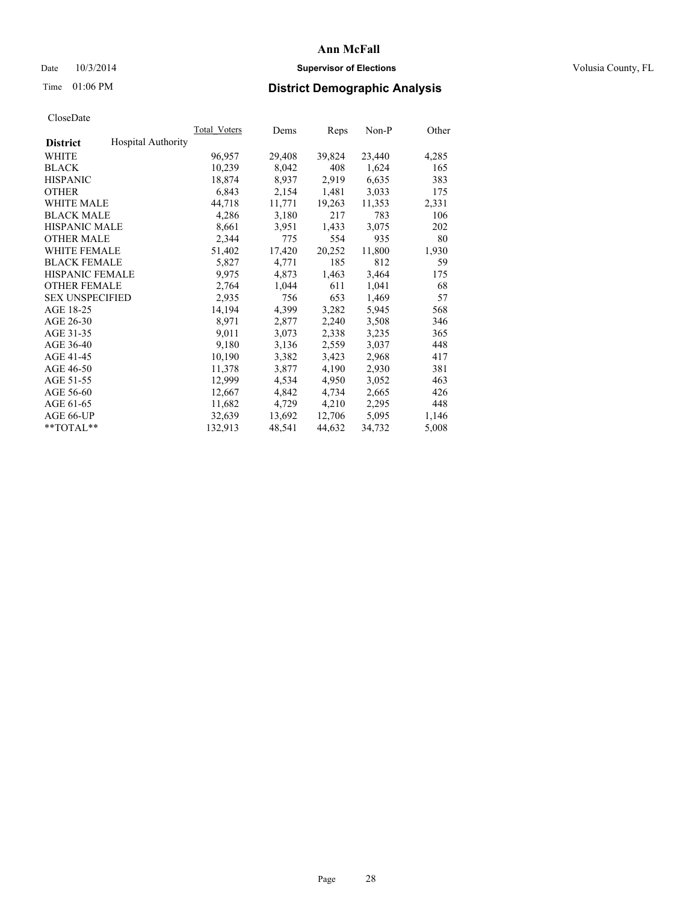## Date  $10/3/2014$  **Supervisor of Elections Supervisor of Elections** Volusia County, FL

# Time 01:06 PM **District Demographic Analysis**

|                        |                           | Total Voters | Dems   | <b>Reps</b> | Non-P  | Other |
|------------------------|---------------------------|--------------|--------|-------------|--------|-------|
| <b>District</b>        | <b>Hospital Authority</b> |              |        |             |        |       |
| WHITE                  |                           | 96,957       | 29,408 | 39,824      | 23,440 | 4,285 |
| <b>BLACK</b>           |                           | 10,239       | 8,042  | 408         | 1,624  | 165   |
| <b>HISPANIC</b>        |                           | 18,874       | 8,937  | 2,919       | 6,635  | 383   |
| <b>OTHER</b>           |                           | 6,843        | 2,154  | 1,481       | 3,033  | 175   |
| <b>WHITE MALE</b>      |                           | 44,718       | 11,771 | 19,263      | 11,353 | 2,331 |
| <b>BLACK MALE</b>      |                           | 4,286        | 3,180  | 217         | 783    | 106   |
| <b>HISPANIC MALE</b>   |                           | 8,661        | 3,951  | 1,433       | 3,075  | 202   |
| <b>OTHER MALE</b>      |                           | 2,344        | 775    | 554         | 935    | 80    |
| <b>WHITE FEMALE</b>    |                           | 51,402       | 17,420 | 20,252      | 11,800 | 1,930 |
| <b>BLACK FEMALE</b>    |                           | 5,827        | 4,771  | 185         | 812    | 59    |
| HISPANIC FEMALE        |                           | 9,975        | 4,873  | 1,463       | 3,464  | 175   |
| <b>OTHER FEMALE</b>    |                           | 2,764        | 1,044  | 611         | 1,041  | 68    |
| <b>SEX UNSPECIFIED</b> |                           | 2,935        | 756    | 653         | 1,469  | 57    |
| AGE 18-25              |                           | 14,194       | 4,399  | 3,282       | 5,945  | 568   |
| AGE 26-30              |                           | 8,971        | 2,877  | 2,240       | 3,508  | 346   |
| AGE 31-35              |                           | 9,011        | 3,073  | 2,338       | 3,235  | 365   |
| AGE 36-40              |                           | 9,180        | 3,136  | 2,559       | 3,037  | 448   |
| AGE 41-45              |                           | 10,190       | 3,382  | 3,423       | 2,968  | 417   |
| AGE 46-50              |                           | 11,378       | 3,877  | 4,190       | 2,930  | 381   |
| AGE 51-55              |                           | 12,999       | 4,534  | 4,950       | 3,052  | 463   |
| AGE 56-60              |                           | 12,667       | 4,842  | 4,734       | 2,665  | 426   |
| AGE 61-65              |                           | 11,682       | 4,729  | 4,210       | 2,295  | 448   |
| AGE 66-UP              |                           | 32,639       | 13,692 | 12,706      | 5,095  | 1,146 |
| $*$ $TOTAI.**$         |                           | 132,913      | 48,541 | 44,632      | 34,732 | 5,008 |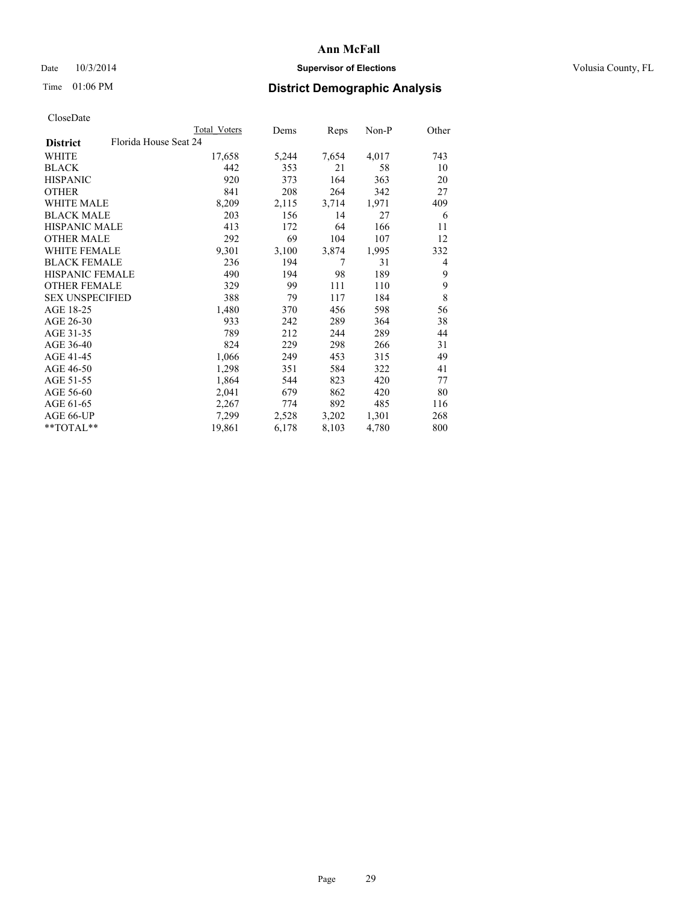## Date  $10/3/2014$  **Supervisor of Elections Supervisor of Elections** Volusia County, FL

# Time 01:06 PM **District Demographic Analysis**

|                                          | Total Voters | Dems  | Reps  | Non-P | Other |
|------------------------------------------|--------------|-------|-------|-------|-------|
| Florida House Seat 24<br><b>District</b> |              |       |       |       |       |
| WHITE                                    | 17,658       | 5,244 | 7,654 | 4,017 | 743   |
| <b>BLACK</b>                             | 442          | 353   | 21    | 58    | 10    |
| <b>HISPANIC</b>                          | 920          | 373   | 164   | 363   | 20    |
| <b>OTHER</b>                             | 841          | 208   | 264   | 342   | 27    |
| WHITE MALE                               | 8,209        | 2,115 | 3,714 | 1,971 | 409   |
| <b>BLACK MALE</b>                        | 203          | 156   | 14    | 27    | 6     |
| <b>HISPANIC MALE</b>                     | 413          | 172   | 64    | 166   | 11    |
| <b>OTHER MALE</b>                        | 292          | 69    | 104   | 107   | 12    |
| WHITE FEMALE                             | 9,301        | 3,100 | 3,874 | 1,995 | 332   |
| <b>BLACK FEMALE</b>                      | 236          | 194   | 7     | 31    | 4     |
| HISPANIC FEMALE                          | 490          | 194   | 98    | 189   | 9     |
| <b>OTHER FEMALE</b>                      | 329          | 99    | 111   | 110   | 9     |
| <b>SEX UNSPECIFIED</b>                   | 388          | 79    | 117   | 184   | 8     |
| AGE 18-25                                | 1,480        | 370   | 456   | 598   | 56    |
| AGE 26-30                                | 933          | 242   | 289   | 364   | 38    |
| AGE 31-35                                | 789          | 212   | 244   | 289   | 44    |
| AGE 36-40                                | 824          | 229   | 298   | 266   | 31    |
| AGE 41-45                                | 1,066        | 249   | 453   | 315   | 49    |
| AGE 46-50                                | 1,298        | 351   | 584   | 322   | 41    |
| AGE 51-55                                | 1,864        | 544   | 823   | 420   | 77    |
| AGE 56-60                                | 2,041        | 679   | 862   | 420   | 80    |
| AGE 61-65                                | 2,267        | 774   | 892   | 485   | 116   |
| AGE 66-UP                                | 7,299        | 2,528 | 3,202 | 1,301 | 268   |
| $*$ $TOTAL**$                            | 19,861       | 6,178 | 8,103 | 4,780 | 800   |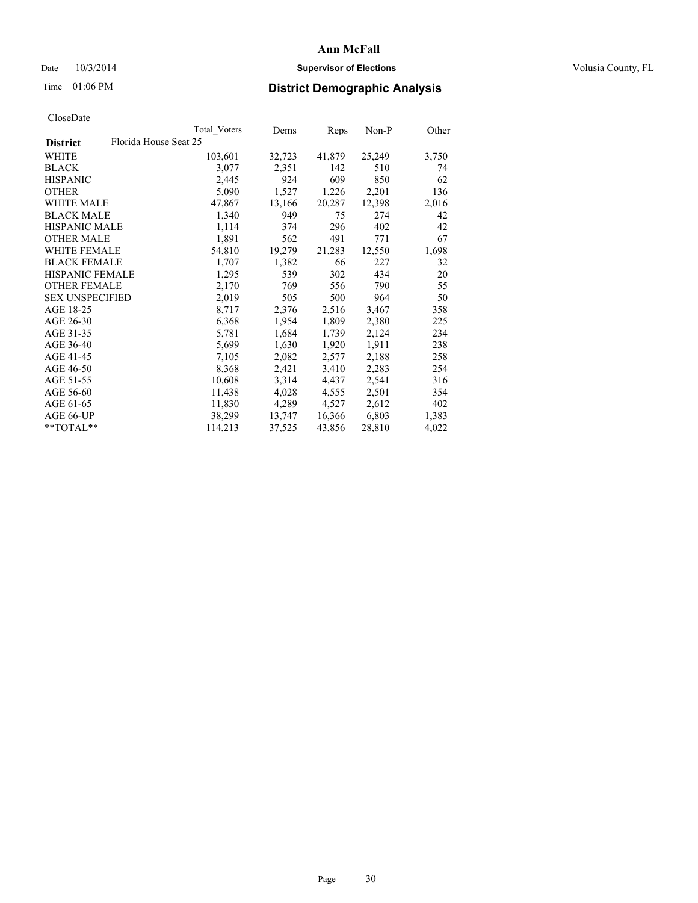## Date  $10/3/2014$  **Supervisor of Elections Supervisor of Elections** Volusia County, FL

# Time 01:06 PM **District Demographic Analysis**

|                                          | <b>Total Voters</b> | Dems   | Reps   | Non-P  | Other |
|------------------------------------------|---------------------|--------|--------|--------|-------|
| Florida House Seat 25<br><b>District</b> |                     |        |        |        |       |
| WHITE                                    | 103,601             | 32,723 | 41,879 | 25,249 | 3,750 |
| <b>BLACK</b>                             | 3,077               | 2,351  | 142    | 510    | 74    |
| <b>HISPANIC</b>                          | 2,445               | 924    | 609    | 850    | 62    |
| <b>OTHER</b>                             | 5,090               | 1,527  | 1,226  | 2,201  | 136   |
| WHITE MALE                               | 47,867              | 13,166 | 20,287 | 12,398 | 2,016 |
| <b>BLACK MALE</b>                        | 1,340               | 949    | 75     | 274    | 42    |
| <b>HISPANIC MALE</b>                     | 1,114               | 374    | 296    | 402    | 42    |
| <b>OTHER MALE</b>                        | 1,891               | 562    | 491    | 771    | 67    |
| WHITE FEMALE                             | 54,810              | 19,279 | 21,283 | 12,550 | 1,698 |
| <b>BLACK FEMALE</b>                      | 1,707               | 1,382  | 66     | 227    | 32    |
| HISPANIC FEMALE                          | 1,295               | 539    | 302    | 434    | 20    |
| <b>OTHER FEMALE</b>                      | 2,170               | 769    | 556    | 790    | 55    |
| <b>SEX UNSPECIFIED</b>                   | 2,019               | 505    | 500    | 964    | 50    |
| AGE 18-25                                | 8,717               | 2,376  | 2,516  | 3,467  | 358   |
| AGE 26-30                                | 6,368               | 1,954  | 1,809  | 2,380  | 225   |
| AGE 31-35                                | 5,781               | 1,684  | 1,739  | 2,124  | 234   |
| AGE 36-40                                | 5,699               | 1,630  | 1,920  | 1,911  | 238   |
| AGE 41-45                                | 7,105               | 2,082  | 2,577  | 2,188  | 258   |
| AGE 46-50                                | 8,368               | 2,421  | 3,410  | 2,283  | 254   |
| AGE 51-55                                | 10,608              | 3,314  | 4,437  | 2,541  | 316   |
| AGE 56-60                                | 11,438              | 4,028  | 4,555  | 2,501  | 354   |
| AGE 61-65                                | 11,830              | 4,289  | 4,527  | 2,612  | 402   |
| AGE 66-UP                                | 38,299              | 13,747 | 16,366 | 6,803  | 1,383 |
| **TOTAL**                                | 114,213             | 37,525 | 43,856 | 28,810 | 4,022 |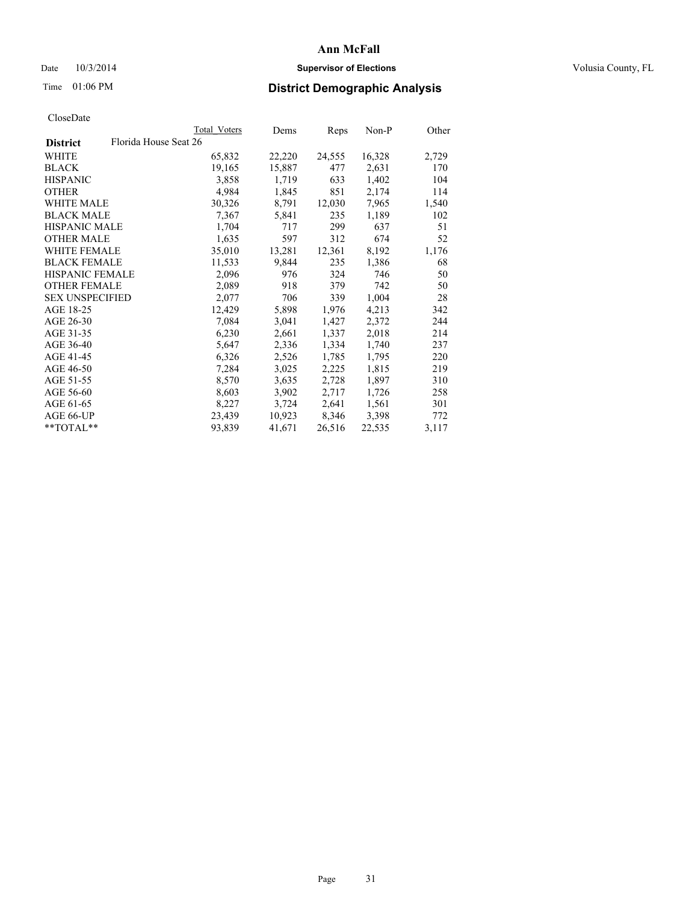## Date  $10/3/2014$  **Supervisor of Elections Supervisor of Elections** Volusia County, FL

# Time 01:06 PM **District Demographic Analysis**

|                                          | <b>Total Voters</b> | Dems   | Reps   | Non-P  | Other |
|------------------------------------------|---------------------|--------|--------|--------|-------|
| Florida House Seat 26<br><b>District</b> |                     |        |        |        |       |
| WHITE                                    | 65,832              | 22,220 | 24,555 | 16,328 | 2,729 |
| <b>BLACK</b>                             | 19,165              | 15,887 | 477    | 2,631  | 170   |
| <b>HISPANIC</b>                          | 3,858               | 1,719  | 633    | 1,402  | 104   |
| <b>OTHER</b>                             | 4,984               | 1,845  | 851    | 2,174  | 114   |
| <b>WHITE MALE</b>                        | 30,326              | 8,791  | 12,030 | 7,965  | 1,540 |
| <b>BLACK MALE</b>                        | 7,367               | 5,841  | 235    | 1,189  | 102   |
| <b>HISPANIC MALE</b>                     | 1,704               | 717    | 299    | 637    | 51    |
| <b>OTHER MALE</b>                        | 1,635               | 597    | 312    | 674    | 52    |
| <b>WHITE FEMALE</b>                      | 35,010              | 13,281 | 12,361 | 8,192  | 1,176 |
| <b>BLACK FEMALE</b>                      | 11,533              | 9,844  | 235    | 1,386  | 68    |
| HISPANIC FEMALE                          | 2,096               | 976    | 324    | 746    | 50    |
| <b>OTHER FEMALE</b>                      | 2,089               | 918    | 379    | 742    | 50    |
| <b>SEX UNSPECIFIED</b>                   | 2,077               | 706    | 339    | 1,004  | 28    |
| AGE 18-25                                | 12,429              | 5,898  | 1,976  | 4,213  | 342   |
| AGE 26-30                                | 7,084               | 3,041  | 1,427  | 2,372  | 244   |
| AGE 31-35                                | 6,230               | 2,661  | 1,337  | 2,018  | 214   |
| AGE 36-40                                | 5,647               | 2,336  | 1,334  | 1,740  | 237   |
| AGE 41-45                                | 6,326               | 2,526  | 1,785  | 1,795  | 220   |
| AGE 46-50                                | 7,284               | 3,025  | 2,225  | 1,815  | 219   |
| AGE 51-55                                | 8,570               | 3,635  | 2,728  | 1,897  | 310   |
| AGE 56-60                                | 8,603               | 3,902  | 2,717  | 1,726  | 258   |
| AGE 61-65                                | 8,227               | 3,724  | 2,641  | 1,561  | 301   |
| AGE 66-UP                                | 23,439              | 10,923 | 8,346  | 3,398  | 772   |
| $*$ $TOTAL**$                            | 93,839              | 41,671 | 26,516 | 22,535 | 3,117 |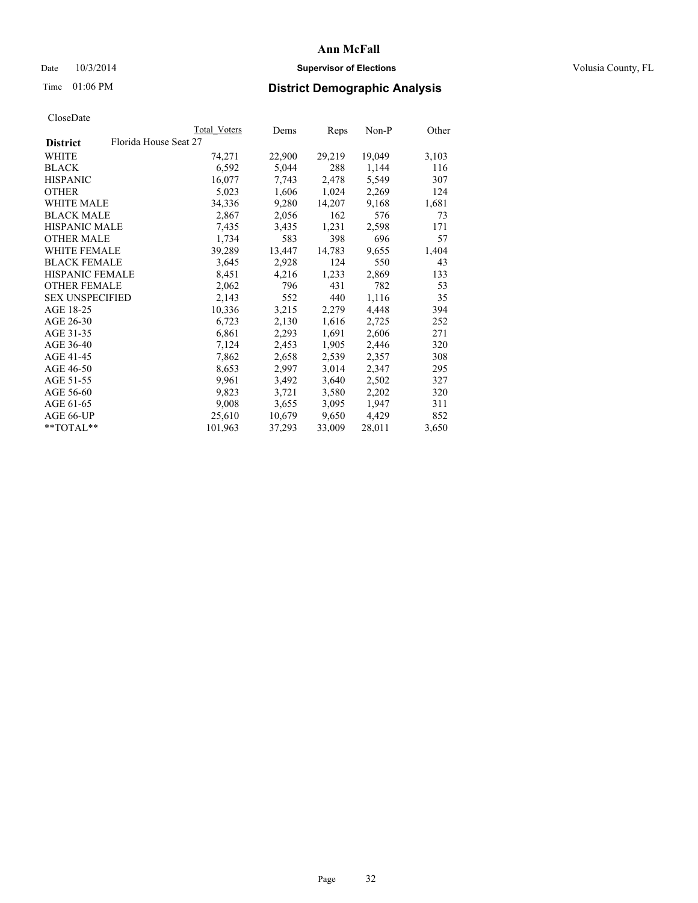## Date  $10/3/2014$  **Supervisor of Elections Supervisor of Elections** Volusia County, FL

# Time 01:06 PM **District Demographic Analysis**

|                        |                       | <b>Total Voters</b> | Dems   | Reps   | $Non-P$ | Other |
|------------------------|-----------------------|---------------------|--------|--------|---------|-------|
| <b>District</b>        | Florida House Seat 27 |                     |        |        |         |       |
| <b>WHITE</b>           |                       | 74,271              | 22,900 | 29,219 | 19,049  | 3,103 |
| <b>BLACK</b>           |                       | 6,592               | 5,044  | 288    | 1,144   | 116   |
| <b>HISPANIC</b>        |                       | 16,077              | 7,743  | 2,478  | 5,549   | 307   |
| <b>OTHER</b>           |                       | 5,023               | 1,606  | 1,024  | 2,269   | 124   |
| WHITE MALE             |                       | 34,336              | 9,280  | 14,207 | 9,168   | 1,681 |
| <b>BLACK MALE</b>      |                       | 2,867               | 2,056  | 162    | 576     | 73    |
| <b>HISPANIC MALE</b>   |                       | 7,435               | 3,435  | 1,231  | 2,598   | 171   |
| <b>OTHER MALE</b>      |                       | 1,734               | 583    | 398    | 696     | 57    |
| <b>WHITE FEMALE</b>    |                       | 39,289              | 13,447 | 14,783 | 9,655   | 1,404 |
| <b>BLACK FEMALE</b>    |                       | 3,645               | 2,928  | 124    | 550     | 43    |
| HISPANIC FEMALE        |                       | 8,451               | 4,216  | 1,233  | 2,869   | 133   |
| <b>OTHER FEMALE</b>    |                       | 2,062               | 796    | 431    | 782     | 53    |
| <b>SEX UNSPECIFIED</b> |                       | 2,143               | 552    | 440    | 1,116   | 35    |
| AGE 18-25              |                       | 10,336              | 3,215  | 2,279  | 4,448   | 394   |
| AGE 26-30              |                       | 6,723               | 2,130  | 1,616  | 2,725   | 252   |
| AGE 31-35              |                       | 6,861               | 2,293  | 1,691  | 2,606   | 271   |
| AGE 36-40              |                       | 7,124               | 2,453  | 1,905  | 2,446   | 320   |
| AGE 41-45              |                       | 7,862               | 2,658  | 2,539  | 2,357   | 308   |
| AGE 46-50              |                       | 8,653               | 2,997  | 3,014  | 2,347   | 295   |
| AGE 51-55              |                       | 9,961               | 3,492  | 3,640  | 2,502   | 327   |
| AGE 56-60              |                       | 9,823               | 3,721  | 3,580  | 2,202   | 320   |
| AGE 61-65              |                       | 9,008               | 3,655  | 3,095  | 1,947   | 311   |
| AGE 66-UP              |                       | 25,610              | 10,679 | 9,650  | 4,429   | 852   |
| $*$ TOTAL $*$          |                       | 101,963             | 37,293 | 33,009 | 28,011  | 3,650 |
|                        |                       |                     |        |        |         |       |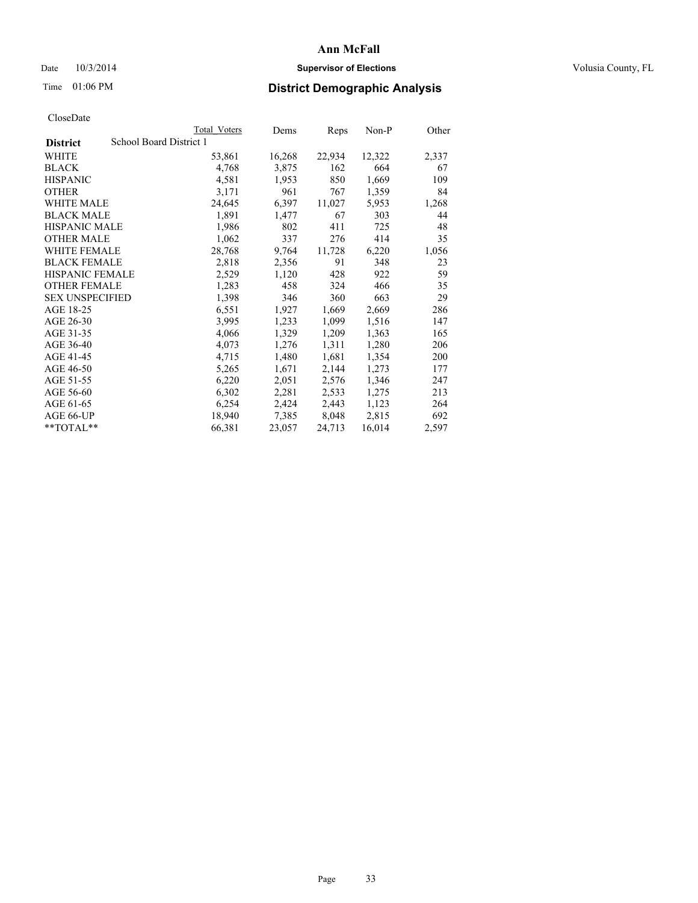## Date  $10/3/2014$  **Supervisor of Elections Supervisor of Elections** Volusia County, FL

# Time 01:06 PM **District Demographic Analysis**

|                        |                         | <b>Total Voters</b> | Dems   | <b>Reps</b> | Non-P  | Other |
|------------------------|-------------------------|---------------------|--------|-------------|--------|-------|
| <b>District</b>        | School Board District 1 |                     |        |             |        |       |
| WHITE                  |                         | 53,861              | 16,268 | 22,934      | 12,322 | 2,337 |
| <b>BLACK</b>           |                         | 4,768               | 3,875  | 162         | 664    | 67    |
| <b>HISPANIC</b>        |                         | 4,581               | 1,953  | 850         | 1,669  | 109   |
| OTHER                  |                         | 3,171               | 961    | 767         | 1,359  | 84    |
| WHITE MALE             |                         | 24,645              | 6,397  | 11,027      | 5,953  | 1,268 |
| <b>BLACK MALE</b>      |                         | 1,891               | 1,477  | 67          | 303    | 44    |
| <b>HISPANIC MALE</b>   |                         | 1,986               | 802    | 411         | 725    | 48    |
| OTHER MALE             |                         | 1,062               | 337    | 276         | 414    | 35    |
| <b>WHITE FEMALE</b>    |                         | 28,768              | 9,764  | 11,728      | 6,220  | 1,056 |
| <b>BLACK FEMALE</b>    |                         | 2,818               | 2,356  | 91          | 348    | 23    |
| <b>HISPANIC FEMALE</b> |                         | 2,529               | 1,120  | 428         | 922    | 59    |
| <b>OTHER FEMALE</b>    |                         | 1,283               | 458    | 324         | 466    | 35    |
| <b>SEX UNSPECIFIED</b> |                         | 1,398               | 346    | 360         | 663    | 29    |
| AGE 18-25              |                         | 6,551               | 1,927  | 1,669       | 2,669  | 286   |
| AGE 26-30              |                         | 3,995               | 1,233  | 1,099       | 1,516  | 147   |
| AGE 31-35              |                         | 4,066               | 1,329  | 1,209       | 1,363  | 165   |
| AGE 36-40              |                         | 4,073               | 1,276  | 1,311       | 1,280  | 206   |
| AGE 41-45              |                         | 4,715               | 1,480  | 1,681       | 1,354  | 200   |
| AGE 46-50              |                         | 5,265               | 1,671  | 2,144       | 1,273  | 177   |
| AGE 51-55              |                         | 6,220               | 2,051  | 2,576       | 1,346  | 247   |
| AGE 56-60              |                         | 6,302               | 2,281  | 2,533       | 1,275  | 213   |
| AGE 61-65              |                         | 6,254               | 2,424  | 2,443       | 1,123  | 264   |
| AGE 66-UP              |                         | 18,940              | 7.385  | 8,048       | 2,815  | 692   |
| **TOTAL**              |                         | 66,381              | 23,057 | 24,713      | 16,014 | 2,597 |
|                        |                         |                     |        |             |        |       |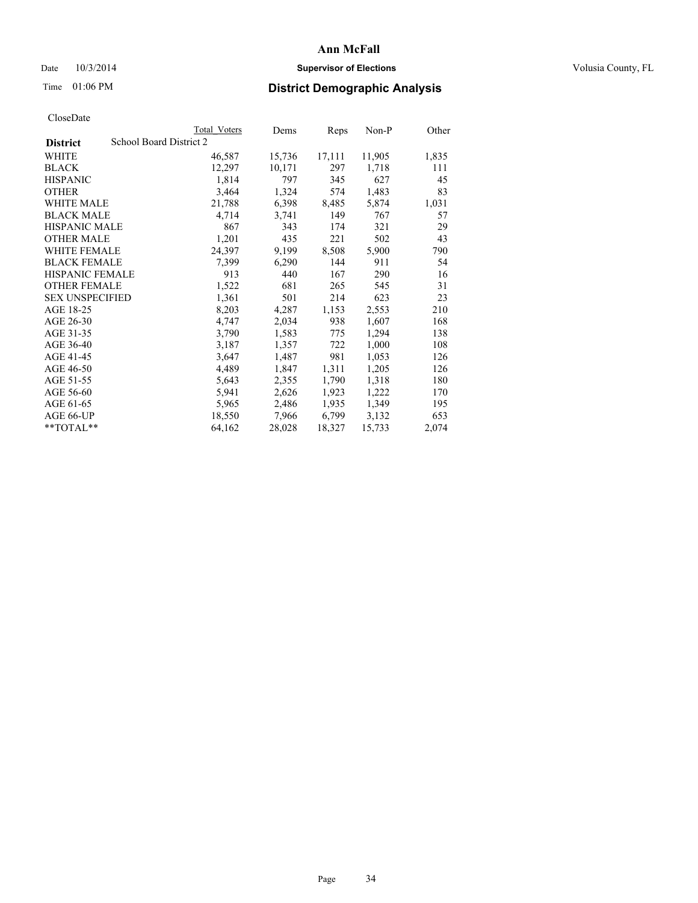## Date  $10/3/2014$  **Supervisor of Elections Supervisor of Elections** Volusia County, FL

# Time 01:06 PM **District Demographic Analysis**

|                                            | Total Voters | Dems   | <b>Reps</b> | Non-P  | Other |
|--------------------------------------------|--------------|--------|-------------|--------|-------|
| School Board District 2<br><b>District</b> |              |        |             |        |       |
| WHITE                                      | 46,587       | 15,736 | 17,111      | 11,905 | 1,835 |
| <b>BLACK</b>                               | 12,297       | 10,171 | 297         | 1,718  | 111   |
| <b>HISPANIC</b>                            | 1,814        | 797    | 345         | 627    | 45    |
| <b>OTHER</b>                               | 3,464        | 1,324  | 574         | 1,483  | 83    |
| <b>WHITE MALE</b>                          | 21,788       | 6,398  | 8,485       | 5,874  | 1,031 |
| <b>BLACK MALE</b>                          | 4,714        | 3,741  | 149         | 767    | 57    |
| HISPANIC MALE                              | 867          | 343    | 174         | 321    | 29    |
| <b>OTHER MALE</b>                          | 1,201        | 435    | 221         | 502    | 43    |
| <b>WHITE FEMALE</b>                        | 24,397       | 9,199  | 8,508       | 5,900  | 790   |
| <b>BLACK FEMALE</b>                        | 7.399        | 6,290  | 144         | 911    | 54    |
| <b>HISPANIC FEMALE</b>                     | 913          | 440    | 167         | 290    | 16    |
| <b>OTHER FEMALE</b>                        | 1,522        | 681    | 265         | 545    | 31    |
| <b>SEX UNSPECIFIED</b>                     | 1,361        | 501    | 214         | 623    | 23    |
| AGE 18-25                                  | 8,203        | 4,287  | 1,153       | 2,553  | 210   |
| AGE 26-30                                  | 4,747        | 2,034  | 938         | 1,607  | 168   |
| AGE 31-35                                  | 3,790        | 1,583  | 775         | 1,294  | 138   |
| AGE 36-40                                  | 3,187        | 1,357  | 722         | 1,000  | 108   |
| AGE 41-45                                  | 3,647        | 1,487  | 981         | 1,053  | 126   |
| AGE 46-50                                  | 4,489        | 1,847  | 1,311       | 1,205  | 126   |
| AGE 51-55                                  | 5,643        | 2,355  | 1,790       | 1,318  | 180   |
| AGE 56-60                                  | 5,941        | 2,626  | 1,923       | 1,222  | 170   |
| AGE 61-65                                  | 5,965        | 2,486  | 1,935       | 1,349  | 195   |
| AGE 66-UP                                  | 18,550       | 7,966  | 6,799       | 3,132  | 653   |
| $*$ $TOTAI.**$                             | 64,162       | 28,028 | 18,327      | 15,733 | 2,074 |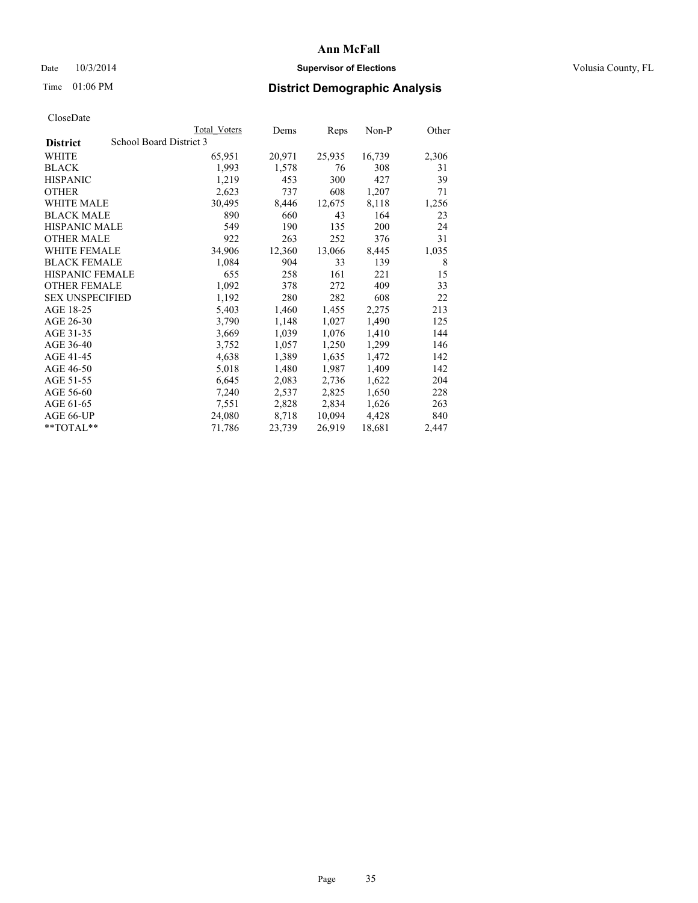## Date  $10/3/2014$  **Supervisor of Elections Supervisor of Elections** Volusia County, FL

# Time 01:06 PM **District Demographic Analysis**

|                        |                         | <b>Total Voters</b> | Dems   | <b>Reps</b> | Non-P  | Other |
|------------------------|-------------------------|---------------------|--------|-------------|--------|-------|
| <b>District</b>        | School Board District 3 |                     |        |             |        |       |
| WHITE                  |                         | 65,951              | 20,971 | 25,935      | 16,739 | 2,306 |
| <b>BLACK</b>           |                         | 1,993               | 1,578  | 76          | 308    | 31    |
| <b>HISPANIC</b>        |                         | 1,219               | 453    | 300         | 427    | 39    |
| <b>OTHER</b>           |                         | 2,623               | 737    | 608         | 1,207  | 71    |
| WHITE MALE             |                         | 30,495              | 8,446  | 12,675      | 8,118  | 1,256 |
| <b>BLACK MALE</b>      |                         | 890                 | 660    | 43          | 164    | 23    |
| <b>HISPANIC MALE</b>   |                         | 549                 | 190    | 135         | 200    | 24    |
| <b>OTHER MALE</b>      |                         | 922                 | 263    | 252         | 376    | 31    |
| <b>WHITE FEMALE</b>    |                         | 34,906              | 12,360 | 13,066      | 8,445  | 1,035 |
| <b>BLACK FEMALE</b>    |                         | 1,084               | 904    | 33          | 139    | 8     |
| <b>HISPANIC FEMALE</b> |                         | 655                 | 258    | 161         | 221    | 15    |
| <b>OTHER FEMALE</b>    |                         | 1,092               | 378    | 272         | 409    | 33    |
| <b>SEX UNSPECIFIED</b> |                         | 1,192               | 280    | 282         | 608    | 22    |
| AGE 18-25              |                         | 5,403               | 1,460  | 1,455       | 2,275  | 213   |
| AGE 26-30              |                         | 3,790               | 1,148  | 1,027       | 1,490  | 125   |
| AGE 31-35              |                         | 3,669               | 1,039  | 1,076       | 1,410  | 144   |
| AGE 36-40              |                         | 3,752               | 1,057  | 1,250       | 1,299  | 146   |
| AGE 41-45              |                         | 4,638               | 1,389  | 1,635       | 1,472  | 142   |
| AGE 46-50              |                         | 5,018               | 1,480  | 1,987       | 1,409  | 142   |
| AGE 51-55              |                         | 6,645               | 2,083  | 2,736       | 1,622  | 204   |
| AGE 56-60              |                         | 7,240               | 2,537  | 2,825       | 1,650  | 228   |
| AGE 61-65              |                         | 7,551               | 2,828  | 2,834       | 1,626  | 263   |
| AGE 66-UP              |                         | 24,080              | 8,718  | 10,094      | 4,428  | 840   |
| **TOTAL**              |                         | 71,786              | 23,739 | 26,919      | 18,681 | 2,447 |
|                        |                         |                     |        |             |        |       |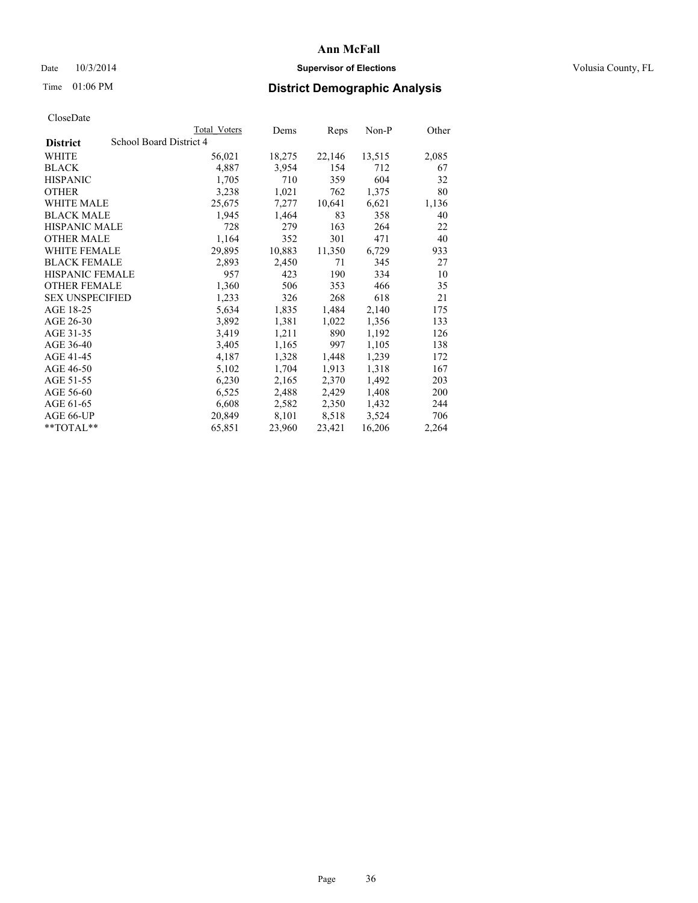## Date  $10/3/2014$  **Supervisor of Elections Supervisor of Elections** Volusia County, FL

# Time 01:06 PM **District Demographic Analysis**

|                                            | <b>Total Voters</b> | Dems   | Reps   | Non-P  | Other |
|--------------------------------------------|---------------------|--------|--------|--------|-------|
| School Board District 4<br><b>District</b> |                     |        |        |        |       |
| WHITE                                      | 56,021              | 18,275 | 22,146 | 13,515 | 2,085 |
| <b>BLACK</b>                               | 4,887               | 3,954  | 154    | 712    | 67    |
| <b>HISPANIC</b>                            | 1,705               | 710    | 359    | 604    | 32    |
| OTHER                                      | 3,238               | 1,021  | 762    | 1,375  | 80    |
| WHITE MALE                                 | 25,675              | 7,277  | 10,641 | 6,621  | 1,136 |
| <b>BLACK MALE</b>                          | 1,945               | 1,464  | 83     | 358    | 40    |
| <b>HISPANIC MALE</b>                       | 728                 | 279    | 163    | 264    | 22    |
| <b>OTHER MALE</b>                          | 1,164               | 352    | 301    | 471    | 40    |
| <b>WHITE FEMALE</b>                        | 29,895              | 10,883 | 11,350 | 6,729  | 933   |
| <b>BLACK FEMALE</b>                        | 2,893               | 2,450  | 71     | 345    | 27    |
| HISPANIC FEMALE                            | 957                 | 423    | 190    | 334    | 10    |
| <b>OTHER FEMALE</b>                        | 1,360               | 506    | 353    | 466    | 35    |
| <b>SEX UNSPECIFIED</b>                     | 1,233               | 326    | 268    | 618    | 21    |
| AGE 18-25                                  | 5,634               | 1,835  | 1,484  | 2,140  | 175   |
| AGE 26-30                                  | 3,892               | 1,381  | 1,022  | 1,356  | 133   |
| AGE 31-35                                  | 3,419               | 1,211  | 890    | 1,192  | 126   |
| AGE 36-40                                  | 3,405               | 1,165  | 997    | 1,105  | 138   |
| AGE 41-45                                  | 4,187               | 1,328  | 1,448  | 1,239  | 172   |
| AGE 46-50                                  | 5,102               | 1,704  | 1,913  | 1,318  | 167   |
| AGE 51-55                                  | 6,230               | 2,165  | 2,370  | 1,492  | 203   |
| AGE 56-60                                  | 6,525               | 2,488  | 2,429  | 1,408  | 200   |
| AGE 61-65                                  | 6,608               | 2,582  | 2,350  | 1,432  | 244   |
| AGE 66-UP                                  | 20,849              | 8,101  | 8,518  | 3,524  | 706   |
| $*$ $TOTAI.**$                             | 65,851              | 23,960 | 23,421 | 16,206 | 2,264 |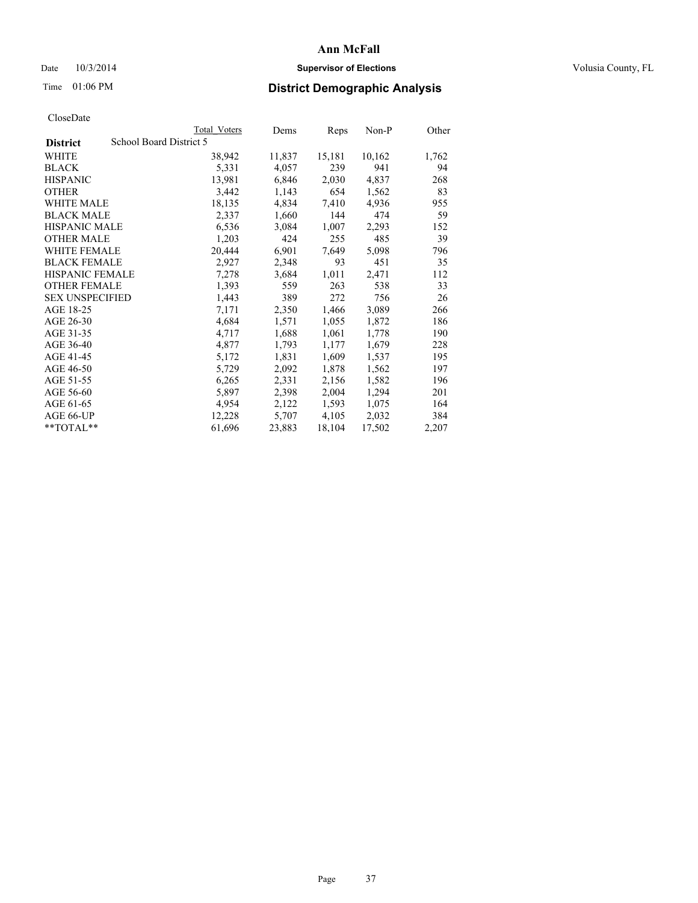## Date  $10/3/2014$  **Supervisor of Elections Supervisor of Elections** Volusia County, FL

## Time 01:06 PM **District Demographic Analysis**

|                                            | Total Voters | Dems   | Reps   | $Non-P$ | Other |
|--------------------------------------------|--------------|--------|--------|---------|-------|
| School Board District 5<br><b>District</b> |              |        |        |         |       |
| WHITE                                      | 38,942       | 11,837 | 15,181 | 10,162  | 1,762 |
| <b>BLACK</b>                               | 5,331        | 4,057  | 239    | 941     | 94    |
| <b>HISPANIC</b>                            | 13,981       | 6,846  | 2,030  | 4,837   | 268   |
| <b>OTHER</b>                               | 3,442        | 1,143  | 654    | 1,562   | 83    |
| <b>WHITE MALE</b>                          | 18,135       | 4,834  | 7,410  | 4,936   | 955   |
| <b>BLACK MALE</b>                          | 2,337        | 1,660  | 144    | 474     | 59    |
| <b>HISPANIC MALE</b>                       | 6,536        | 3,084  | 1,007  | 2,293   | 152   |
| <b>OTHER MALE</b>                          | 1,203        | 424    | 255    | 485     | 39    |
| <b>WHITE FEMALE</b>                        | 20,444       | 6,901  | 7,649  | 5,098   | 796   |
| <b>BLACK FEMALE</b>                        | 2,927        | 2,348  | 93     | 451     | 35    |
| <b>HISPANIC FEMALE</b>                     | 7,278        | 3,684  | 1,011  | 2,471   | 112   |
| <b>OTHER FEMALE</b>                        | 1,393        | 559    | 263    | 538     | 33    |
| <b>SEX UNSPECIFIED</b>                     | 1,443        | 389    | 272    | 756     | 26    |
| AGE 18-25                                  | 7,171        | 2,350  | 1,466  | 3,089   | 266   |
| AGE 26-30                                  | 4,684        | 1,571  | 1,055  | 1,872   | 186   |
| AGE 31-35                                  | 4,717        | 1,688  | 1,061  | 1,778   | 190   |
| AGE 36-40                                  | 4,877        | 1,793  | 1,177  | 1,679   | 228   |
| AGE 41-45                                  | 5,172        | 1,831  | 1,609  | 1,537   | 195   |
| AGE 46-50                                  | 5,729        | 2,092  | 1,878  | 1,562   | 197   |
| AGE 51-55                                  | 6,265        | 2,331  | 2,156  | 1,582   | 196   |
| AGE 56-60                                  | 5,897        | 2,398  | 2,004  | 1,294   | 201   |
| AGE 61-65                                  | 4,954        | 2,122  | 1,593  | 1,075   | 164   |
| AGE 66-UP                                  | 12,228       | 5,707  | 4,105  | 2,032   | 384   |
| $*$ TOTAL $*$                              | 61,696       | 23,883 | 18,104 | 17,502  | 2,207 |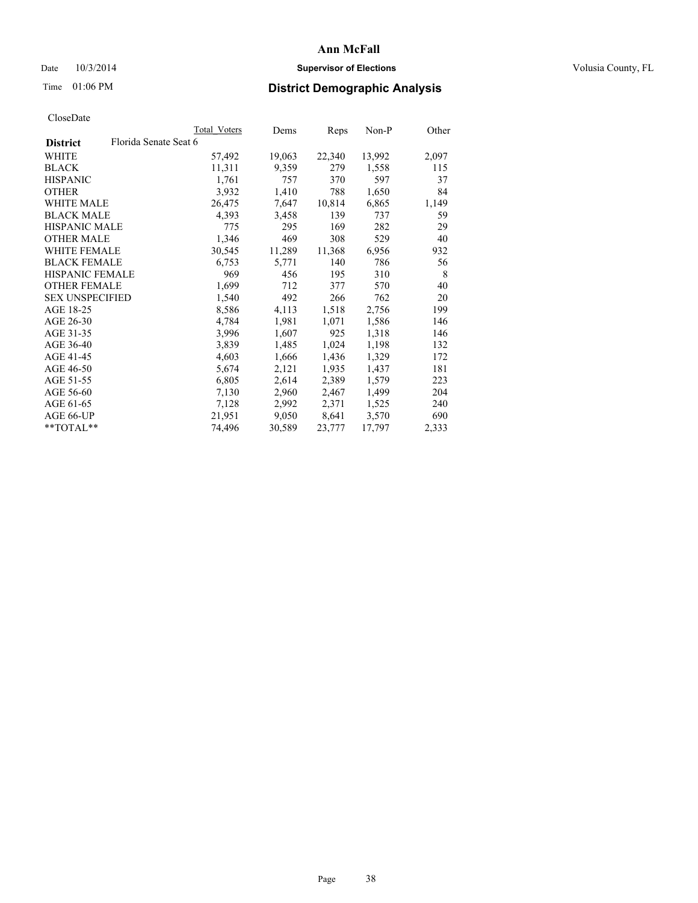## Date  $10/3/2014$  **Supervisor of Elections Supervisor of Elections** Volusia County, FL

## Time 01:06 PM **District Demographic Analysis**

|                        |                       | Total Voters | Dems   | <b>Reps</b> | Non-P  | Other |
|------------------------|-----------------------|--------------|--------|-------------|--------|-------|
| <b>District</b>        | Florida Senate Seat 6 |              |        |             |        |       |
| WHITE                  |                       | 57,492       | 19,063 | 22,340      | 13,992 | 2,097 |
| <b>BLACK</b>           |                       | 11,311       | 9,359  | 279         | 1,558  | 115   |
| <b>HISPANIC</b>        |                       | 1,761        | 757    | 370         | 597    | 37    |
| <b>OTHER</b>           |                       | 3,932        | 1,410  | 788         | 1,650  | 84    |
| <b>WHITE MALE</b>      |                       | 26,475       | 7,647  | 10,814      | 6,865  | 1,149 |
| <b>BLACK MALE</b>      |                       | 4,393        | 3,458  | 139         | 737    | 59    |
| <b>HISPANIC MALE</b>   |                       | 775          | 295    | 169         | 282    | 29    |
| <b>OTHER MALE</b>      |                       | 1,346        | 469    | 308         | 529    | 40    |
| WHITE FEMALE           |                       | 30,545       | 11,289 | 11,368      | 6,956  | 932   |
| <b>BLACK FEMALE</b>    |                       | 6,753        | 5,771  | 140         | 786    | 56    |
| <b>HISPANIC FEMALE</b> |                       | 969          | 456    | 195         | 310    | 8     |
| <b>OTHER FEMALE</b>    |                       | 1,699        | 712    | 377         | 570    | 40    |
| <b>SEX UNSPECIFIED</b> |                       | 1,540        | 492    | 266         | 762    | 20    |
| AGE 18-25              |                       | 8,586        | 4,113  | 1,518       | 2,756  | 199   |
| AGE 26-30              |                       | 4,784        | 1,981  | 1,071       | 1,586  | 146   |
| AGE 31-35              |                       | 3,996        | 1,607  | 925         | 1,318  | 146   |
| AGE 36-40              |                       | 3,839        | 1,485  | 1,024       | 1,198  | 132   |
| AGE 41-45              |                       | 4,603        | 1,666  | 1,436       | 1,329  | 172   |
| AGE 46-50              |                       | 5,674        | 2,121  | 1,935       | 1,437  | 181   |
| AGE 51-55              |                       | 6,805        | 2,614  | 2,389       | 1,579  | 223   |
| AGE 56-60              |                       | 7,130        | 2,960  | 2,467       | 1,499  | 204   |
| AGE 61-65              |                       | 7,128        | 2,992  | 2,371       | 1,525  | 240   |
| AGE 66-UP              |                       | 21,951       | 9,050  | 8,641       | 3,570  | 690   |
| $*$ $TOTAI.**$         |                       | 74,496       | 30,589 | 23,777      | 17,797 | 2,333 |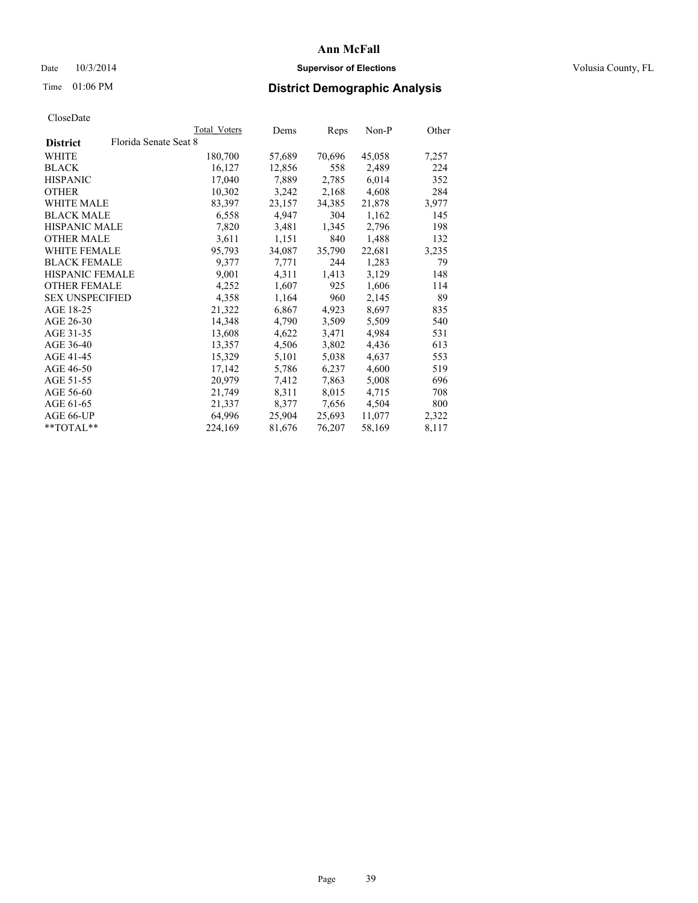## Date  $10/3/2014$  **Supervisor of Elections Supervisor of Elections** Volusia County, FL

## Time 01:06 PM **District Demographic Analysis**

|                        | Total Voters          | Dems              | Reps   | $Non-P$ | Other |
|------------------------|-----------------------|-------------------|--------|---------|-------|
| <b>District</b>        | Florida Senate Seat 8 |                   |        |         |       |
| WHITE                  |                       | 180,700<br>57,689 | 70,696 | 45,058  | 7,257 |
| <b>BLACK</b>           |                       | 16,127<br>12,856  | 558    | 2,489   | 224   |
| <b>HISPANIC</b>        |                       | 17,040<br>7,889   | 2,785  | 6,014   | 352   |
| <b>OTHER</b>           |                       | 10,302<br>3,242   | 2,168  | 4,608   | 284   |
| WHITE MALE             |                       | 83,397<br>23,157  | 34,385 | 21,878  | 3,977 |
| <b>BLACK MALE</b>      |                       | 6,558<br>4,947    | 304    | 1,162   | 145   |
| <b>HISPANIC MALE</b>   |                       | 7,820<br>3,481    | 1,345  | 2,796   | 198   |
| <b>OTHER MALE</b>      |                       | 3,611<br>1,151    | 840    | 1,488   | 132   |
| <b>WHITE FEMALE</b>    |                       | 95,793<br>34,087  | 35,790 | 22,681  | 3,235 |
| <b>BLACK FEMALE</b>    |                       | 9,377<br>7,771    | 244    | 1,283   | 79    |
| HISPANIC FEMALE        |                       | 9,001<br>4,311    | 1,413  | 3,129   | 148   |
| <b>OTHER FEMALE</b>    |                       | 1,607<br>4,252    | 925    | 1,606   | 114   |
| <b>SEX UNSPECIFIED</b> |                       | 4,358<br>1,164    | 960    | 2,145   | 89    |
| AGE 18-25              |                       | 21,322<br>6,867   | 4,923  | 8,697   | 835   |
| AGE 26-30              |                       | 14,348<br>4,790   | 3,509  | 5,509   | 540   |
| AGE 31-35              |                       | 13,608<br>4,622   | 3,471  | 4,984   | 531   |
| AGE 36-40              |                       | 13,357<br>4,506   | 3,802  | 4,436   | 613   |
| AGE 41-45              |                       | 5,101<br>15,329   | 5,038  | 4,637   | 553   |
| AGE 46-50              |                       | 17,142<br>5,786   | 6,237  | 4,600   | 519   |
| AGE 51-55              |                       | 20,979<br>7,412   | 7,863  | 5,008   | 696   |
| AGE 56-60              |                       | 21,749<br>8,311   | 8,015  | 4,715   | 708   |
| AGE 61-65              |                       | 8,377<br>21,337   | 7,656  | 4,504   | 800   |
| AGE 66-UP              |                       | 25,904<br>64,996  | 25,693 | 11,077  | 2,322 |
| $*$ TOTAL $*$          |                       | 224,169<br>81,676 | 76,207 | 58,169  | 8,117 |
|                        |                       |                   |        |         |       |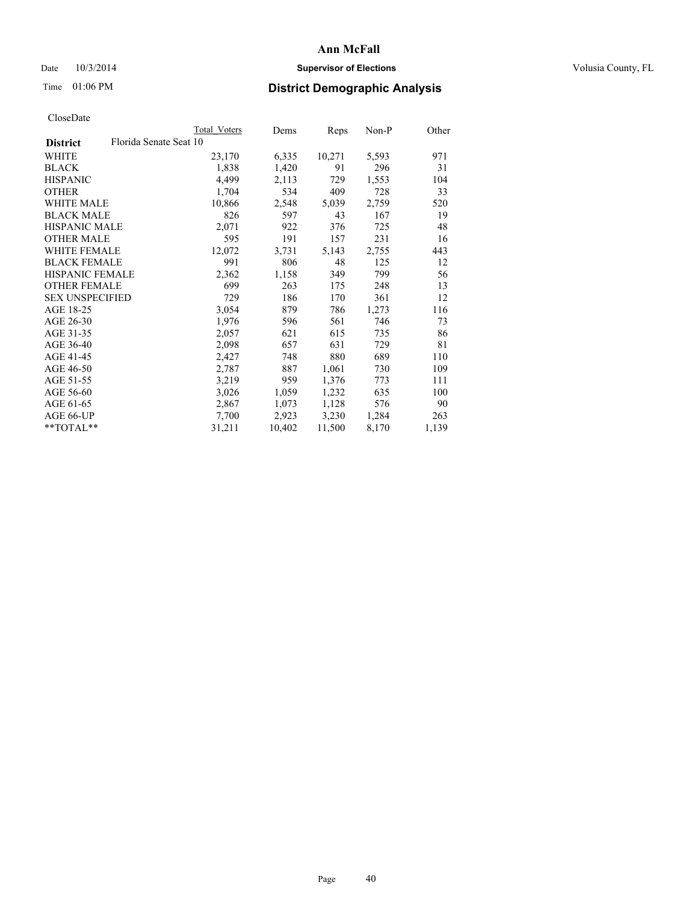## Date  $10/3/2014$  **Supervisor of Elections Supervisor of Elections** Volusia County, FL

## Time 01:06 PM **District Demographic Analysis**

|                                           | Total Voters | Dems   | Reps   | Non-P | Other |
|-------------------------------------------|--------------|--------|--------|-------|-------|
| Florida Senate Seat 10<br><b>District</b> |              |        |        |       |       |
| WHITE                                     | 23,170       | 6,335  | 10,271 | 5,593 | 971   |
| <b>BLACK</b>                              | 1,838        | 1,420  | 91     | 296   | 31    |
| <b>HISPANIC</b>                           | 4,499        | 2,113  | 729    | 1,553 | 104   |
| <b>OTHER</b>                              | 1,704        | 534    | 409    | 728   | 33    |
| WHITE MALE                                | 10,866       | 2,548  | 5,039  | 2,759 | 520   |
| <b>BLACK MALE</b>                         | 826          | 597    | 43     | 167   | 19    |
| <b>HISPANIC MALE</b>                      | 2,071        | 922    | 376    | 725   | 48    |
| <b>OTHER MALE</b>                         | 595          | 191    | 157    | 231   | 16    |
| <b>WHITE FEMALE</b>                       | 12,072       | 3,731  | 5,143  | 2,755 | 443   |
| <b>BLACK FEMALE</b>                       | 991          | 806    | 48     | 125   | 12    |
| <b>HISPANIC FEMALE</b>                    | 2,362        | 1,158  | 349    | 799   | 56    |
| <b>OTHER FEMALE</b>                       | 699          | 263    | 175    | 248   | 13    |
| <b>SEX UNSPECIFIED</b>                    | 729          | 186    | 170    | 361   | 12    |
| AGE 18-25                                 | 3,054        | 879    | 786    | 1,273 | 116   |
| AGE 26-30                                 | 1,976        | 596    | 561    | 746   | 73    |
| AGE 31-35                                 | 2,057        | 621    | 615    | 735   | 86    |
| AGE 36-40                                 | 2,098        | 657    | 631    | 729   | 81    |
| AGE 41-45                                 | 2,427        | 748    | 880    | 689   | 110   |
| AGE 46-50                                 | 2,787        | 887    | 1,061  | 730   | 109   |
| AGE 51-55                                 | 3,219        | 959    | 1,376  | 773   | 111   |
| AGE 56-60                                 | 3,026        | 1,059  | 1,232  | 635   | 100   |
| AGE 61-65                                 | 2,867        | 1,073  | 1,128  | 576   | 90    |
| AGE 66-UP                                 | 7,700        | 2,923  | 3,230  | 1,284 | 263   |
| $*$ TOTAL $*$                             | 31,211       | 10,402 | 11,500 | 8,170 | 1,139 |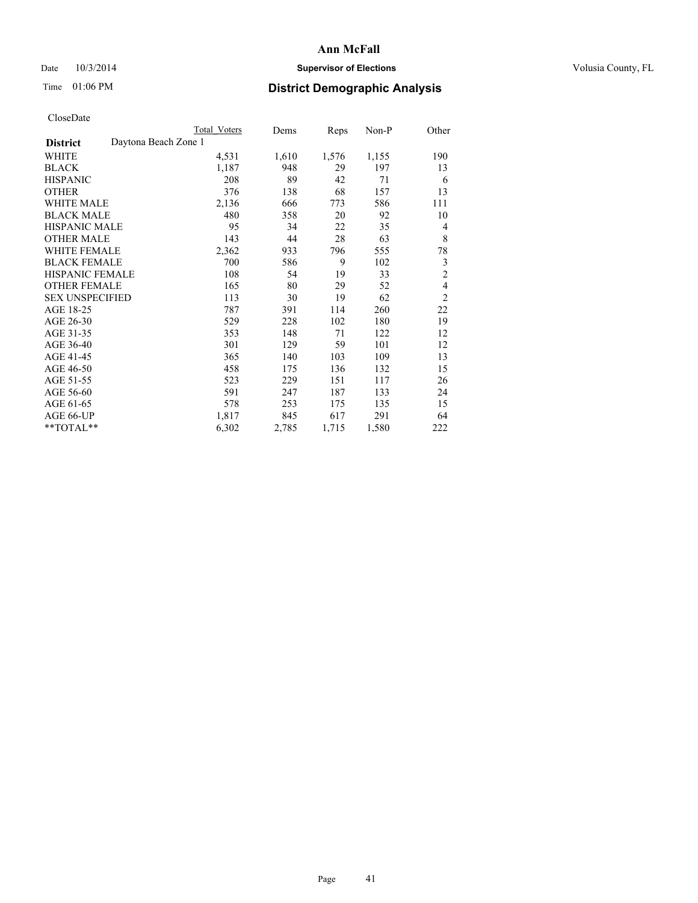## Date  $10/3/2014$  **Supervisor of Elections Supervisor of Elections** Volusia County, FL

## Time 01:06 PM **District Demographic Analysis**

|                        |                      | <b>Total Voters</b> | Dems  | Reps  | $Non-P$ | Other          |
|------------------------|----------------------|---------------------|-------|-------|---------|----------------|
| <b>District</b>        | Daytona Beach Zone 1 |                     |       |       |         |                |
| WHITE                  |                      | 4,531               | 1,610 | 1,576 | 1,155   | 190            |
| <b>BLACK</b>           |                      | 1,187               | 948   | 29    | 197     | 13             |
| <b>HISPANIC</b>        |                      | 208                 | 89    | 42    | 71      | 6              |
| <b>OTHER</b>           |                      | 376                 | 138   | 68    | 157     | 13             |
| <b>WHITE MALE</b>      |                      | 2,136               | 666   | 773   | 586     | 111            |
| <b>BLACK MALE</b>      |                      | 480                 | 358   | 20    | 92      | 10             |
| <b>HISPANIC MALE</b>   |                      | 95                  | 34    | 22    | 35      | 4              |
| <b>OTHER MALE</b>      |                      | 143                 | 44    | 28    | 63      | 8              |
| <b>WHITE FEMALE</b>    |                      | 2,362               | 933   | 796   | 555     | 78             |
| <b>BLACK FEMALE</b>    |                      | 700                 | 586   | 9     | 102     | 3              |
| HISPANIC FEMALE        |                      | 108                 | 54    | 19    | 33      | $\overline{c}$ |
| <b>OTHER FEMALE</b>    |                      | 165                 | 80    | 29    | 52      | $\overline{4}$ |
| <b>SEX UNSPECIFIED</b> |                      | 113                 | 30    | 19    | 62      | $\overline{2}$ |
| AGE 18-25              |                      | 787                 | 391   | 114   | 260     | 22             |
| AGE 26-30              |                      | 529                 | 228   | 102   | 180     | 19             |
| AGE 31-35              |                      | 353                 | 148   | 71    | 122     | 12             |
| AGE 36-40              |                      | 301                 | 129   | 59    | 101     | 12             |
| AGE 41-45              |                      | 365                 | 140   | 103   | 109     | 13             |
| AGE 46-50              |                      | 458                 | 175   | 136   | 132     | 15             |
| AGE 51-55              |                      | 523                 | 229   | 151   | 117     | 26             |
| AGE 56-60              |                      | 591                 | 247   | 187   | 133     | 24             |
| AGE 61-65              |                      | 578                 | 253   | 175   | 135     | 15             |
| AGE 66-UP              |                      | 1,817               | 845   | 617   | 291     | 64             |
| **TOTAL**              |                      | 6,302               | 2,785 | 1,715 | 1,580   | 222            |
|                        |                      |                     |       |       |         |                |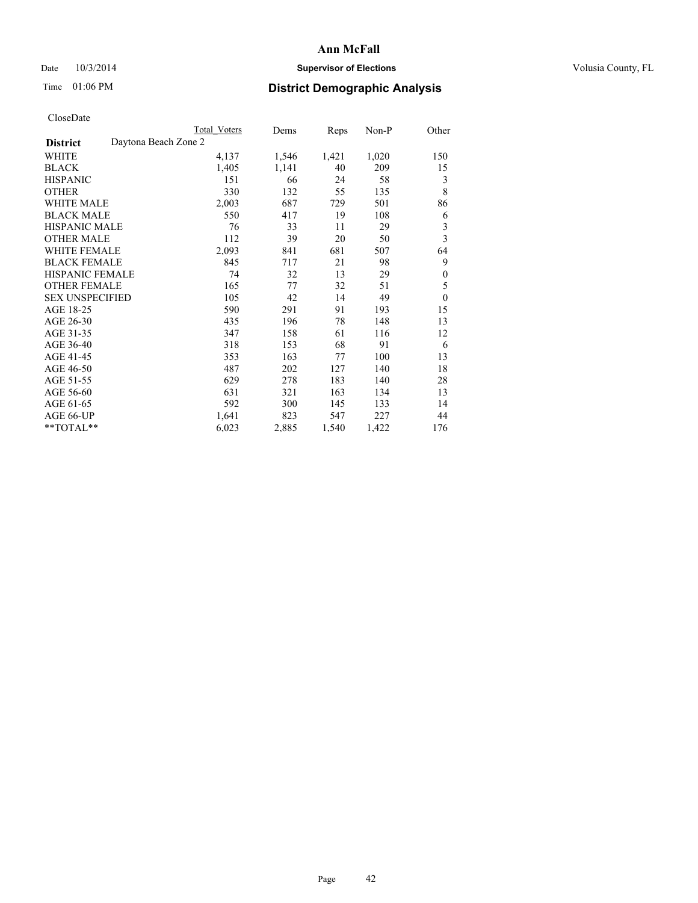## Date  $10/3/2014$  **Supervisor of Elections Supervisor of Elections** Volusia County, FL

|                                         | Total Voters | Dems  | Reps  | Non-P | Other            |
|-----------------------------------------|--------------|-------|-------|-------|------------------|
| Daytona Beach Zone 2<br><b>District</b> |              |       |       |       |                  |
| WHITE                                   | 4,137        | 1,546 | 1,421 | 1,020 | 150              |
| <b>BLACK</b>                            | 1,405        | 1,141 | 40    | 209   | 15               |
| <b>HISPANIC</b>                         | 151          | 66    | 24    | 58    | 3                |
| <b>OTHER</b>                            | 330          | 132   | 55    | 135   | 8                |
| <b>WHITE MALE</b>                       | 2,003        | 687   | 729   | 501   | 86               |
| <b>BLACK MALE</b>                       | 550          | 417   | 19    | 108   | 6                |
| HISPANIC MALE                           | 76           | 33    | 11    | 29    | 3                |
| <b>OTHER MALE</b>                       | 112          | 39    | 20    | 50    | 3                |
| <b>WHITE FEMALE</b>                     | 2,093        | 841   | 681   | 507   | 64               |
| <b>BLACK FEMALE</b>                     | 845          | 717   | 21    | 98    | 9                |
| <b>HISPANIC FEMALE</b>                  | 74           | 32    | 13    | 29    | $\boldsymbol{0}$ |
| <b>OTHER FEMALE</b>                     | 165          | 77    | 32    | 51    | 5                |
| <b>SEX UNSPECIFIED</b>                  | 105          | 42    | 14    | 49    | $\boldsymbol{0}$ |
| AGE 18-25                               | 590          | 291   | 91    | 193   | 15               |
| AGE 26-30                               | 435          | 196   | 78    | 148   | 13               |
| AGE 31-35                               | 347          | 158   | 61    | 116   | 12               |
| AGE 36-40                               | 318          | 153   | 68    | 91    | 6                |
| AGE 41-45                               | 353          | 163   | 77    | 100   | 13               |
| AGE 46-50                               | 487          | 202   | 127   | 140   | 18               |
| AGE 51-55                               | 629          | 278   | 183   | 140   | 28               |
| AGE 56-60                               | 631          | 321   | 163   | 134   | 13               |
| AGE 61-65                               | 592          | 300   | 145   | 133   | 14               |
| AGE 66-UP                               | 1,641        | 823   | 547   | 227   | 44               |
| **TOTAL**                               | 6,023        | 2,885 | 1,540 | 1,422 | 176              |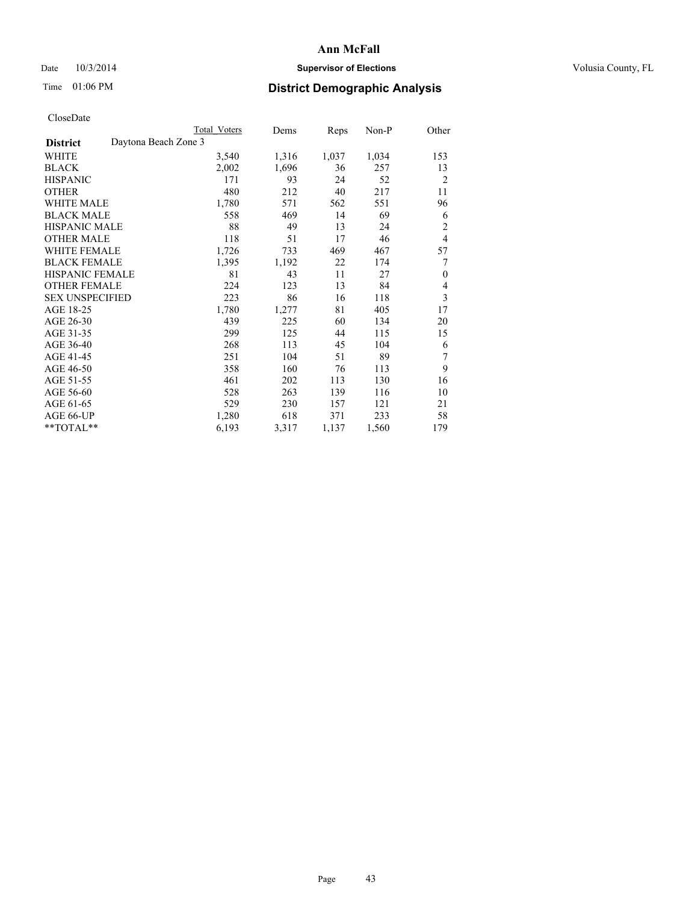## Date  $10/3/2014$  **Supervisor of Elections Supervisor of Elections** Volusia County, FL

## Time 01:06 PM **District Demographic Analysis**

|                                         | <b>Total Voters</b> | Dems  | Reps  | Non-P | Other          |
|-----------------------------------------|---------------------|-------|-------|-------|----------------|
| Daytona Beach Zone 3<br><b>District</b> |                     |       |       |       |                |
| WHITE                                   | 3,540               | 1,316 | 1,037 | 1,034 | 153            |
| <b>BLACK</b>                            | 2,002               | 1,696 | 36    | 257   | 13             |
| <b>HISPANIC</b>                         | 171                 | 93    | 24    | 52    | $\overline{2}$ |
| <b>OTHER</b>                            | 480                 | 212   | 40    | 217   | 11             |
| WHITE MALE                              | 1,780               | 571   | 562   | 551   | 96             |
| <b>BLACK MALE</b>                       | 558                 | 469   | 14    | 69    | 6              |
| <b>HISPANIC MALE</b>                    | 88                  | 49    | 13    | 24    | $\overline{2}$ |
| <b>OTHER MALE</b>                       | 118                 | 51    | 17    | 46    | $\overline{4}$ |
| <b>WHITE FEMALE</b>                     | 1,726               | 733   | 469   | 467   | 57             |
| <b>BLACK FEMALE</b>                     | 1,395               | 1,192 | 22    | 174   | 7              |
| HISPANIC FEMALE                         | 81                  | 43    | 11    | 27    | $\theta$       |
| <b>OTHER FEMALE</b>                     | 224                 | 123   | 13    | 84    | 4              |
| <b>SEX UNSPECIFIED</b>                  | 223                 | 86    | 16    | 118   | 3              |
| AGE 18-25                               | 1,780               | 1,277 | 81    | 405   | 17             |
| AGE 26-30                               | 439                 | 225   | 60    | 134   | 20             |
| AGE 31-35                               | 299                 | 125   | 44    | 115   | 15             |
| AGE 36-40                               | 268                 | 113   | 45    | 104   | 6              |
| AGE 41-45                               | 251                 | 104   | 51    | 89    | 7              |
| AGE 46-50                               | 358                 | 160   | 76    | 113   | 9              |
| AGE 51-55                               | 461                 | 202   | 113   | 130   | 16             |
| AGE 56-60                               | 528                 | 263   | 139   | 116   | 10             |
| AGE 61-65                               | 529                 | 230   | 157   | 121   | 21             |
| AGE 66-UP                               | 1,280               | 618   | 371   | 233   | 58             |
| **TOTAL**                               | 6,193               | 3,317 | 1,137 | 1,560 | 179            |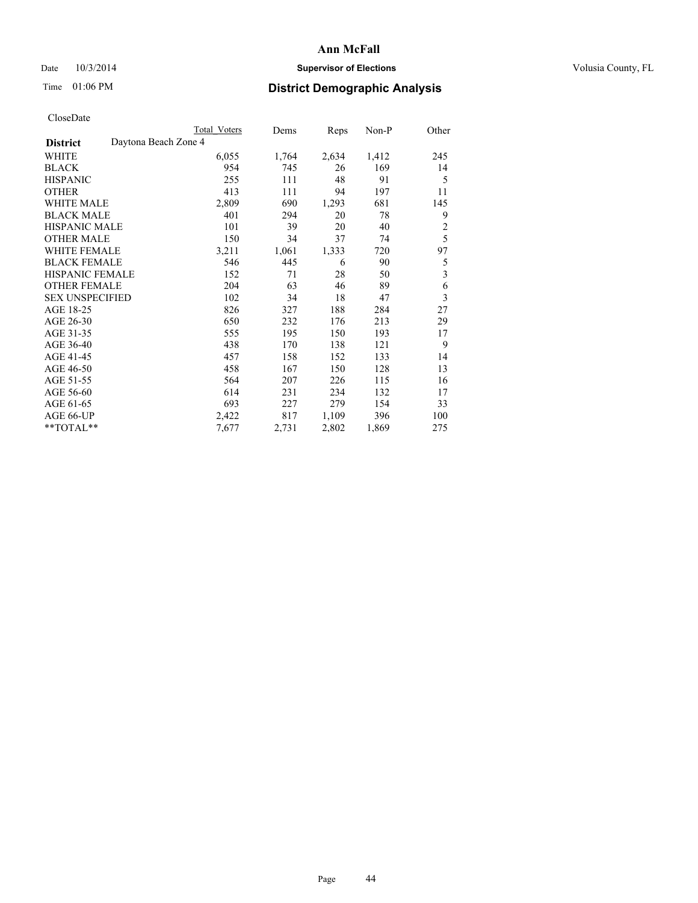## Date  $10/3/2014$  **Supervisor of Elections Supervisor of Elections** Volusia County, FL

## Time 01:06 PM **District Demographic Analysis**

|                        |                      | <b>Total Voters</b> | Dems  | Reps  | Non-P | Other          |
|------------------------|----------------------|---------------------|-------|-------|-------|----------------|
| <b>District</b>        | Daytona Beach Zone 4 |                     |       |       |       |                |
| WHITE                  |                      | 6,055               | 1,764 | 2,634 | 1,412 | 245            |
| <b>BLACK</b>           |                      | 954                 | 745   | 26    | 169   | 14             |
| <b>HISPANIC</b>        |                      | 255                 | 111   | 48    | 91    | 5              |
| <b>OTHER</b>           |                      | 413                 | 111   | 94    | 197   | 11             |
| WHITE MALE             |                      | 2,809               | 690   | 1,293 | 681   | 145            |
| <b>BLACK MALE</b>      |                      | 401                 | 294   | 20    | 78    | 9              |
| <b>HISPANIC MALE</b>   |                      | 101                 | 39    | 20    | 40    | $\overline{2}$ |
| <b>OTHER MALE</b>      |                      | 150                 | 34    | 37    | 74    | 5              |
| WHITE FEMALE           |                      | 3,211               | 1,061 | 1,333 | 720   | 97             |
| <b>BLACK FEMALE</b>    |                      | 546                 | 445   | 6     | 90    | 5              |
| <b>HISPANIC FEMALE</b> |                      | 152                 | 71    | 28    | 50    | 3              |
| <b>OTHER FEMALE</b>    |                      | 204                 | 63    | 46    | 89    | 6              |
| <b>SEX UNSPECIFIED</b> |                      | 102                 | 34    | 18    | 47    | 3              |
| AGE 18-25              |                      | 826                 | 327   | 188   | 284   | 27             |
| AGE 26-30              |                      | 650                 | 232   | 176   | 213   | 29             |
| AGE 31-35              |                      | 555                 | 195   | 150   | 193   | 17             |
| AGE 36-40              |                      | 438                 | 170   | 138   | 121   | 9              |
| AGE 41-45              |                      | 457                 | 158   | 152   | 133   | 14             |
| AGE 46-50              |                      | 458                 | 167   | 150   | 128   | 13             |
| AGE 51-55              |                      | 564                 | 207   | 226   | 115   | 16             |
| AGE 56-60              |                      | 614                 | 231   | 234   | 132   | 17             |
| AGE 61-65              |                      | 693                 | 227   | 279   | 154   | 33             |
| AGE 66-UP              |                      | 2,422               | 817   | 1,109 | 396   | 100            |
| **TOTAL**              |                      | 7,677               | 2,731 | 2,802 | 1,869 | 275            |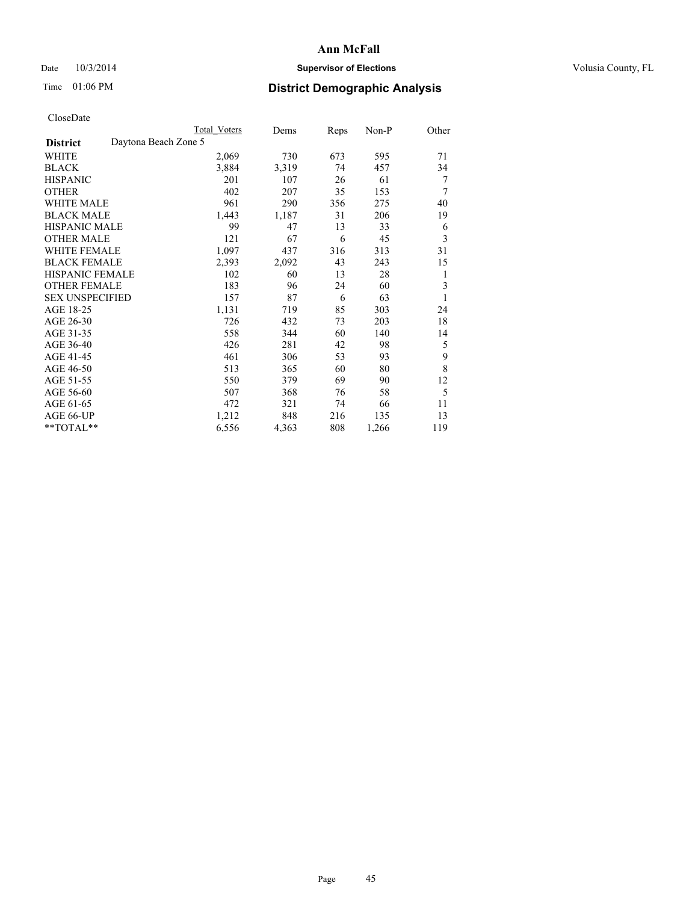## Date  $10/3/2014$  **Supervisor of Elections Supervisor of Elections** Volusia County, FL

## Time 01:06 PM **District Demographic Analysis**

|                                         | <b>Total Voters</b> | Dems  | Reps | Non-P | Other          |
|-----------------------------------------|---------------------|-------|------|-------|----------------|
| Daytona Beach Zone 5<br><b>District</b> |                     |       |      |       |                |
| WHITE                                   | 2,069               | 730   | 673  | 595   | 71             |
| <b>BLACK</b>                            | 3,884               | 3,319 | 74   | 457   | 34             |
| <b>HISPANIC</b>                         | 201                 | 107   | 26   | 61    | 7              |
| <b>OTHER</b>                            | 402                 | 207   | 35   | 153   | $\overline{7}$ |
| <b>WHITE MALE</b>                       | 961                 | 290   | 356  | 275   | 40             |
| <b>BLACK MALE</b>                       | 1,443               | 1,187 | 31   | 206   | 19             |
| HISPANIC MALE                           | 99                  | 47    | 13   | 33    | 6              |
| <b>OTHER MALE</b>                       | 121                 | 67    | 6    | 45    | 3              |
| <b>WHITE FEMALE</b>                     | 1,097               | 437   | 316  | 313   | 31             |
| <b>BLACK FEMALE</b>                     | 2,393               | 2,092 | 43   | 243   | 15             |
| <b>HISPANIC FEMALE</b>                  | 102                 | 60    | 13   | 28    | 1              |
| <b>OTHER FEMALE</b>                     | 183                 | 96    | 24   | 60    | 3              |
| <b>SEX UNSPECIFIED</b>                  | 157                 | 87    | 6    | 63    | 1              |
| AGE 18-25                               | 1,131               | 719   | 85   | 303   | 24             |
| AGE 26-30                               | 726                 | 432   | 73   | 203   | 18             |
| AGE 31-35                               | 558                 | 344   | 60   | 140   | 14             |
| AGE 36-40                               | 426                 | 281   | 42   | 98    | 5              |
| AGE 41-45                               | 461                 | 306   | 53   | 93    | 9              |
| AGE 46-50                               | 513                 | 365   | 60   | 80    | 8              |
| AGE 51-55                               | 550                 | 379   | 69   | 90    | 12             |
| AGE 56-60                               | 507                 | 368   | 76   | 58    | 5              |
| AGE 61-65                               | 472                 | 321   | 74   | 66    | 11             |
| AGE 66-UP                               | 1,212               | 848   | 216  | 135   | 13             |
| **TOTAL**                               | 6,556               | 4,363 | 808  | 1,266 | 119            |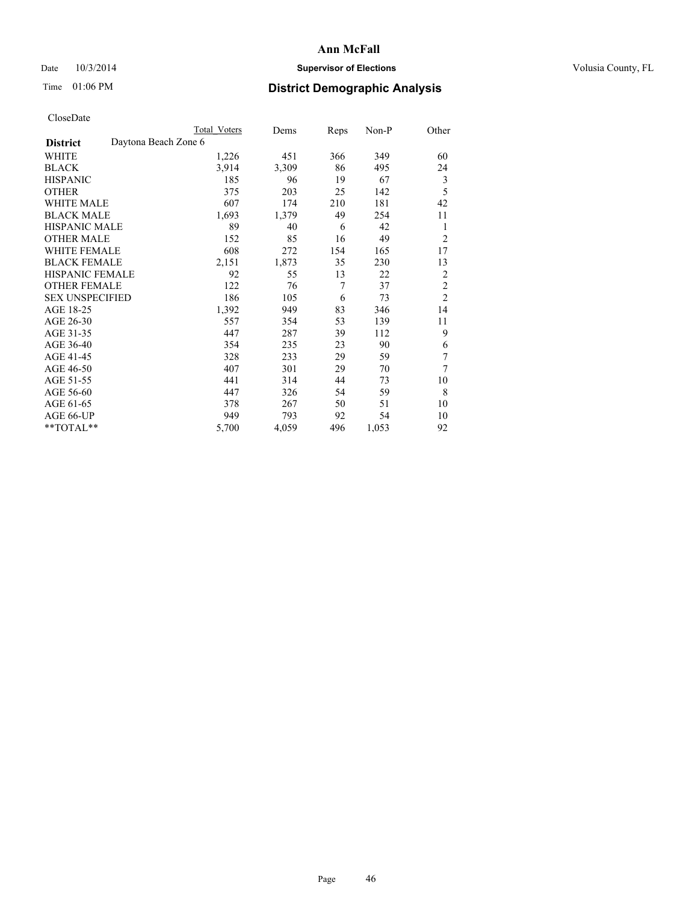## Date  $10/3/2014$  **Supervisor of Elections Supervisor of Elections** Volusia County, FL

## Time 01:06 PM **District Demographic Analysis**

|                                         | <b>Total Voters</b> | Dems  | Reps | Non-P | Other          |
|-----------------------------------------|---------------------|-------|------|-------|----------------|
| Daytona Beach Zone 6<br><b>District</b> |                     |       |      |       |                |
| WHITE                                   | 1,226               | 451   | 366  | 349   | 60             |
| <b>BLACK</b>                            | 3,914               | 3,309 | 86   | 495   | 24             |
| <b>HISPANIC</b>                         | 185                 | 96    | 19   | 67    | 3              |
| <b>OTHER</b>                            | 375                 | 203   | 25   | 142   | 5              |
| WHITE MALE                              | 607                 | 174   | 210  | 181   | 42             |
| <b>BLACK MALE</b>                       | 1,693               | 1,379 | 49   | 254   | 11             |
| <b>HISPANIC MALE</b>                    | 89                  | 40    | 6    | 42    | 1              |
| <b>OTHER MALE</b>                       | 152                 | 85    | 16   | 49    | $\overline{2}$ |
| <b>WHITE FEMALE</b>                     | 608                 | 272   | 154  | 165   | 17             |
| <b>BLACK FEMALE</b>                     | 2,151               | 1,873 | 35   | 230   | 13             |
| HISPANIC FEMALE                         | 92                  | 55    | 13   | 22    | $\overline{2}$ |
| <b>OTHER FEMALE</b>                     | 122                 | 76    | 7    | 37    | $\overline{2}$ |
| <b>SEX UNSPECIFIED</b>                  | 186                 | 105   | 6    | 73    | $\overline{2}$ |
| AGE 18-25                               | 1,392               | 949   | 83   | 346   | 14             |
| AGE 26-30                               | 557                 | 354   | 53   | 139   | 11             |
| AGE 31-35                               | 447                 | 287   | 39   | 112   | 9              |
| AGE 36-40                               | 354                 | 235   | 23   | 90    | 6              |
| AGE 41-45                               | 328                 | 233   | 29   | 59    | 7              |
| AGE 46-50                               | 407                 | 301   | 29   | 70    | 7              |
| AGE 51-55                               | 441                 | 314   | 44   | 73    | 10             |
| AGE 56-60                               | 447                 | 326   | 54   | 59    | 8              |
| AGE 61-65                               | 378                 | 267   | 50   | 51    | 10             |
| AGE 66-UP                               | 949                 | 793   | 92   | 54    | 10             |
| **TOTAL**                               | 5,700               | 4,059 | 496  | 1,053 | 92             |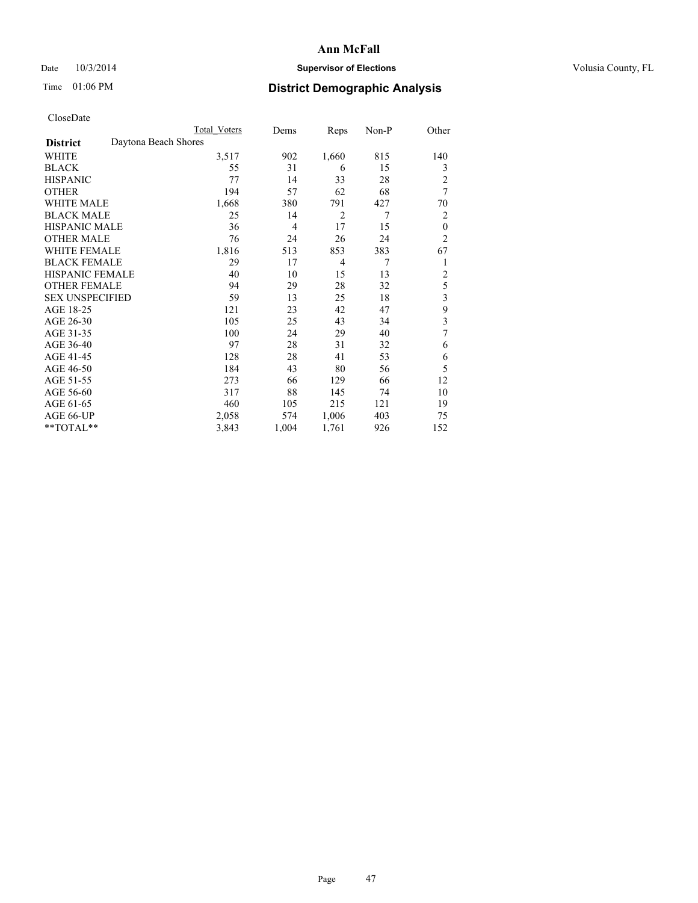## Date  $10/3/2014$  **Supervisor of Elections Supervisor of Elections** Volusia County, FL

## Time 01:06 PM **District Demographic Analysis**

|                        |                      | <b>Total Voters</b> | Dems  | Reps           | Non-P          | Other          |
|------------------------|----------------------|---------------------|-------|----------------|----------------|----------------|
| <b>District</b>        | Daytona Beach Shores |                     |       |                |                |                |
| WHITE                  |                      | 3,517               | 902   | 1,660          | 815            | 140            |
| <b>BLACK</b>           |                      | 55                  | 31    | 6              | 15             | 3              |
| <b>HISPANIC</b>        |                      | 77                  | 14    | 33             | 28             | $\overline{c}$ |
| <b>OTHER</b>           |                      | 194                 | 57    | 62             | 68             | 7              |
| WHITE MALE             |                      | 1,668               | 380   | 791            | 427            | 70             |
| <b>BLACK MALE</b>      |                      | 25                  | 14    | $\overline{2}$ | 7              | 2              |
| <b>HISPANIC MALE</b>   |                      | 36                  | 4     | 17             | 15             | $\mathbf{0}$   |
| <b>OTHER MALE</b>      |                      | 76                  | 24    | 26             | 24             | $\overline{2}$ |
| <b>WHITE FEMALE</b>    |                      | 1,816               | 513   | 853            | 383            | 67             |
| <b>BLACK FEMALE</b>    |                      | 29                  | 17    | $\overline{4}$ | $\overline{7}$ | 1              |
| <b>HISPANIC FEMALE</b> |                      | 40                  | 10    | 15             | 13             | $\overline{c}$ |
| <b>OTHER FEMALE</b>    |                      | 94                  | 29    | 28             | 32             | 5              |
| <b>SEX UNSPECIFIED</b> |                      | 59                  | 13    | 25             | 18             | 3              |
| AGE 18-25              |                      | 121                 | 23    | 42             | 47             | 9              |
| AGE 26-30              |                      | 105                 | 25    | 43             | 34             | 3              |
| AGE 31-35              |                      | 100                 | 24    | 29             | 40             | 7              |
| AGE 36-40              |                      | 97                  | 28    | 31             | 32             | 6              |
| AGE 41-45              |                      | 128                 | 28    | 41             | 53             | 6              |
| AGE 46-50              |                      | 184                 | 43    | 80             | 56             | 5              |
| AGE 51-55              |                      | 273                 | 66    | 129            | 66             | 12             |
| AGE 56-60              |                      | 317                 | 88    | 145            | 74             | 10             |
| AGE 61-65              |                      | 460                 | 105   | 215            | 121            | 19             |
| AGE 66-UP              |                      | 2,058               | 574   | 1,006          | 403            | 75             |
| **TOTAL**              |                      | 3,843               | 1,004 | 1,761          | 926            | 152            |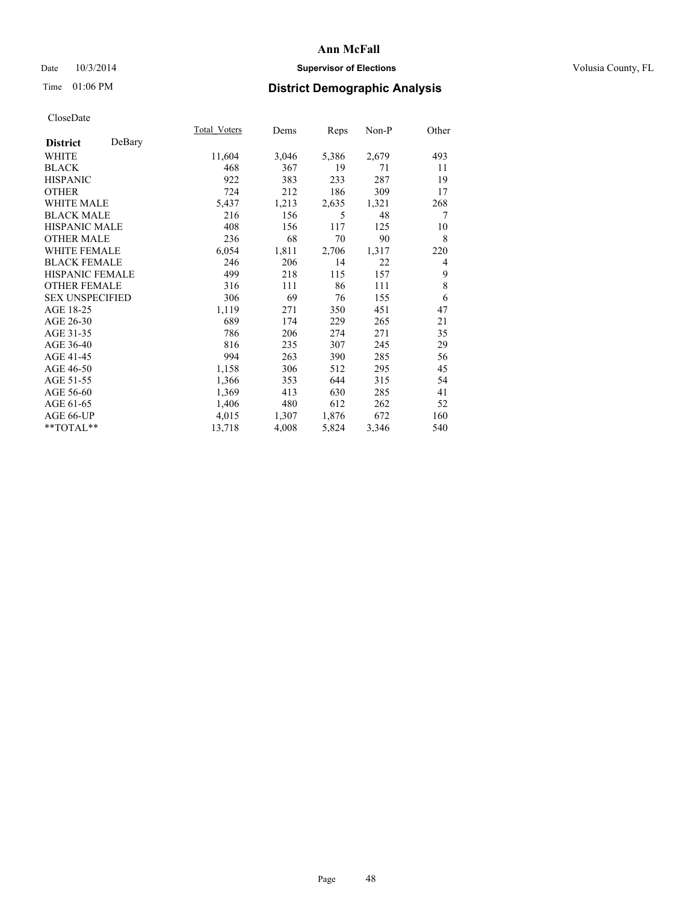## Date  $10/3/2014$  **Supervisor of Elections Supervisor of Elections** Volusia County, FL

## Time 01:06 PM **District Demographic Analysis**

|                           | Total Voters | Dems  | Reps  | Non-P | Other          |
|---------------------------|--------------|-------|-------|-------|----------------|
| DeBary<br><b>District</b> |              |       |       |       |                |
| WHITE                     | 11,604       | 3,046 | 5,386 | 2,679 | 493            |
| <b>BLACK</b>              | 468          | 367   | 19    | 71    | 11             |
| <b>HISPANIC</b>           | 922          | 383   | 233   | 287   | 19             |
| OTHER                     | 724          | 212   | 186   | 309   | 17             |
| <b>WHITE MALE</b>         | 5,437        | 1,213 | 2,635 | 1,321 | 268            |
| <b>BLACK MALE</b>         | 216          | 156   | 5     | 48    | 7              |
| <b>HISPANIC MALE</b>      | 408          | 156   | 117   | 125   | 10             |
| OTHER MALE                | 236          | 68    | 70    | 90    | 8              |
| <b>WHITE FEMALE</b>       | 6,054        | 1,811 | 2,706 | 1,317 | 220            |
| <b>BLACK FEMALE</b>       | 246          | 206   | 14    | 22    | $\overline{4}$ |
| <b>HISPANIC FEMALE</b>    | 499          | 218   | 115   | 157   | 9              |
| <b>OTHER FEMALE</b>       | 316          | 111   | 86    | 111   | 8              |
| <b>SEX UNSPECIFIED</b>    | 306          | 69    | 76    | 155   | 6              |
| AGE 18-25                 | 1,119        | 271   | 350   | 451   | 47             |
| AGE 26-30                 | 689          | 174   | 229   | 265   | 21             |
| AGE 31-35                 | 786          | 206   | 274   | 271   | 35             |
| AGE 36-40                 | 816          | 235   | 307   | 245   | 29             |
| AGE 41-45                 | 994          | 263   | 390   | 285   | 56             |
| AGE 46-50                 | 1,158        | 306   | 512   | 295   | 45             |
| AGE 51-55                 | 1,366        | 353   | 644   | 315   | 54             |
| AGE 56-60                 | 1,369        | 413   | 630   | 285   | 41             |
| AGE 61-65                 | 1,406        | 480   | 612   | 262   | 52             |
| AGE 66-UP                 | 4,015        | 1,307 | 1,876 | 672   | 160            |
| **TOTAL**                 | 13,718       | 4,008 | 5,824 | 3,346 | 540            |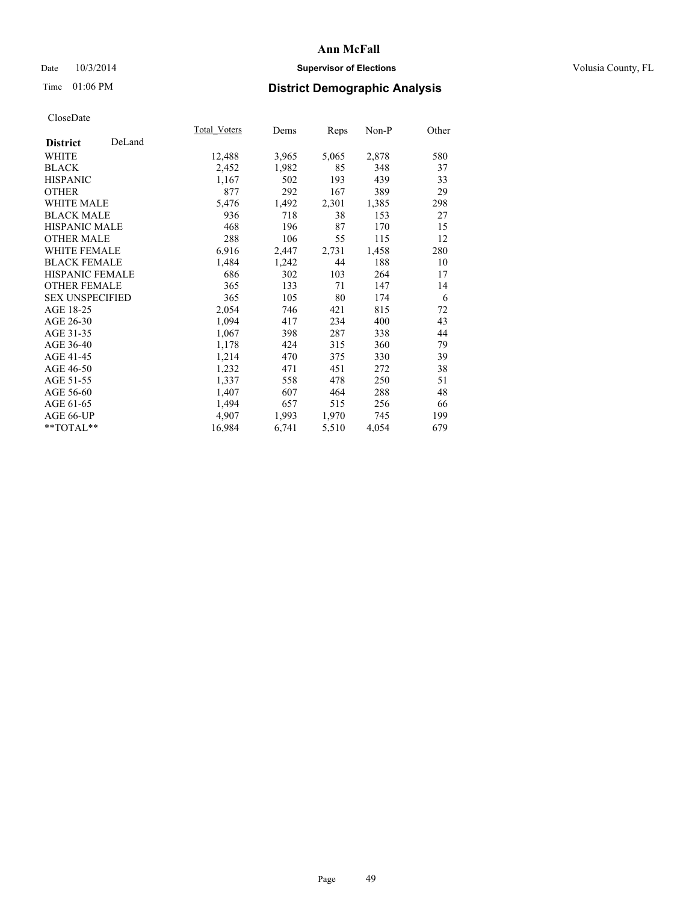## Date  $10/3/2014$  **Supervisor of Elections Supervisor of Elections** Volusia County, FL

## Time 01:06 PM **District Demographic Analysis**

|                        |        | Total Voters | Dems  | <b>Reps</b> | Non-P | Other |
|------------------------|--------|--------------|-------|-------------|-------|-------|
| <b>District</b>        | DeLand |              |       |             |       |       |
| WHITE                  |        | 12,488       | 3,965 | 5,065       | 2,878 | 580   |
| <b>BLACK</b>           |        | 2,452        | 1,982 | 85          | 348   | 37    |
| <b>HISPANIC</b>        |        | 1,167        | 502   | 193         | 439   | 33    |
| OTHER                  |        | 877          | 292   | 167         | 389   | 29    |
| WHITE MALE             |        | 5,476        | 1,492 | 2,301       | 1,385 | 298   |
| <b>BLACK MALE</b>      |        | 936          | 718   | 38          | 153   | 27    |
| <b>HISPANIC MALE</b>   |        | 468          | 196   | 87          | 170   | 15    |
| <b>OTHER MALE</b>      |        | 288          | 106   | 55          | 115   | 12    |
| <b>WHITE FEMALE</b>    |        | 6,916        | 2,447 | 2,731       | 1,458 | 280   |
| <b>BLACK FEMALE</b>    |        | 1,484        | 1,242 | 44          | 188   | 10    |
| HISPANIC FEMALE        |        | 686          | 302   | 103         | 264   | 17    |
| <b>OTHER FEMALE</b>    |        | 365          | 133   | 71          | 147   | 14    |
| <b>SEX UNSPECIFIED</b> |        | 365          | 105   | 80          | 174   | 6     |
| AGE 18-25              |        | 2,054        | 746   | 421         | 815   | 72    |
| AGE 26-30              |        | 1,094        | 417   | 234         | 400   | 43    |
| AGE 31-35              |        | 1,067        | 398   | 287         | 338   | 44    |
| AGE 36-40              |        | 1,178        | 424   | 315         | 360   | 79    |
| AGE 41-45              |        | 1,214        | 470   | 375         | 330   | 39    |
| AGE 46-50              |        | 1,232        | 471   | 451         | 272   | 38    |
| AGE 51-55              |        | 1,337        | 558   | 478         | 250   | 51    |
| AGE 56-60              |        | 1,407        | 607   | 464         | 288   | 48    |
| AGE 61-65              |        | 1,494        | 657   | 515         | 256   | 66    |
| AGE 66-UP              |        | 4,907        | 1,993 | 1,970       | 745   | 199   |
| $*$ $TOTAI.**$         |        | 16,984       | 6,741 | 5,510       | 4,054 | 679   |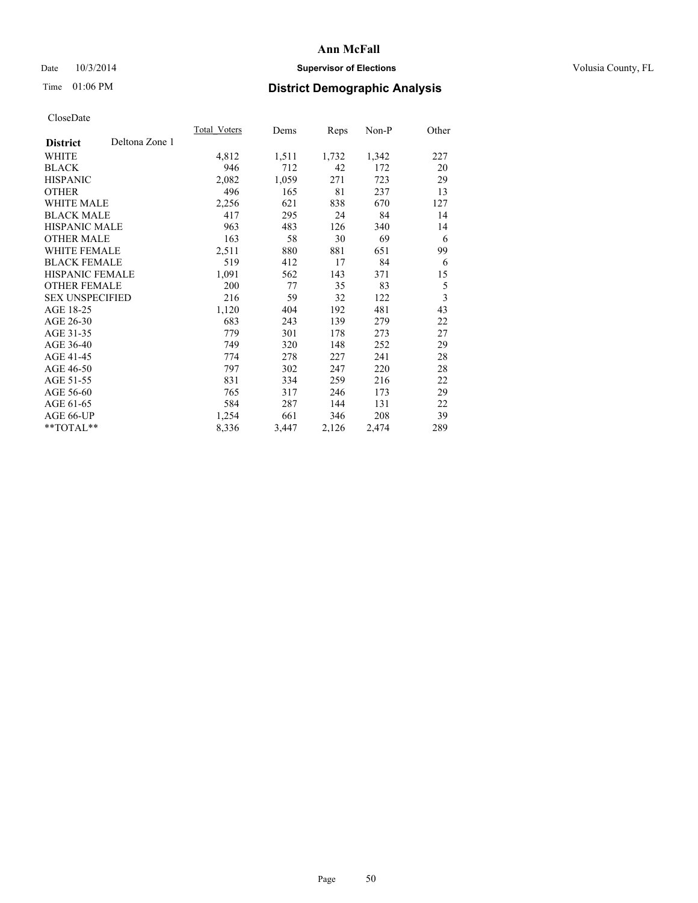## Date  $10/3/2014$  **Supervisor of Elections Supervisor of Elections** Volusia County, FL

## Time 01:06 PM **District Demographic Analysis**

|                        |                | <b>Total Voters</b> | Dems  | Reps  | Non-P | Other                   |
|------------------------|----------------|---------------------|-------|-------|-------|-------------------------|
| <b>District</b>        | Deltona Zone 1 |                     |       |       |       |                         |
| WHITE                  |                | 4,812               | 1,511 | 1,732 | 1,342 | 227                     |
| <b>BLACK</b>           |                | 946                 | 712   | 42    | 172   | 20                      |
| <b>HISPANIC</b>        |                | 2,082               | 1,059 | 271   | 723   | 29                      |
| OTHER                  |                | 496                 | 165   | 81    | 237   | 13                      |
| WHITE MALE             |                | 2,256               | 621   | 838   | 670   | 127                     |
| <b>BLACK MALE</b>      |                | 417                 | 295   | 24    | 84    | 14                      |
| <b>HISPANIC MALE</b>   |                | 963                 | 483   | 126   | 340   | 14                      |
| OTHER MALE             |                | 163                 | 58    | 30    | 69    | 6                       |
| <b>WHITE FEMALE</b>    |                | 2,511               | 880   | 881   | 651   | 99                      |
| <b>BLACK FEMALE</b>    |                | 519                 | 412   | 17    | 84    | 6                       |
| HISPANIC FEMALE        |                | 1,091               | 562   | 143   | 371   | 15                      |
| <b>OTHER FEMALE</b>    |                | 200                 | 77    | 35    | 83    | 5                       |
| <b>SEX UNSPECIFIED</b> |                | 216                 | 59    | 32    | 122   | $\overline{\mathbf{3}}$ |
| AGE 18-25              |                | 1,120               | 404   | 192   | 481   | 43                      |
| AGE 26-30              |                | 683                 | 243   | 139   | 279   | 22                      |
| AGE 31-35              |                | 779                 | 301   | 178   | 273   | 27                      |
| AGE 36-40              |                | 749                 | 320   | 148   | 252   | 29                      |
| AGE 41-45              |                | 774                 | 278   | 227   | 241   | 28                      |
| AGE 46-50              |                | 797                 | 302   | 247   | 220   | 28                      |
| AGE 51-55              |                | 831                 | 334   | 259   | 216   | 22                      |
| AGE 56-60              |                | 765                 | 317   | 246   | 173   | 29                      |
| AGE 61-65              |                | 584                 | 287   | 144   | 131   | 22                      |
| AGE 66-UP              |                | 1,254               | 661   | 346   | 208   | 39                      |
| **TOTAL**              |                | 8,336               | 3,447 | 2,126 | 2,474 | 289                     |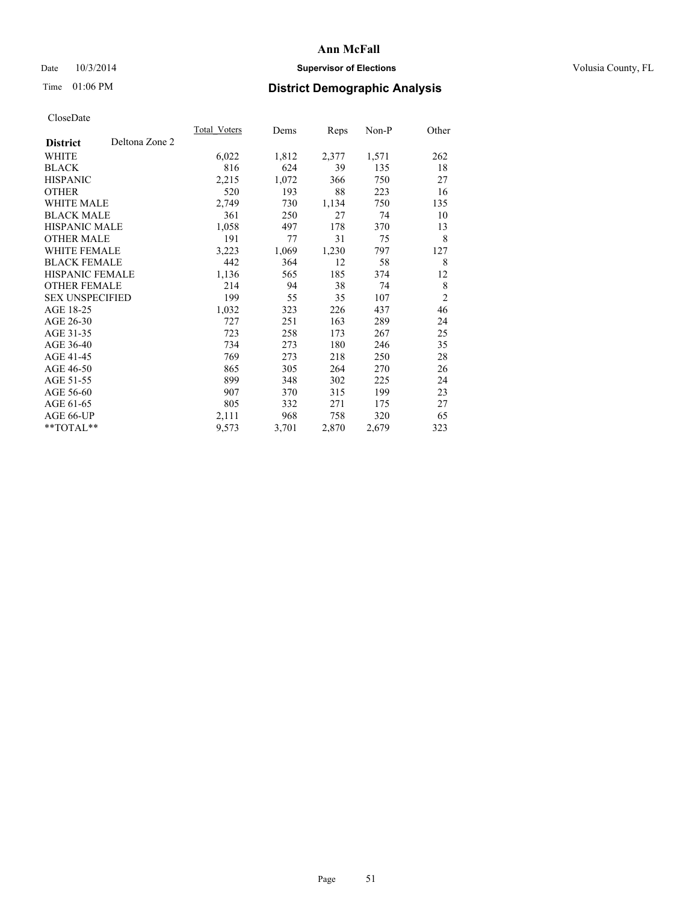## Date  $10/3/2014$  **Supervisor of Elections Supervisor of Elections** Volusia County, FL

## Time 01:06 PM **District Demographic Analysis**

|                        |                | Total Voters | Dems  | Reps  | Non-P | Other          |
|------------------------|----------------|--------------|-------|-------|-------|----------------|
| <b>District</b>        | Deltona Zone 2 |              |       |       |       |                |
| WHITE                  |                | 6,022        | 1,812 | 2,377 | 1,571 | 262            |
| <b>BLACK</b>           |                | 816          | 624   | 39    | 135   | 18             |
| <b>HISPANIC</b>        |                | 2,215        | 1,072 | 366   | 750   | 27             |
| <b>OTHER</b>           |                | 520          | 193   | 88    | 223   | 16             |
| <b>WHITE MALE</b>      |                | 2,749        | 730   | 1,134 | 750   | 135            |
| <b>BLACK MALE</b>      |                | 361          | 250   | 27    | 74    | 10             |
| <b>HISPANIC MALE</b>   |                | 1,058        | 497   | 178   | 370   | 13             |
| <b>OTHER MALE</b>      |                | 191          | 77    | 31    | 75    | 8              |
| WHITE FEMALE           |                | 3,223        | 1,069 | 1,230 | 797   | 127            |
| <b>BLACK FEMALE</b>    |                | 442          | 364   | 12    | 58    | 8              |
| <b>HISPANIC FEMALE</b> |                | 1,136        | 565   | 185   | 374   | 12             |
| <b>OTHER FEMALE</b>    |                | 214          | 94    | 38    | 74    | 8              |
| <b>SEX UNSPECIFIED</b> |                | 199          | 55    | 35    | 107   | $\overline{2}$ |
| AGE 18-25              |                | 1,032        | 323   | 226   | 437   | 46             |
| AGE 26-30              |                | 727          | 251   | 163   | 289   | 24             |
| AGE 31-35              |                | 723          | 258   | 173   | 267   | 25             |
| AGE 36-40              |                | 734          | 273   | 180   | 246   | 35             |
| AGE 41-45              |                | 769          | 273   | 218   | 250   | 28             |
| AGE 46-50              |                | 865          | 305   | 264   | 270   | 26             |
| AGE 51-55              |                | 899          | 348   | 302   | 225   | 24             |
| AGE 56-60              |                | 907          | 370   | 315   | 199   | 23             |
| AGE 61-65              |                | 805          | 332   | 271   | 175   | 27             |
| AGE 66-UP              |                | 2,111        | 968   | 758   | 320   | 65             |
| **TOTAL**              |                | 9,573        | 3,701 | 2,870 | 2,679 | 323            |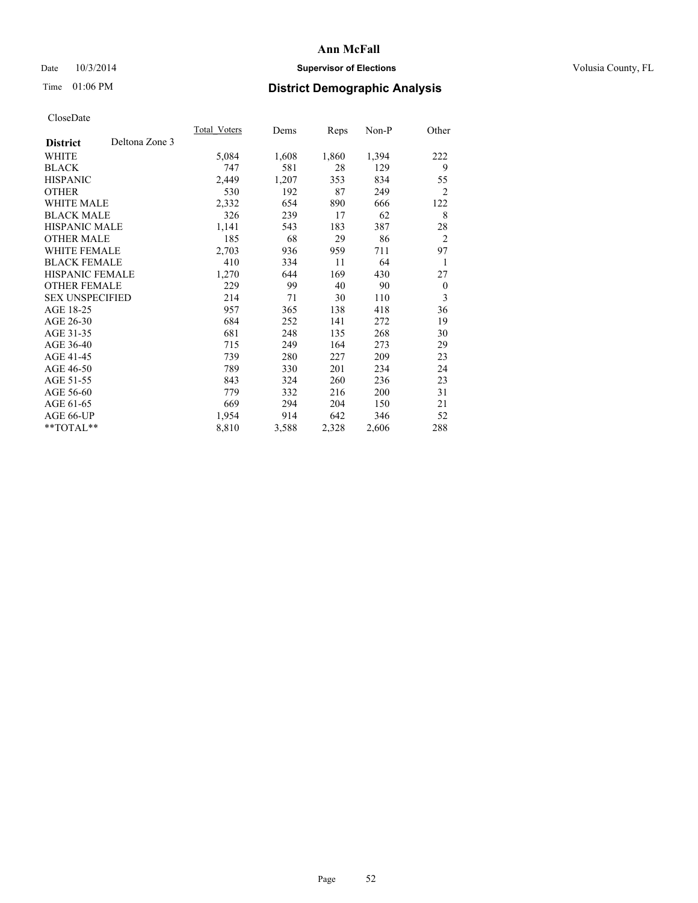## Date  $10/3/2014$  **Supervisor of Elections Supervisor of Elections** Volusia County, FL

## Time 01:06 PM **District Demographic Analysis**

|                        |                | Total Voters | Dems  | Reps  | Non-P | Other          |
|------------------------|----------------|--------------|-------|-------|-------|----------------|
| <b>District</b>        | Deltona Zone 3 |              |       |       |       |                |
| WHITE                  |                | 5,084        | 1,608 | 1,860 | 1,394 | 222            |
| <b>BLACK</b>           |                | 747          | 581   | 28    | 129   | 9              |
| <b>HISPANIC</b>        |                | 2,449        | 1,207 | 353   | 834   | 55             |
| <b>OTHER</b>           |                | 530          | 192   | 87    | 249   | $\overline{2}$ |
| WHITE MALE             |                | 2,332        | 654   | 890   | 666   | 122            |
| <b>BLACK MALE</b>      |                | 326          | 239   | 17    | 62    | 8              |
| <b>HISPANIC MALE</b>   |                | 1,141        | 543   | 183   | 387   | 28             |
| <b>OTHER MALE</b>      |                | 185          | 68    | 29    | 86    | $\overline{2}$ |
| WHITE FEMALE           |                | 2,703        | 936   | 959   | 711   | 97             |
| <b>BLACK FEMALE</b>    |                | 410          | 334   | 11    | 64    | 1              |
| <b>HISPANIC FEMALE</b> |                | 1,270        | 644   | 169   | 430   | 27             |
| <b>OTHER FEMALE</b>    |                | 229          | 99    | 40    | 90    | $\theta$       |
| <b>SEX UNSPECIFIED</b> |                | 214          | 71    | 30    | 110   | 3              |
| AGE 18-25              |                | 957          | 365   | 138   | 418   | 36             |
| AGE 26-30              |                | 684          | 252   | 141   | 272   | 19             |
| AGE 31-35              |                | 681          | 248   | 135   | 268   | 30             |
| AGE 36-40              |                | 715          | 249   | 164   | 273   | 29             |
| AGE 41-45              |                | 739          | 280   | 227   | 209   | 23             |
| AGE 46-50              |                | 789          | 330   | 201   | 234   | 24             |
| AGE 51-55              |                | 843          | 324   | 260   | 236   | 23             |
| AGE 56-60              |                | 779          | 332   | 216   | 200   | 31             |
| AGE 61-65              |                | 669          | 294   | 204   | 150   | 21             |
| AGE 66-UP              |                | 1,954        | 914   | 642   | 346   | 52             |
| **TOTAL**              |                | 8,810        | 3,588 | 2,328 | 2,606 | 288            |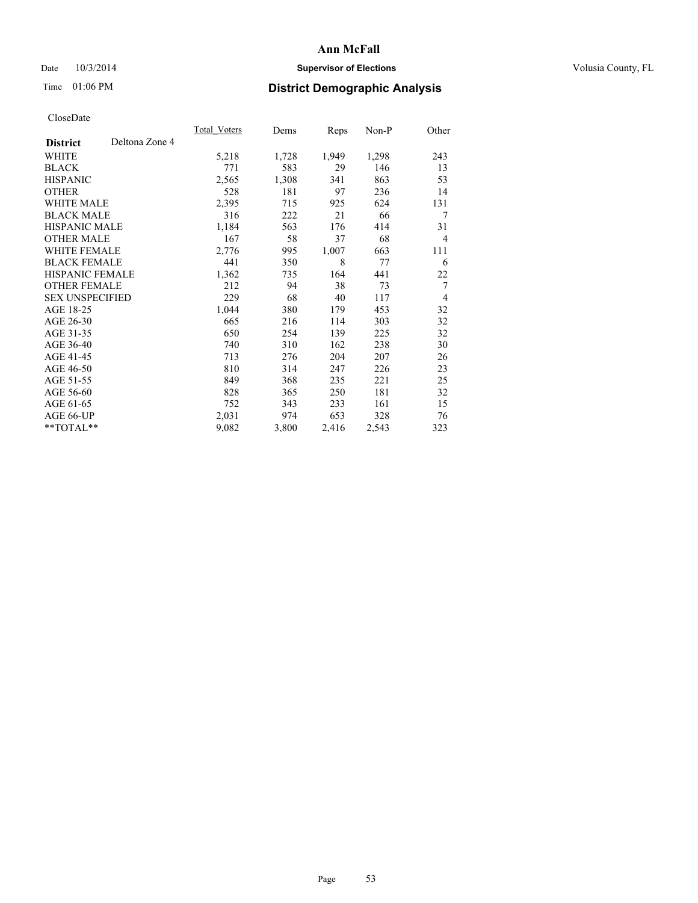## Date  $10/3/2014$  **Supervisor of Elections Supervisor of Elections** Volusia County, FL

## Time 01:06 PM **District Demographic Analysis**

|                        |                | Total Voters | Dems  | <b>Reps</b> | Non-P | Other          |
|------------------------|----------------|--------------|-------|-------------|-------|----------------|
| <b>District</b>        | Deltona Zone 4 |              |       |             |       |                |
| WHITE                  |                | 5,218        | 1,728 | 1,949       | 1,298 | 243            |
| <b>BLACK</b>           |                | 771          | 583   | 29          | 146   | 13             |
| <b>HISPANIC</b>        |                | 2,565        | 1,308 | 341         | 863   | 53             |
| <b>OTHER</b>           |                | 528          | 181   | 97          | 236   | 14             |
| WHITE MALE             |                | 2,395        | 715   | 925         | 624   | 131            |
| <b>BLACK MALE</b>      |                | 316          | 222   | 21          | 66    | 7              |
| <b>HISPANIC MALE</b>   |                | 1,184        | 563   | 176         | 414   | 31             |
| <b>OTHER MALE</b>      |                | 167          | 58    | 37          | 68    | $\overline{4}$ |
| WHITE FEMALE           |                | 2,776        | 995   | 1,007       | 663   | 111            |
| <b>BLACK FEMALE</b>    |                | 441          | 350   | 8           | 77    | 6              |
| HISPANIC FEMALE        |                | 1,362        | 735   | 164         | 441   | 22             |
| <b>OTHER FEMALE</b>    |                | 212          | 94    | 38          | 73    | 7              |
| <b>SEX UNSPECIFIED</b> |                | 229          | 68    | 40          | 117   | $\overline{4}$ |
| AGE 18-25              |                | 1,044        | 380   | 179         | 453   | 32             |
| AGE 26-30              |                | 665          | 216   | 114         | 303   | 32             |
| AGE 31-35              |                | 650          | 254   | 139         | 225   | 32             |
| AGE 36-40              |                | 740          | 310   | 162         | 238   | 30             |
| AGE 41-45              |                | 713          | 276   | 204         | 207   | 26             |
| AGE 46-50              |                | 810          | 314   | 247         | 226   | 23             |
| AGE 51-55              |                | 849          | 368   | 235         | 221   | 25             |
| AGE 56-60              |                | 828          | 365   | 250         | 181   | 32             |
| AGE 61-65              |                | 752          | 343   | 233         | 161   | 15             |
| AGE 66-UP              |                | 2,031        | 974   | 653         | 328   | 76             |
| **TOTAL**              |                | 9,082        | 3,800 | 2,416       | 2,543 | 323            |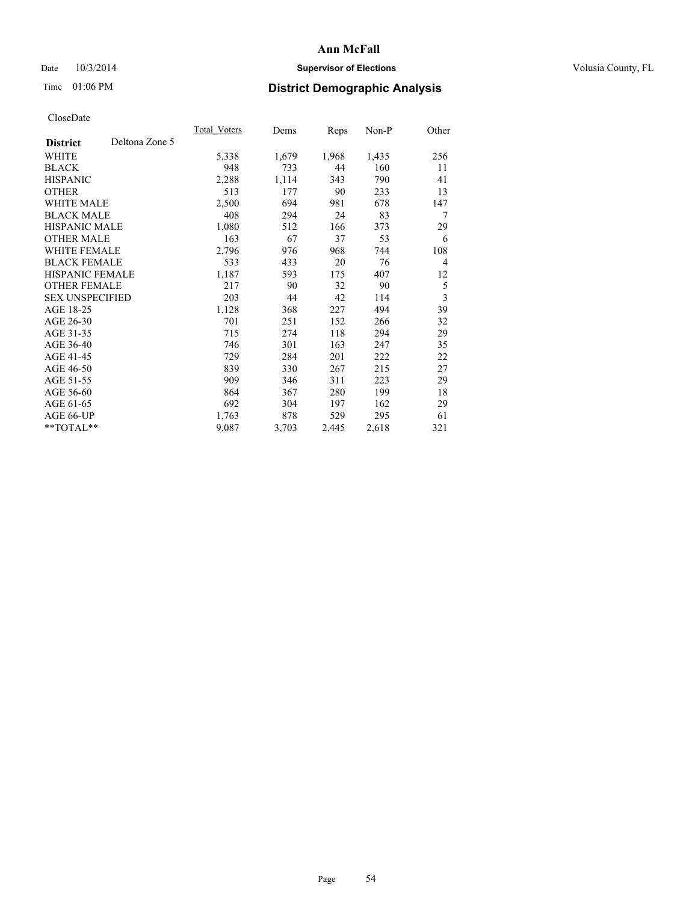## Date  $10/3/2014$  **Supervisor of Elections Supervisor of Elections** Volusia County, FL

## Time 01:06 PM **District Demographic Analysis**

|                        |                | Total Voters | Dems  | Reps  | Non-P | Other          |
|------------------------|----------------|--------------|-------|-------|-------|----------------|
| <b>District</b>        | Deltona Zone 5 |              |       |       |       |                |
| WHITE                  |                | 5,338        | 1,679 | 1,968 | 1,435 | 256            |
| <b>BLACK</b>           |                | 948          | 733   | 44    | 160   | 11             |
| <b>HISPANIC</b>        |                | 2,288        | 1,114 | 343   | 790   | 41             |
| <b>OTHER</b>           |                | 513          | 177   | 90    | 233   | 13             |
| WHITE MALE             |                | 2,500        | 694   | 981   | 678   | 147            |
| <b>BLACK MALE</b>      |                | 408          | 294   | 24    | 83    | 7              |
| <b>HISPANIC MALE</b>   |                | 1,080        | 512   | 166   | 373   | 29             |
| <b>OTHER MALE</b>      |                | 163          | 67    | 37    | 53    | 6              |
| WHITE FEMALE           |                | 2,796        | 976   | 968   | 744   | 108            |
| <b>BLACK FEMALE</b>    |                | 533          | 433   | 20    | 76    | $\overline{4}$ |
| <b>HISPANIC FEMALE</b> |                | 1,187        | 593   | 175   | 407   | 12             |
| <b>OTHER FEMALE</b>    |                | 217          | 90    | 32    | 90    | 5              |
| <b>SEX UNSPECIFIED</b> |                | 203          | 44    | 42    | 114   | 3              |
| AGE 18-25              |                | 1,128        | 368   | 227   | 494   | 39             |
| AGE 26-30              |                | 701          | 251   | 152   | 266   | 32             |
| AGE 31-35              |                | 715          | 274   | 118   | 294   | 29             |
| AGE 36-40              |                | 746          | 301   | 163   | 247   | 35             |
| AGE 41-45              |                | 729          | 284   | 201   | 222   | 22             |
| AGE 46-50              |                | 839          | 330   | 267   | 215   | 27             |
| AGE 51-55              |                | 909          | 346   | 311   | 223   | 29             |
| AGE 56-60              |                | 864          | 367   | 280   | 199   | 18             |
| AGE 61-65              |                | 692          | 304   | 197   | 162   | 29             |
| AGE 66-UP              |                | 1,763        | 878   | 529   | 295   | 61             |
| **TOTAL**              |                | 9,087        | 3,703 | 2,445 | 2,618 | 321            |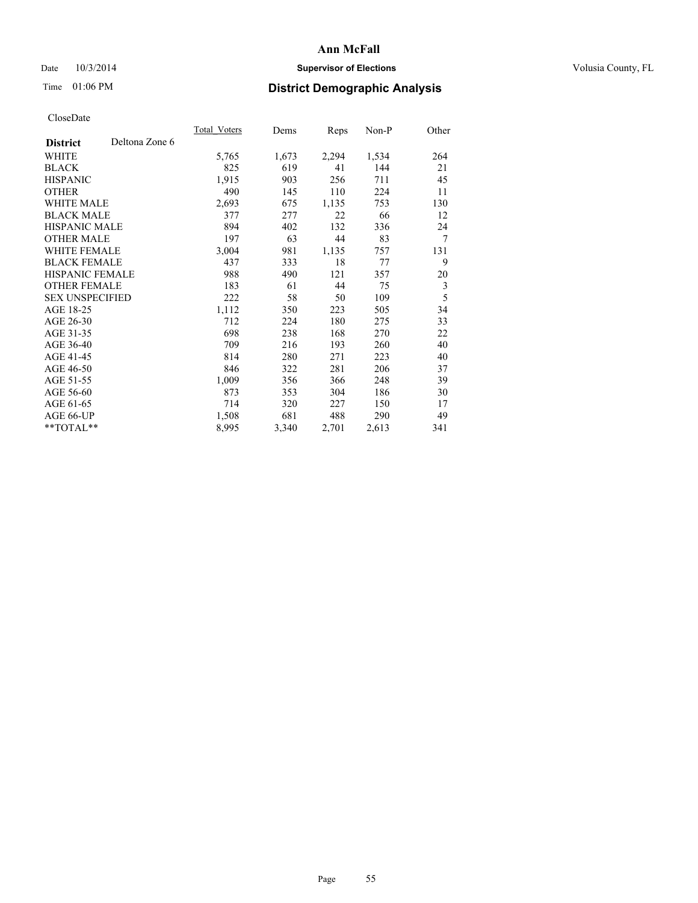## Date  $10/3/2014$  **Supervisor of Elections Supervisor of Elections** Volusia County, FL

## Time 01:06 PM **District Demographic Analysis**

|                        |                | Total Voters | Dems  | <b>Reps</b> | Non-P | Other          |
|------------------------|----------------|--------------|-------|-------------|-------|----------------|
| <b>District</b>        | Deltona Zone 6 |              |       |             |       |                |
| WHITE                  |                | 5,765        | 1,673 | 2,294       | 1,534 | 264            |
| <b>BLACK</b>           |                | 825          | 619   | 41          | 144   | 21             |
| <b>HISPANIC</b>        |                | 1,915        | 903   | 256         | 711   | 45             |
| <b>OTHER</b>           |                | 490          | 145   | 110         | 224   | 11             |
| WHITE MALE             |                | 2,693        | 675   | 1,135       | 753   | 130            |
| <b>BLACK MALE</b>      |                | 377          | 277   | 22          | 66    | 12             |
| <b>HISPANIC MALE</b>   |                | 894          | 402   | 132         | 336   | 24             |
| <b>OTHER MALE</b>      |                | 197          | 63    | 44          | 83    | $\overline{7}$ |
| WHITE FEMALE           |                | 3,004        | 981   | 1,135       | 757   | 131            |
| <b>BLACK FEMALE</b>    |                | 437          | 333   | 18          | 77    | 9              |
| HISPANIC FEMALE        |                | 988          | 490   | 121         | 357   | 20             |
| <b>OTHER FEMALE</b>    |                | 183          | 61    | 44          | 75    | 3              |
| <b>SEX UNSPECIFIED</b> |                | 222          | 58    | 50          | 109   | 5              |
| AGE 18-25              |                | 1,112        | 350   | 223         | 505   | 34             |
| AGE 26-30              |                | 712          | 224   | 180         | 275   | 33             |
| AGE 31-35              |                | 698          | 238   | 168         | 270   | 22             |
| AGE 36-40              |                | 709          | 216   | 193         | 260   | 40             |
| AGE 41-45              |                | 814          | 280   | 271         | 223   | 40             |
| AGE 46-50              |                | 846          | 322   | 281         | 206   | 37             |
| AGE 51-55              |                | 1,009        | 356   | 366         | 248   | 39             |
| AGE 56-60              |                | 873          | 353   | 304         | 186   | 30             |
| AGE 61-65              |                | 714          | 320   | 227         | 150   | 17             |
| AGE 66-UP              |                | 1,508        | 681   | 488         | 290   | 49             |
| **TOTAL**              |                | 8,995        | 3,340 | 2,701       | 2,613 | 341            |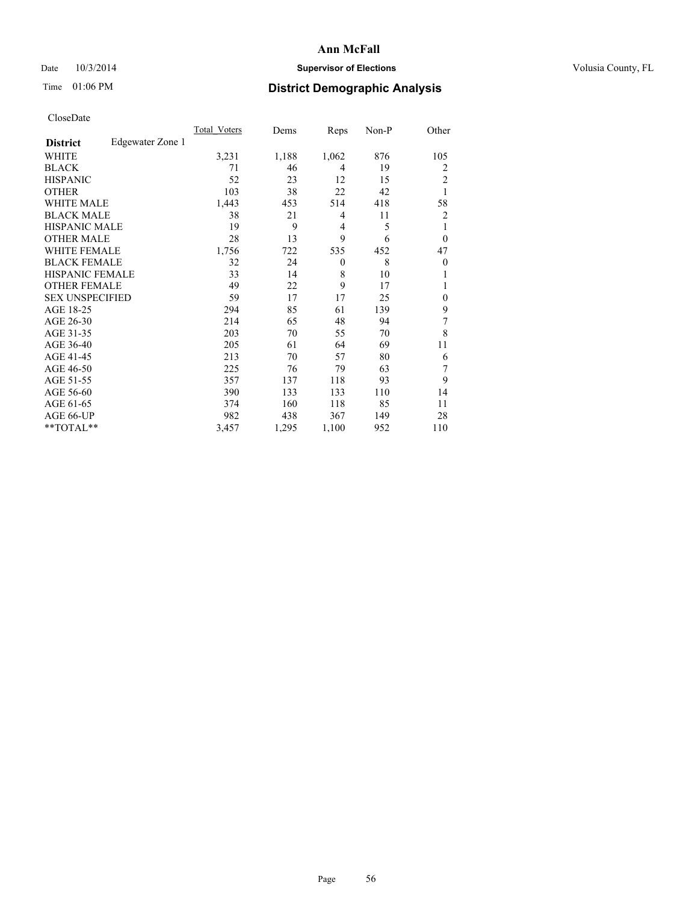## Date  $10/3/2014$  **Supervisor of Elections Supervisor of Elections** Volusia County, FL

## Time 01:06 PM **District Demographic Analysis**

|                        |                  | Total Voters | Dems  | Reps           | Non-P | Other          |
|------------------------|------------------|--------------|-------|----------------|-------|----------------|
| <b>District</b>        | Edgewater Zone 1 |              |       |                |       |                |
| WHITE                  |                  | 3,231        | 1,188 | 1,062          | 876   | 105            |
| <b>BLACK</b>           |                  | 71           | 46    | 4              | 19    | 2              |
| <b>HISPANIC</b>        |                  | 52           | 23    | 12             | 15    | 2              |
| <b>OTHER</b>           |                  | 103          | 38    | 22             | 42    | 1              |
| WHITE MALE             |                  | 1,443        | 453   | 514            | 418   | 58             |
| <b>BLACK MALE</b>      |                  | 38           | 21    | 4              | 11    | $\overline{2}$ |
| <b>HISPANIC MALE</b>   |                  | 19           | 9     | $\overline{4}$ | 5     | 1              |
| <b>OTHER MALE</b>      |                  | 28           | 13    | 9              | 6     | $\overline{0}$ |
| WHITE FEMALE           |                  | 1,756        | 722   | 535            | 452   | 47             |
| <b>BLACK FEMALE</b>    |                  | 32           | 24    | $\theta$       | 8     | $\overline{0}$ |
| <b>HISPANIC FEMALE</b> |                  | 33           | 14    | 8              | 10    |                |
| <b>OTHER FEMALE</b>    |                  | 49           | 22    | 9              | 17    |                |
| <b>SEX UNSPECIFIED</b> |                  | 59           | 17    | 17             | 25    | $\theta$       |
| AGE 18-25              |                  | 294          | 85    | 61             | 139   | 9              |
| AGE 26-30              |                  | 214          | 65    | 48             | 94    | 7              |
| AGE 31-35              |                  | 203          | 70    | 55             | 70    | 8              |
| AGE 36-40              |                  | 205          | 61    | 64             | 69    | 11             |
| AGE 41-45              |                  | 213          | 70    | 57             | 80    | 6              |
| AGE 46-50              |                  | 225          | 76    | 79             | 63    | 7              |
| AGE 51-55              |                  | 357          | 137   | 118            | 93    | 9              |
| AGE 56-60              |                  | 390          | 133   | 133            | 110   | 14             |
| AGE 61-65              |                  | 374          | 160   | 118            | 85    | 11             |
| AGE 66-UP              |                  | 982          | 438   | 367            | 149   | 28             |
| $**TOTAL**$            |                  | 3,457        | 1,295 | 1,100          | 952   | 110            |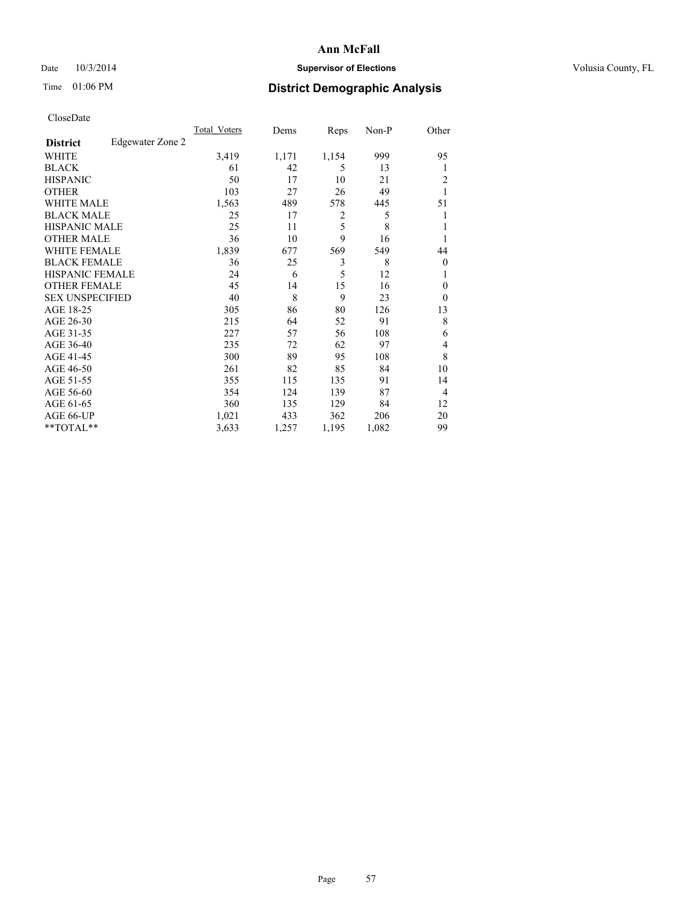## Date  $10/3/2014$  **Supervisor of Elections Supervisor of Elections** Volusia County, FL

## Time 01:06 PM **District Demographic Analysis**

|                        |                  | <b>Total Voters</b> | Dems  | Reps  | Non-P | Other          |
|------------------------|------------------|---------------------|-------|-------|-------|----------------|
| <b>District</b>        | Edgewater Zone 2 |                     |       |       |       |                |
| WHITE                  |                  | 3,419               | 1,171 | 1,154 | 999   | 95             |
| <b>BLACK</b>           |                  | 61                  | 42    | 5     | 13    | 1              |
| <b>HISPANIC</b>        |                  | 50                  | 17    | 10    | 21    | 2              |
| <b>OTHER</b>           |                  | 103                 | 27    | 26    | 49    |                |
| WHITE MALE             |                  | 1,563               | 489   | 578   | 445   | 51             |
| <b>BLACK MALE</b>      |                  | 25                  | 17    | 2     | 5     |                |
| <b>HISPANIC MALE</b>   |                  | 25                  | 11    | 5     | 8     |                |
| <b>OTHER MALE</b>      |                  | 36                  | 10    | 9     | 16    |                |
| <b>WHITE FEMALE</b>    |                  | 1,839               | 677   | 569   | 549   | 44             |
| <b>BLACK FEMALE</b>    |                  | 36                  | 25    | 3     | 8     | $\overline{0}$ |
| <b>HISPANIC FEMALE</b> |                  | 24                  | 6     | 5     | 12    | 1              |
| <b>OTHER FEMALE</b>    |                  | 45                  | 14    | 15    | 16    | $\theta$       |
| <b>SEX UNSPECIFIED</b> |                  | 40                  | 8     | 9     | 23    | $\theta$       |
| AGE 18-25              |                  | 305                 | 86    | 80    | 126   | 13             |
| AGE 26-30              |                  | 215                 | 64    | 52    | 91    | 8              |
| AGE 31-35              |                  | 227                 | 57    | 56    | 108   | 6              |
| AGE 36-40              |                  | 235                 | 72    | 62    | 97    | 4              |
| AGE 41-45              |                  | 300                 | 89    | 95    | 108   | 8              |
| AGE 46-50              |                  | 261                 | 82    | 85    | 84    | 10             |
| AGE 51-55              |                  | 355                 | 115   | 135   | 91    | 14             |
| AGE 56-60              |                  | 354                 | 124   | 139   | 87    | $\overline{4}$ |
| AGE 61-65              |                  | 360                 | 135   | 129   | 84    | 12             |
| AGE 66-UP              |                  | 1,021               | 433   | 362   | 206   | 20             |
| **TOTAL**              |                  | 3,633               | 1,257 | 1,195 | 1,082 | 99             |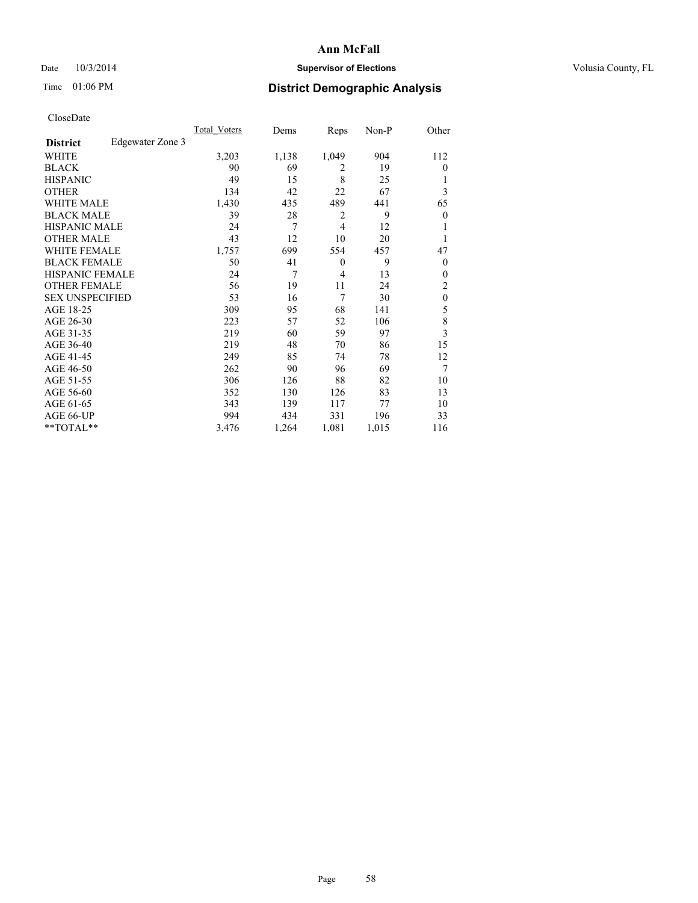## Date  $10/3/2014$  **Supervisor of Elections Supervisor of Elections** Volusia County, FL

## Time 01:06 PM **District Demographic Analysis**

|                        |                  | Total Voters | Dems  | Reps           | Non-P | Other          |
|------------------------|------------------|--------------|-------|----------------|-------|----------------|
| <b>District</b>        | Edgewater Zone 3 |              |       |                |       |                |
| WHITE                  |                  | 3,203        | 1,138 | 1,049          | 904   | 112            |
| <b>BLACK</b>           |                  | 90           | 69    | 2              | 19    | $\Omega$       |
| <b>HISPANIC</b>        |                  | 49           | 15    | 8              | 25    | 1              |
| <b>OTHER</b>           |                  | 134          | 42    | 22             | 67    | 3              |
| WHITE MALE             |                  | 1,430        | 435   | 489            | 441   | 65             |
| <b>BLACK MALE</b>      |                  | 39           | 28    | 2              | 9     | $\overline{0}$ |
| <b>HISPANIC MALE</b>   |                  | 24           | 7     | $\overline{4}$ | 12    |                |
| <b>OTHER MALE</b>      |                  | 43           | 12    | 10             | 20    | 1              |
| WHITE FEMALE           |                  | 1,757        | 699   | 554            | 457   | 47             |
| <b>BLACK FEMALE</b>    |                  | 50           | 41    | $\theta$       | 9     | $\overline{0}$ |
| <b>HISPANIC FEMALE</b> |                  | 24           | 7     | $\overline{4}$ | 13    | $\Omega$       |
| <b>OTHER FEMALE</b>    |                  | 56           | 19    | 11             | 24    | 2              |
| <b>SEX UNSPECIFIED</b> |                  | 53           | 16    | 7              | 30    | $\mathbf{0}$   |
| AGE 18-25              |                  | 309          | 95    | 68             | 141   | 5              |
| AGE 26-30              |                  | 223          | 57    | 52             | 106   | 8              |
| AGE 31-35              |                  | 219          | 60    | 59             | 97    | 3              |
| AGE 36-40              |                  | 219          | 48    | 70             | 86    | 15             |
| AGE 41-45              |                  | 249          | 85    | 74             | 78    | 12             |
| AGE 46-50              |                  | 262          | 90    | 96             | 69    | 7              |
| AGE 51-55              |                  | 306          | 126   | 88             | 82    | 10             |
| AGE 56-60              |                  | 352          | 130   | 126            | 83    | 13             |
| AGE 61-65              |                  | 343          | 139   | 117            | 77    | 10             |
| AGE 66-UP              |                  | 994          | 434   | 331            | 196   | 33             |
| $**TOTAL**$            |                  | 3,476        | 1,264 | 1,081          | 1,015 | 116            |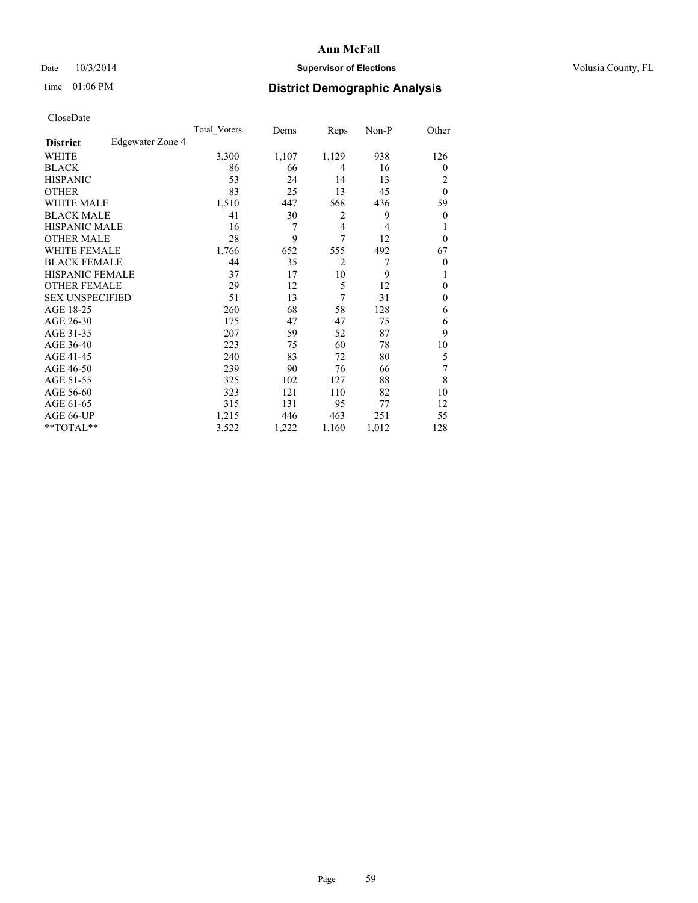## Date  $10/3/2014$  **Supervisor of Elections Supervisor of Elections** Volusia County, FL

## Time 01:06 PM **District Demographic Analysis**

|                        |                  | Total Voters | Dems  | Reps           | Non-P          | Other          |
|------------------------|------------------|--------------|-------|----------------|----------------|----------------|
| <b>District</b>        | Edgewater Zone 4 |              |       |                |                |                |
| WHITE                  |                  | 3,300        | 1,107 | 1,129          | 938            | 126            |
| <b>BLACK</b>           |                  | 86           | 66    | 4              | 16             | $\Omega$       |
| <b>HISPANIC</b>        |                  | 53           | 24    | 14             | 13             | 2              |
| <b>OTHER</b>           |                  | 83           | 25    | 13             | 45             | $\theta$       |
| <b>WHITE MALE</b>      |                  | 1,510        | 447   | 568            | 436            | 59             |
| <b>BLACK MALE</b>      |                  | 41           | 30    | 2              | 9              | $\overline{0}$ |
| <b>HISPANIC MALE</b>   |                  | 16           | 7     | $\overline{4}$ | $\overline{4}$ |                |
| <b>OTHER MALE</b>      |                  | 28           | 9     | 7              | 12             | $\Omega$       |
| <b>WHITE FEMALE</b>    |                  | 1,766        | 652   | 555            | 492            | 67             |
| <b>BLACK FEMALE</b>    |                  | 44           | 35    | $\overline{2}$ | 7              | $\overline{0}$ |
| <b>HISPANIC FEMALE</b> |                  | 37           | 17    | 10             | 9              |                |
| <b>OTHER FEMALE</b>    |                  | 29           | 12    | 5              | 12             | $\Omega$       |
| <b>SEX UNSPECIFIED</b> |                  | 51           | 13    | 7              | 31             | $\theta$       |
| AGE 18-25              |                  | 260          | 68    | 58             | 128            | 6              |
| AGE 26-30              |                  | 175          | 47    | 47             | 75             | 6              |
| AGE 31-35              |                  | 207          | 59    | 52             | 87             | 9              |
| AGE 36-40              |                  | 223          | 75    | 60             | 78             | 10             |
| AGE 41-45              |                  | 240          | 83    | 72             | 80             | 5              |
| AGE 46-50              |                  | 239          | 90    | 76             | 66             | 7              |
| AGE 51-55              |                  | 325          | 102   | 127            | 88             | 8              |
| AGE 56-60              |                  | 323          | 121   | 110            | 82             | 10             |
| AGE 61-65              |                  | 315          | 131   | 95             | 77             | 12             |
| AGE 66-UP              |                  | 1,215        | 446   | 463            | 251            | 55             |
| **TOTAL**              |                  | 3,522        | 1,222 | 1,160          | 1,012          | 128            |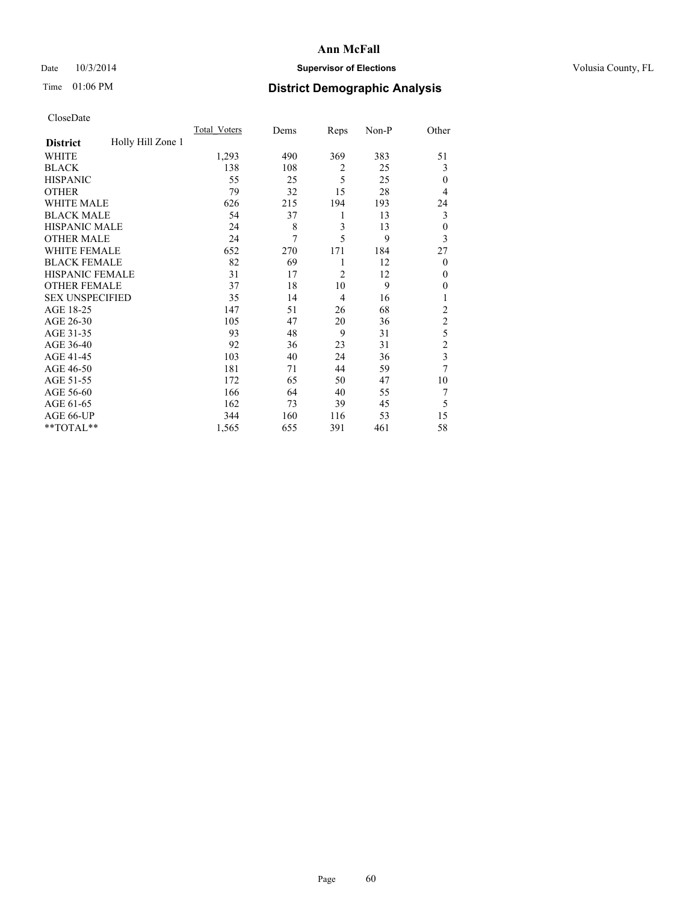## Date  $10/3/2014$  **Supervisor of Elections Supervisor of Elections** Volusia County, FL

## Time 01:06 PM **District Demographic Analysis**

|                        |                   | <b>Total Voters</b> | Dems | Reps           | Non-P | Other          |
|------------------------|-------------------|---------------------|------|----------------|-------|----------------|
| <b>District</b>        | Holly Hill Zone 1 |                     |      |                |       |                |
| WHITE                  |                   | 1,293               | 490  | 369            | 383   | 51             |
| <b>BLACK</b>           |                   | 138                 | 108  | $\overline{2}$ | 25    | 3              |
| <b>HISPANIC</b>        |                   | 55                  | 25   | 5              | 25    | $\mathbf{0}$   |
| <b>OTHER</b>           |                   | 79                  | 32   | 15             | 28    | 4              |
| WHITE MALE             |                   | 626                 | 215  | 194            | 193   | 24             |
| <b>BLACK MALE</b>      |                   | 54                  | 37   | 1              | 13    | 3              |
| <b>HISPANIC MALE</b>   |                   | 24                  | 8    | 3              | 13    | $\mathbf{0}$   |
| <b>OTHER MALE</b>      |                   | 24                  | 7    | 5              | 9     | 3              |
| WHITE FEMALE           |                   | 652                 | 270  | 171            | 184   | 27             |
| <b>BLACK FEMALE</b>    |                   | 82                  | 69   | 1              | 12    | $\overline{0}$ |
| <b>HISPANIC FEMALE</b> |                   | 31                  | 17   | $\overline{2}$ | 12    | $\theta$       |
| <b>OTHER FEMALE</b>    |                   | 37                  | 18   | 10             | 9     | $\theta$       |
| <b>SEX UNSPECIFIED</b> |                   | 35                  | 14   | 4              | 16    | 1              |
| AGE 18-25              |                   | 147                 | 51   | 26             | 68    | $\overline{c}$ |
| AGE 26-30              |                   | 105                 | 47   | 20             | 36    | $\overline{c}$ |
| AGE 31-35              |                   | 93                  | 48   | 9              | 31    | 5              |
| AGE 36-40              |                   | 92                  | 36   | 23             | 31    | $\overline{c}$ |
| AGE 41-45              |                   | 103                 | 40   | 24             | 36    | 3              |
| AGE 46-50              |                   | 181                 | 71   | 44             | 59    | 7              |
| AGE 51-55              |                   | 172                 | 65   | 50             | 47    | 10             |
| AGE 56-60              |                   | 166                 | 64   | 40             | 55    | 7              |
| AGE 61-65              |                   | 162                 | 73   | 39             | 45    | 5              |
| AGE 66-UP              |                   | 344                 | 160  | 116            | 53    | 15             |
| $**TOTAL**$            |                   | 1,565               | 655  | 391            | 461   | 58             |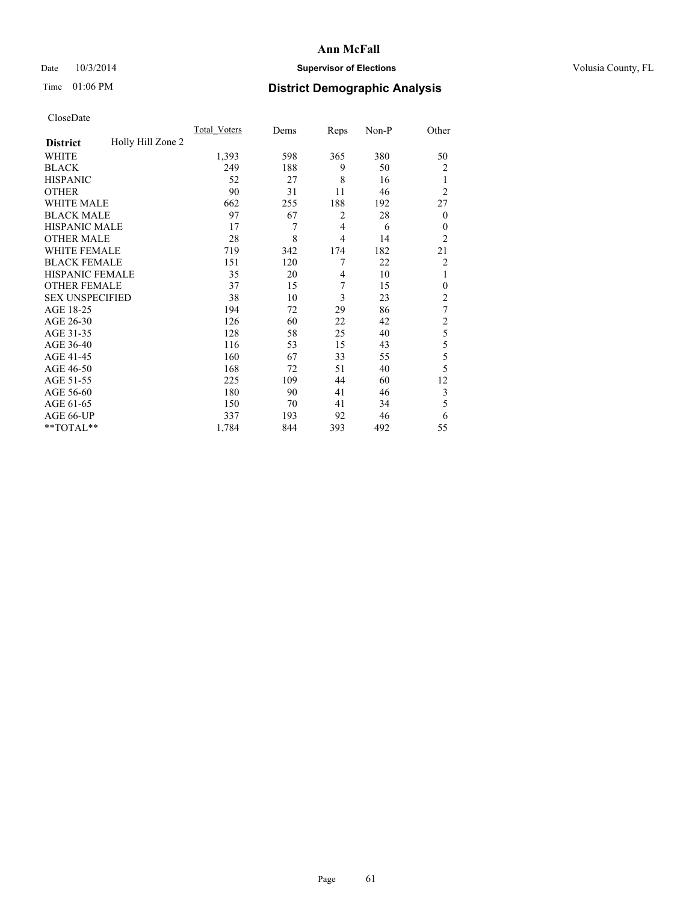## Date  $10/3/2014$  **Supervisor of Elections Supervisor of Elections** Volusia County, FL

## Time 01:06 PM **District Demographic Analysis**

|                        |                   | <b>Total Voters</b> | Dems | Reps           | Non-P | Other          |
|------------------------|-------------------|---------------------|------|----------------|-------|----------------|
| <b>District</b>        | Holly Hill Zone 2 |                     |      |                |       |                |
| WHITE                  |                   | 1,393               | 598  | 365            | 380   | 50             |
| <b>BLACK</b>           |                   | 249                 | 188  | 9              | 50    | $\overline{c}$ |
| <b>HISPANIC</b>        |                   | 52                  | 27   | 8              | 16    | 1              |
| <b>OTHER</b>           |                   | 90                  | 31   | 11             | 46    | $\overline{2}$ |
| WHITE MALE             |                   | 662                 | 255  | 188            | 192   | 27             |
| <b>BLACK MALE</b>      |                   | 97                  | 67   | 2              | 28    | $\theta$       |
| <b>HISPANIC MALE</b>   |                   | 17                  | 7    | $\overline{4}$ | 6     | $\theta$       |
| <b>OTHER MALE</b>      |                   | 28                  | 8    | $\overline{4}$ | 14    | $\overline{2}$ |
| WHITE FEMALE           |                   | 719                 | 342  | 174            | 182   | 21             |
| <b>BLACK FEMALE</b>    |                   | 151                 | 120  | 7              | 22    | $\overline{c}$ |
| <b>HISPANIC FEMALE</b> |                   | 35                  | 20   | 4              | 10    | 1              |
| <b>OTHER FEMALE</b>    |                   | 37                  | 15   | 7              | 15    | $\theta$       |
| <b>SEX UNSPECIFIED</b> |                   | 38                  | 10   | 3              | 23    | $\overline{2}$ |
| AGE 18-25              |                   | 194                 | 72   | 29             | 86    | $\tau$         |
| AGE 26-30              |                   | 126                 | 60   | 22             | 42    | $\overline{2}$ |
| AGE 31-35              |                   | 128                 | 58   | 25             | 40    | 5              |
| AGE 36-40              |                   | 116                 | 53   | 15             | 43    | 5              |
| AGE 41-45              |                   | 160                 | 67   | 33             | 55    | 5              |
| AGE 46-50              |                   | 168                 | 72   | 51             | 40    | 5              |
| AGE 51-55              |                   | 225                 | 109  | 44             | 60    | 12             |
| AGE 56-60              |                   | 180                 | 90   | 41             | 46    | 3              |
| AGE 61-65              |                   | 150                 | 70   | 41             | 34    | 5              |
| AGE 66-UP              |                   | 337                 | 193  | 92             | 46    | 6              |
| $**TOTAL**$            |                   | 1,784               | 844  | 393            | 492   | 55             |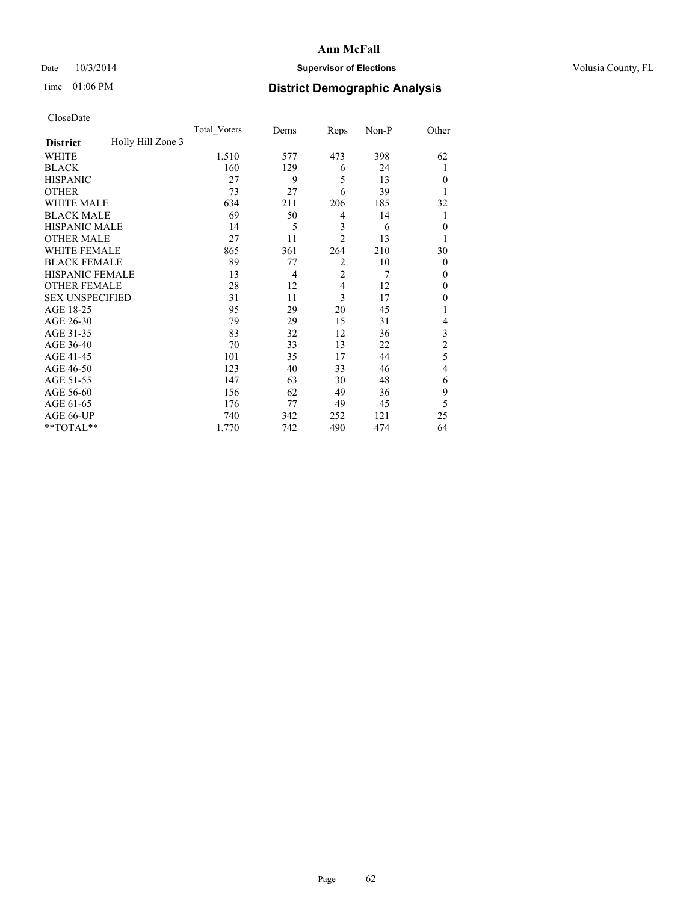## Date  $10/3/2014$  **Supervisor of Elections Supervisor of Elections** Volusia County, FL

## Time 01:06 PM **District Demographic Analysis**

|                        |                   | Total Voters | Dems | Reps           | Non-P | Other          |
|------------------------|-------------------|--------------|------|----------------|-------|----------------|
| <b>District</b>        | Holly Hill Zone 3 |              |      |                |       |                |
| WHITE                  |                   | 1,510        | 577  | 473            | 398   | 62             |
| <b>BLACK</b>           |                   | 160          | 129  | 6              | 24    | 1              |
| <b>HISPANIC</b>        |                   | 27           | 9    | 5              | 13    | $\theta$       |
| <b>OTHER</b>           |                   | 73           | 27   | 6              | 39    | 1              |
| WHITE MALE             |                   | 634          | 211  | 206            | 185   | 32             |
| <b>BLACK MALE</b>      |                   | 69           | 50   | 4              | 14    | 1              |
| <b>HISPANIC MALE</b>   |                   | 14           | 5    | 3              | 6     | $\theta$       |
| <b>OTHER MALE</b>      |                   | 27           | 11   | $\overline{2}$ | 13    | 1              |
| <b>WHITE FEMALE</b>    |                   | 865          | 361  | 264            | 210   | 30             |
| <b>BLACK FEMALE</b>    |                   | 89           | 77   | $\overline{2}$ | 10    | $\theta$       |
| <b>HISPANIC FEMALE</b> |                   | 13           | 4    | $\overline{2}$ | 7     | $\theta$       |
| <b>OTHER FEMALE</b>    |                   | 28           | 12   | 4              | 12    | $\theta$       |
| <b>SEX UNSPECIFIED</b> |                   | 31           | 11   | 3              | 17    | $\mathbf{0}$   |
| AGE 18-25              |                   | 95           | 29   | 20             | 45    |                |
| AGE 26-30              |                   | 79           | 29   | 15             | 31    | 4              |
| AGE 31-35              |                   | 83           | 32   | 12             | 36    | 3              |
| AGE 36-40              |                   | 70           | 33   | 13             | 22    | $\overline{c}$ |
| AGE 41-45              |                   | 101          | 35   | 17             | 44    | 5              |
| AGE 46-50              |                   | 123          | 40   | 33             | 46    | 4              |
| AGE 51-55              |                   | 147          | 63   | 30             | 48    | 6              |
| AGE 56-60              |                   | 156          | 62   | 49             | 36    | 9              |
| AGE 61-65              |                   | 176          | 77   | 49             | 45    | 5              |
| AGE 66-UP              |                   | 740          | 342  | 252            | 121   | 25             |
| **TOTAL**              |                   | 1,770        | 742  | 490            | 474   | 64             |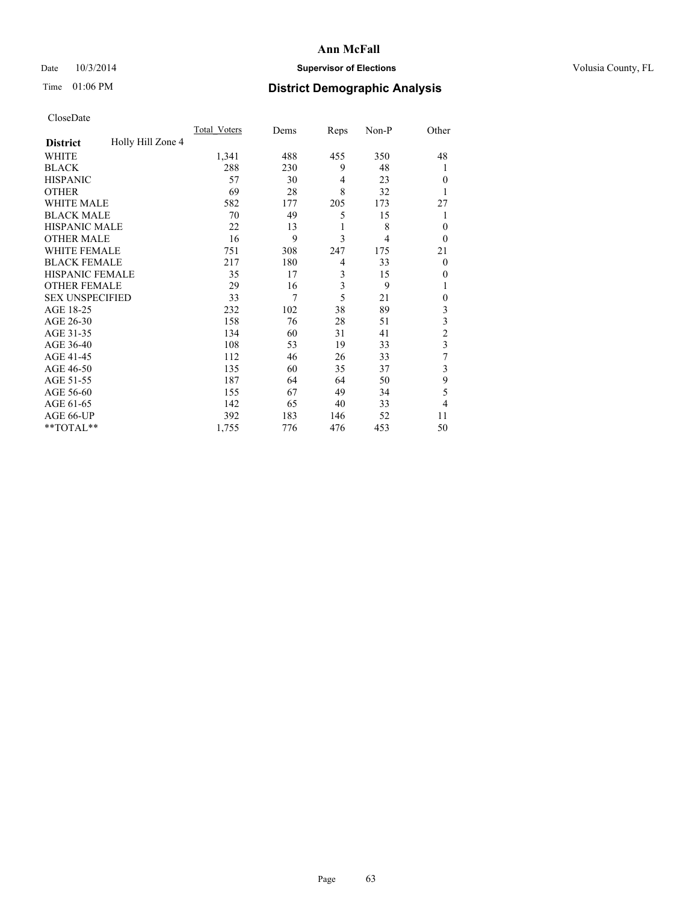## Date  $10/3/2014$  **Supervisor of Elections Supervisor of Elections** Volusia County, FL

## Time 01:06 PM **District Demographic Analysis**

|                        |                   | Total Voters | Dems | Reps           | Non-P | Other          |
|------------------------|-------------------|--------------|------|----------------|-------|----------------|
| <b>District</b>        | Holly Hill Zone 4 |              |      |                |       |                |
| WHITE                  |                   | 1,341        | 488  | 455            | 350   | 48             |
| <b>BLACK</b>           |                   | 288          | 230  | 9              | 48    | 1              |
| <b>HISPANIC</b>        |                   | 57           | 30   | $\overline{4}$ | 23    | $\theta$       |
| <b>OTHER</b>           |                   | 69           | 28   | 8              | 32    |                |
| WHITE MALE             |                   | 582          | 177  | 205            | 173   | 27             |
| <b>BLACK MALE</b>      |                   | 70           | 49   | 5              | 15    | 1              |
| <b>HISPANIC MALE</b>   |                   | 22           | 13   | 1              | 8     | $\theta$       |
| <b>OTHER MALE</b>      |                   | 16           | 9    | 3              | 4     | $\theta$       |
| WHITE FEMALE           |                   | 751          | 308  | 247            | 175   | 21             |
| <b>BLACK FEMALE</b>    |                   | 217          | 180  | $\overline{4}$ | 33    | $\overline{0}$ |
| <b>HISPANIC FEMALE</b> |                   | 35           | 17   | 3              | 15    | 0              |
| <b>OTHER FEMALE</b>    |                   | 29           | 16   | 3              | 9     |                |
| <b>SEX UNSPECIFIED</b> |                   | 33           | 7    | 5              | 21    | $\mathbf{0}$   |
| AGE 18-25              |                   | 232          | 102  | 38             | 89    | 3              |
| AGE 26-30              |                   | 158          | 76   | 28             | 51    | 3              |
| AGE 31-35              |                   | 134          | 60   | 31             | 41    | $\overline{c}$ |
| AGE 36-40              |                   | 108          | 53   | 19             | 33    | 3              |
| AGE 41-45              |                   | 112          | 46   | 26             | 33    | 7              |
| AGE 46-50              |                   | 135          | 60   | 35             | 37    | 3              |
| AGE 51-55              |                   | 187          | 64   | 64             | 50    | 9              |
| AGE 56-60              |                   | 155          | 67   | 49             | 34    | 5              |
| AGE 61-65              |                   | 142          | 65   | 40             | 33    | 4              |
| AGE 66-UP              |                   | 392          | 183  | 146            | 52    | 11             |
| **TOTAL**              |                   | 1,755        | 776  | 476            | 453   | 50             |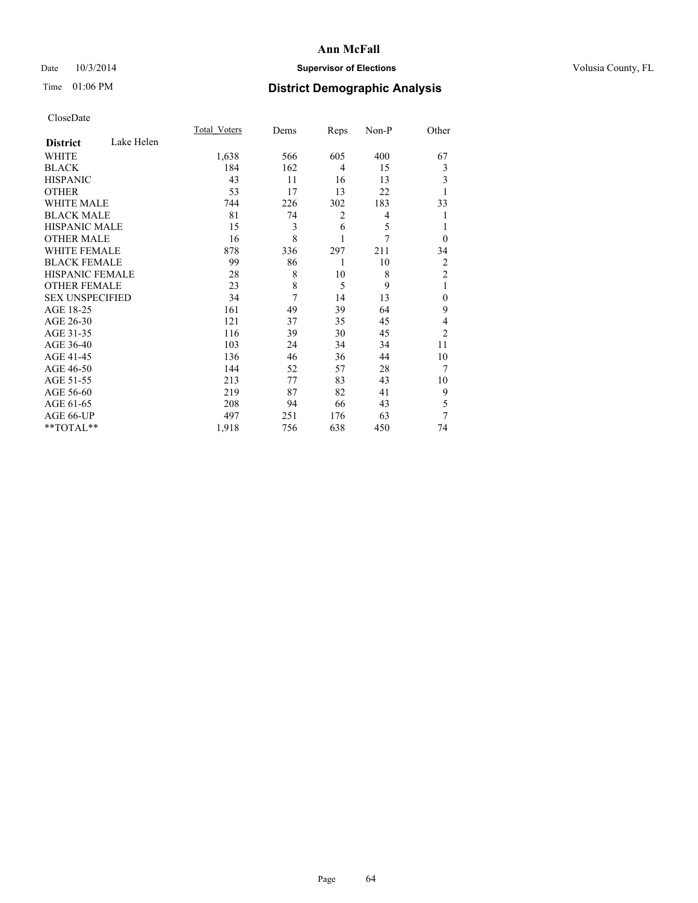## Date  $10/3/2014$  **Supervisor of Elections Supervisor of Elections** Volusia County, FL

## Time 01:06 PM **District Demographic Analysis**

|                        |            | <b>Total Voters</b> | Dems           | Reps           | Non-P | Other          |
|------------------------|------------|---------------------|----------------|----------------|-------|----------------|
| <b>District</b>        | Lake Helen |                     |                |                |       |                |
| WHITE                  |            | 1,638               | 566            | 605            | 400   | 67             |
| <b>BLACK</b>           |            | 184                 | 162            | $\overline{4}$ | 15    | 3              |
| <b>HISPANIC</b>        |            | 43                  | 11             | 16             | 13    | 3              |
| <b>OTHER</b>           |            | 53                  | 17             | 13             | 22    | 1              |
| WHITE MALE             |            | 744                 | 226            | 302            | 183   | 33             |
| <b>BLACK MALE</b>      |            | 81                  | 74             | 2              | 4     | 1              |
| <b>HISPANIC MALE</b>   |            | 15                  | 3              | 6              | 5     |                |
| <b>OTHER MALE</b>      |            | 16                  | 8              | 1              | 7     | $\theta$       |
| <b>WHITE FEMALE</b>    |            | 878                 | 336            | 297            | 211   | 34             |
| <b>BLACK FEMALE</b>    |            | 99                  | 86             | 1              | 10    | 2              |
| <b>HISPANIC FEMALE</b> |            | 28                  | 8              | 10             | 8     | $\overline{2}$ |
| <b>OTHER FEMALE</b>    |            | 23                  | 8              | 5              | 9     | 1              |
| <b>SEX UNSPECIFIED</b> |            | 34                  | $\overline{7}$ | 14             | 13    | $\theta$       |
| AGE 18-25              |            | 161                 | 49             | 39             | 64    | 9              |
| AGE 26-30              |            | 121                 | 37             | 35             | 45    | 4              |
| AGE 31-35              |            | 116                 | 39             | 30             | 45    | $\overline{2}$ |
| AGE 36-40              |            | 103                 | 24             | 34             | 34    | 11             |
| AGE 41-45              |            | 136                 | 46             | 36             | 44    | 10             |
| AGE 46-50              |            | 144                 | 52             | 57             | 28    | 7              |
| AGE 51-55              |            | 213                 | 77             | 83             | 43    | 10             |
| AGE 56-60              |            | 219                 | 87             | 82             | 41    | 9              |
| AGE 61-65              |            | 208                 | 94             | 66             | 43    | 5              |
| AGE 66-UP              |            | 497                 | 251            | 176            | 63    | 7              |
| **TOTAL**              |            | 1,918               | 756            | 638            | 450   | 74             |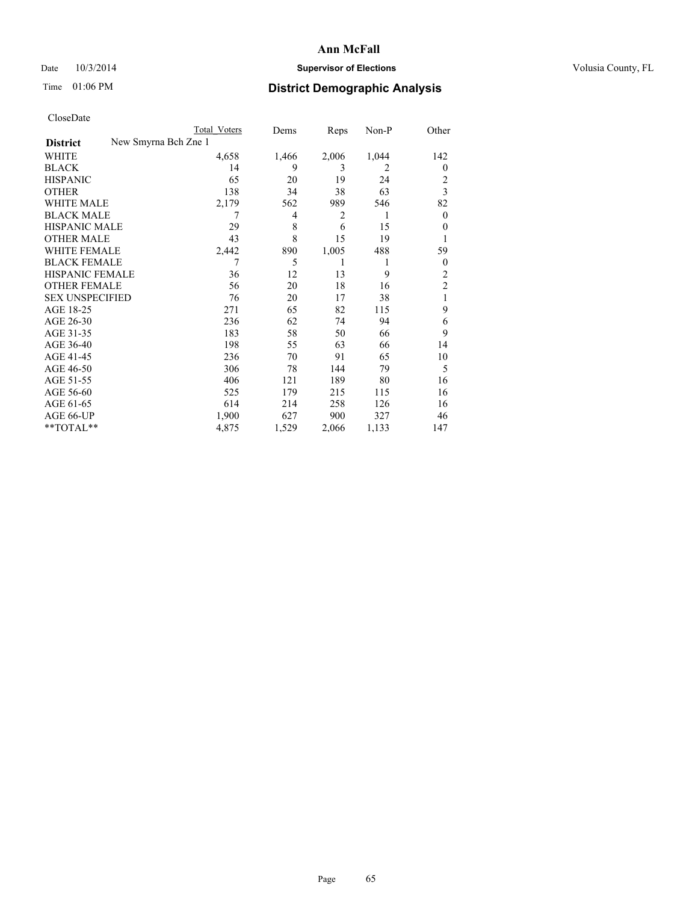## Date  $10/3/2014$  **Supervisor of Elections Supervisor of Elections** Volusia County, FL

|                                         | Total Voters | Dems  | Reps           | Non-P | Other          |
|-----------------------------------------|--------------|-------|----------------|-------|----------------|
| New Smyrna Bch Zne 1<br><b>District</b> |              |       |                |       |                |
| WHITE                                   | 4,658        | 1,466 | 2,006          | 1,044 | 142            |
| <b>BLACK</b>                            | 14           | 9     | 3              | 2     | $\mathbf{0}$   |
| <b>HISPANIC</b>                         | 65           | 20    | 19             | 24    | $\overline{2}$ |
| <b>OTHER</b>                            | 138          | 34    | 38             | 63    | 3              |
| <b>WHITE MALE</b>                       | 2,179        | 562   | 989            | 546   | 82             |
| <b>BLACK MALE</b>                       | 7            | 4     | $\overline{2}$ | 1     | $\overline{0}$ |
| HISPANIC MALE                           | 29           | 8     | 6              | 15    | $\Omega$       |
| <b>OTHER MALE</b>                       | 43           | 8     | 15             | 19    |                |
| <b>WHITE FEMALE</b>                     | 2,442        | 890   | 1,005          | 488   | 59             |
| <b>BLACK FEMALE</b>                     | 7            | 5     | 1              | 1     | $\overline{0}$ |
| <b>HISPANIC FEMALE</b>                  | 36           | 12    | 13             | 9     | $\overline{2}$ |
| <b>OTHER FEMALE</b>                     | 56           | 20    | 18             | 16    | $\overline{2}$ |
| <b>SEX UNSPECIFIED</b>                  | 76           | 20    | 17             | 38    | 1              |
| AGE 18-25                               | 271          | 65    | 82             | 115   | 9              |
| AGE 26-30                               | 236          | 62    | 74             | 94    | 6              |
| AGE 31-35                               | 183          | 58    | 50             | 66    | 9              |
| AGE 36-40                               | 198          | 55    | 63             | 66    | 14             |
| AGE 41-45                               | 236          | 70    | 91             | 65    | 10             |
| AGE 46-50                               | 306          | 78    | 144            | 79    | 5              |
| AGE 51-55                               | 406          | 121   | 189            | 80    | 16             |
| AGE 56-60                               | 525          | 179   | 215            | 115   | 16             |
| AGE 61-65                               | 614          | 214   | 258            | 126   | 16             |
| AGE 66-UP                               | 1,900        | 627   | 900            | 327   | 46             |
| **TOTAL**                               | 4,875        | 1,529 | 2,066          | 1,133 | 147            |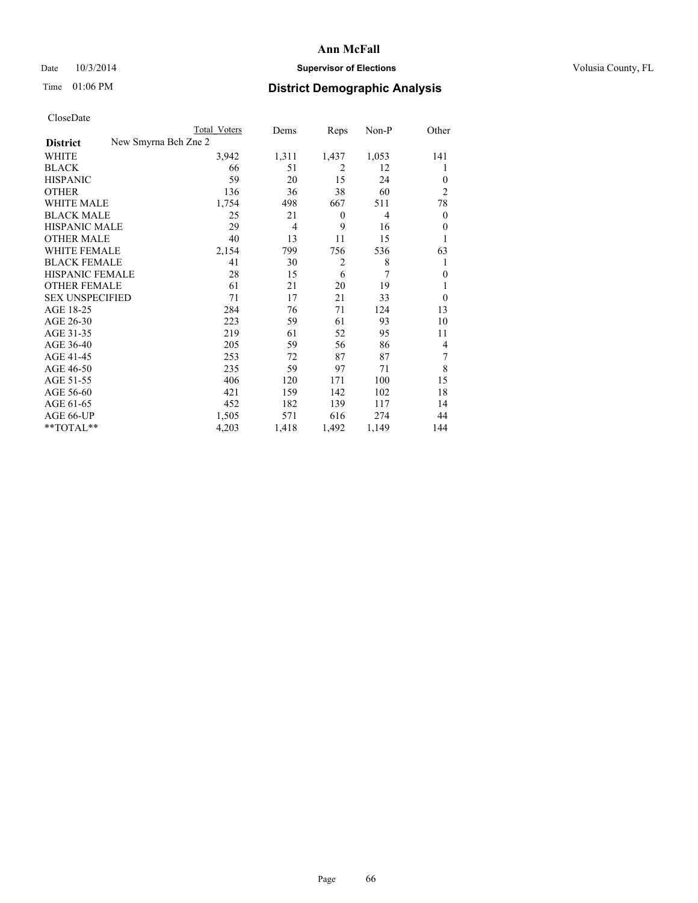## Date  $10/3/2014$  **Supervisor of Elections Supervisor of Elections** Volusia County, FL

|                        | <b>Total Voters</b>  | Dems           | Reps           | Non-P          | Other            |
|------------------------|----------------------|----------------|----------------|----------------|------------------|
| <b>District</b>        | New Smyrna Bch Zne 2 |                |                |                |                  |
| WHITE                  | 3,942                | 1,311          | 1,437          | 1,053          | 141              |
| <b>BLACK</b>           | 66                   | 51             | $\overline{2}$ | 12             | 1                |
| <b>HISPANIC</b>        | 59                   | 20             | 15             | 24             | $\theta$         |
| <b>OTHER</b>           | 136                  | 36             | 38             | 60             | $\overline{2}$   |
| <b>WHITE MALE</b>      | 1,754                | 498            | 667            | 511            | 78               |
| <b>BLACK MALE</b>      | 25                   | 21             | $\theta$       | $\overline{4}$ | $\boldsymbol{0}$ |
| <b>HISPANIC MALE</b>   | 29                   | $\overline{4}$ | 9              | 16             | $\mathbf{0}$     |
| <b>OTHER MALE</b>      | 40                   | 13             | 11             | 15             | 1                |
| <b>WHITE FEMALE</b>    | 2,154                | 799            | 756            | 536            | 63               |
| <b>BLACK FEMALE</b>    | 41                   | 30             | $\overline{2}$ | 8              | 1                |
| <b>HISPANIC FEMALE</b> | 28                   | 15             | 6              | 7              | $\theta$         |
| <b>OTHER FEMALE</b>    | 61                   | 21             | 20             | 19             | 1                |
| <b>SEX UNSPECIFIED</b> | 71                   | 17             | 21             | 33             | $\theta$         |
| AGE 18-25              | 284                  | 76             | 71             | 124            | 13               |
| AGE 26-30              | 223                  | 59             | 61             | 93             | 10               |
| AGE 31-35              | 219                  | 61             | 52             | 95             | 11               |
| AGE 36-40              | 205                  | 59             | 56             | 86             | 4                |
| AGE 41-45              | 253                  | 72             | 87             | 87             | 7                |
| AGE 46-50              | 235                  | 59             | 97             | 71             | 8                |
| AGE 51-55              | 406                  | 120            | 171            | 100            | 15               |
| AGE 56-60              | 421                  | 159            | 142            | 102            | 18               |
| AGE 61-65              | 452                  | 182            | 139            | 117            | 14               |
| AGE 66-UP              | 1,505                | 571            | 616            | 274            | 44               |
| **TOTAL**              | 4,203                | 1,418          | 1,492          | 1,149          | 144              |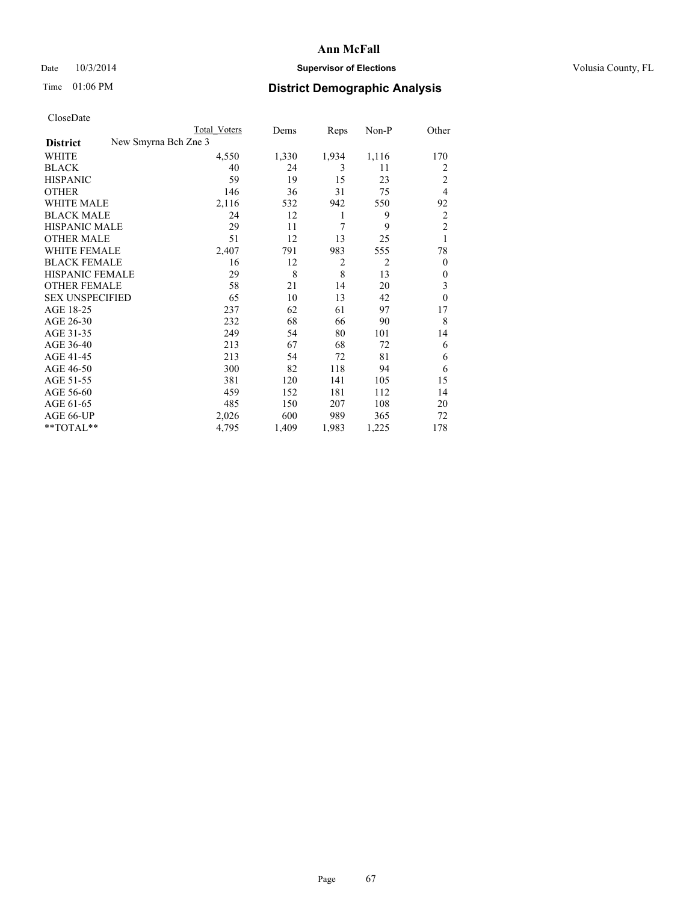## Date  $10/3/2014$  **Supervisor of Elections Supervisor of Elections** Volusia County, FL

|                        | <b>Total Voters</b>  | Dems  | Reps           | Non-P          | Other          |
|------------------------|----------------------|-------|----------------|----------------|----------------|
| <b>District</b>        | New Smyrna Bch Zne 3 |       |                |                |                |
| WHITE                  | 4,550                | 1,330 | 1,934          | 1,116          | 170            |
| <b>BLACK</b>           | 40                   | 24    | 3              | 11             | 2              |
| <b>HISPANIC</b>        | 59                   | 19    | 15             | 23             | $\overline{2}$ |
| <b>OTHER</b>           | 146                  | 36    | 31             | 75             | $\overline{4}$ |
| <b>WHITE MALE</b>      | 2,116                | 532   | 942            | 550            | 92             |
| <b>BLACK MALE</b>      | 24                   | 12    | 1              | 9              | $\overline{2}$ |
| <b>HISPANIC MALE</b>   | 29                   | 11    | 7              | 9              | $\overline{2}$ |
| <b>OTHER MALE</b>      | 51                   | 12    | 13             | 25             | 1              |
| <b>WHITE FEMALE</b>    | 2,407                | 791   | 983            | 555            | 78             |
| <b>BLACK FEMALE</b>    | 16                   | 12    | $\overline{2}$ | $\overline{2}$ | $\overline{0}$ |
| <b>HISPANIC FEMALE</b> | 29                   | 8     | 8              | 13             | $\Omega$       |
| <b>OTHER FEMALE</b>    | 58                   | 21    | 14             | 20             | 3              |
| <b>SEX UNSPECIFIED</b> | 65                   | 10    | 13             | 42             | $\theta$       |
| AGE 18-25              | 237                  | 62    | 61             | 97             | 17             |
| AGE 26-30              | 232                  | 68    | 66             | 90             | 8              |
| AGE 31-35              | 249                  | 54    | 80             | 101            | 14             |
| AGE 36-40              | 213                  | 67    | 68             | 72             | 6              |
| AGE 41-45              | 213                  | 54    | 72             | 81             | 6              |
| AGE 46-50              | 300                  | 82    | 118            | 94             | 6              |
| AGE 51-55              | 381                  | 120   | 141            | 105            | 15             |
| AGE 56-60              | 459                  | 152   | 181            | 112            | 14             |
| AGE 61-65              | 485                  | 150   | 207            | 108            | 20             |
| AGE 66-UP              | 2,026                | 600   | 989            | 365            | 72             |
| **TOTAL**              | 4,795                | 1,409 | 1,983          | 1,225          | 178            |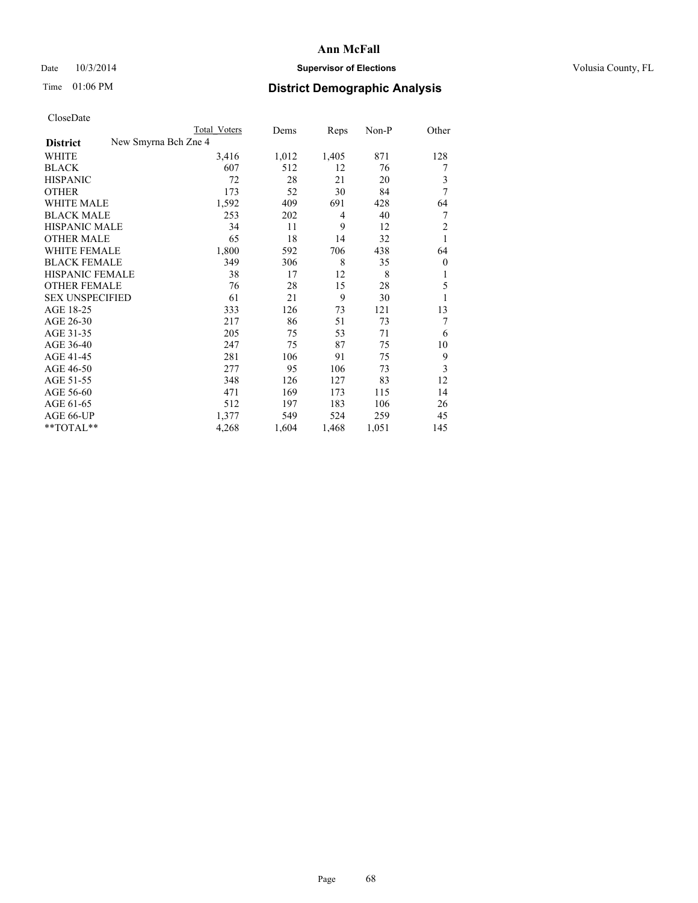## Date  $10/3/2014$  **Supervisor of Elections Supervisor of Elections** Volusia County, FL

|                                         | <b>Total Voters</b> | Dems  | Reps           | Non-P | Other          |
|-----------------------------------------|---------------------|-------|----------------|-------|----------------|
| New Smyrna Bch Zne 4<br><b>District</b> |                     |       |                |       |                |
| WHITE                                   | 3,416               | 1,012 | 1,405          | 871   | 128            |
| <b>BLACK</b>                            | 607                 | 512   | 12             | 76    | 7              |
| <b>HISPANIC</b>                         | 72                  | 28    | 21             | 20    | 3              |
| <b>OTHER</b>                            | 173                 | 52    | 30             | 84    | 7              |
| <b>WHITE MALE</b>                       | 1,592               | 409   | 691            | 428   | 64             |
| <b>BLACK MALE</b>                       | 253                 | 202   | $\overline{4}$ | 40    | 7              |
| <b>HISPANIC MALE</b>                    | 34                  | 11    | 9              | 12    | $\overline{2}$ |
| <b>OTHER MALE</b>                       | 65                  | 18    | 14             | 32    | 1              |
| <b>WHITE FEMALE</b>                     | 1,800               | 592   | 706            | 438   | 64             |
| <b>BLACK FEMALE</b>                     | 349                 | 306   | 8              | 35    | $\overline{0}$ |
| <b>HISPANIC FEMALE</b>                  | 38                  | 17    | 12             | 8     | 1              |
| <b>OTHER FEMALE</b>                     | 76                  | 28    | 15             | 28    | 5              |
| <b>SEX UNSPECIFIED</b>                  | 61                  | 21    | 9              | 30    | 1              |
| AGE 18-25                               | 333                 | 126   | 73             | 121   | 13             |
| AGE 26-30                               | 217                 | 86    | 51             | 73    | 7              |
| AGE 31-35                               | 205                 | 75    | 53             | 71    | 6              |
| AGE 36-40                               | 247                 | 75    | 87             | 75    | 10             |
| AGE 41-45                               | 281                 | 106   | 91             | 75    | 9              |
| AGE 46-50                               | 277                 | 95    | 106            | 73    | 3              |
| AGE 51-55                               | 348                 | 126   | 127            | 83    | 12             |
| AGE 56-60                               | 471                 | 169   | 173            | 115   | 14             |
| AGE 61-65                               | 512                 | 197   | 183            | 106   | 26             |
| AGE 66-UP                               | 1,377               | 549   | 524            | 259   | 45             |
| **TOTAL**                               | 4,268               | 1,604 | 1,468          | 1,051 | 145            |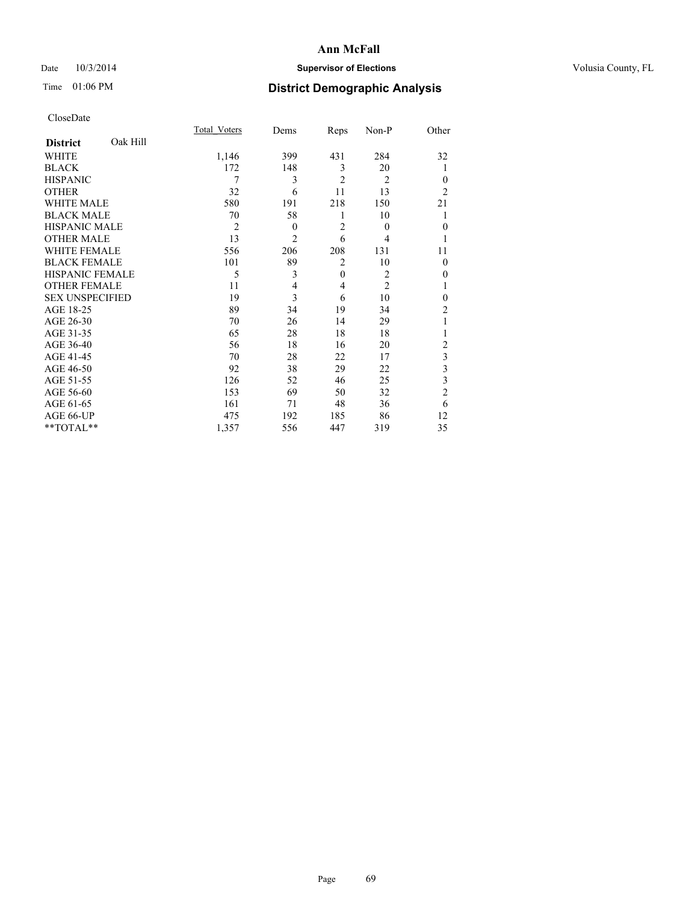## Date  $10/3/2014$  **Supervisor of Elections Supervisor of Elections** Volusia County, FL

## Time 01:06 PM **District Demographic Analysis**

|                        |          | <b>Total Voters</b> | Dems           | Reps           | Non-P          | Other          |
|------------------------|----------|---------------------|----------------|----------------|----------------|----------------|
| <b>District</b>        | Oak Hill |                     |                |                |                |                |
| WHITE                  |          | 1,146               | 399            | 431            | 284            | 32             |
| <b>BLACK</b>           |          | 172                 | 148            | 3              | 20             | 1              |
| <b>HISPANIC</b>        |          | 7                   | 3              | $\overline{2}$ | $\overline{2}$ | $\theta$       |
| <b>OTHER</b>           |          | 32                  | 6              | 11             | 13             | $\overline{2}$ |
| WHITE MALE             |          | 580                 | 191            | 218            | 150            | 21             |
| <b>BLACK MALE</b>      |          | 70                  | 58             | 1              | 10             |                |
| <b>HISPANIC MALE</b>   |          | $\overline{2}$      | $\mathbf{0}$   | $\overline{2}$ | $\theta$       | $\mathbf{0}$   |
| <b>OTHER MALE</b>      |          | 13                  | $\overline{2}$ | 6              | 4              | 1              |
| <b>WHITE FEMALE</b>    |          | 556                 | 206            | 208            | 131            | 11             |
| <b>BLACK FEMALE</b>    |          | 101                 | 89             | $\overline{2}$ | 10             | $\theta$       |
| <b>HISPANIC FEMALE</b> |          | 5                   | 3              | $\mathbf{0}$   | $\overline{2}$ | 0              |
| <b>OTHER FEMALE</b>    |          | 11                  | 4              | 4              | $\overline{c}$ |                |
| <b>SEX UNSPECIFIED</b> |          | 19                  | 3              | 6              | 10             | $\mathbf{0}$   |
| AGE 18-25              |          | 89                  | 34             | 19             | 34             | $\overline{c}$ |
| AGE 26-30              |          | 70                  | 26             | 14             | 29             | 1              |
| AGE 31-35              |          | 65                  | 28             | 18             | 18             |                |
| AGE 36-40              |          | 56                  | 18             | 16             | 20             | $\overline{c}$ |
| AGE 41-45              |          | 70                  | 28             | 22             | 17             | 3              |
| AGE 46-50              |          | 92                  | 38             | 29             | 22             | 3              |
| AGE 51-55              |          | 126                 | 52             | 46             | 25             | 3              |
| AGE 56-60              |          | 153                 | 69             | 50             | 32             | $\overline{c}$ |
| AGE 61-65              |          | 161                 | 71             | 48             | 36             | 6              |
| AGE 66-UP              |          | 475                 | 192            | 185            | 86             | 12             |
| **TOTAL**              |          | 1,357               | 556            | 447            | 319            | 35             |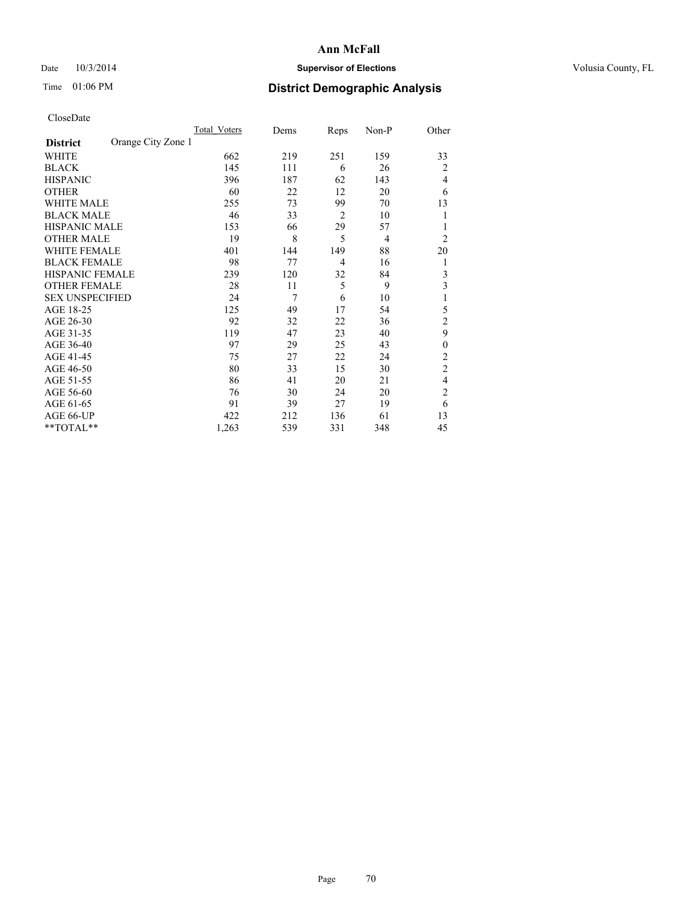## Date  $10/3/2014$  **Supervisor of Elections Supervisor of Elections** Volusia County, FL

## Time 01:06 PM **District Demographic Analysis**

|                        |                    | <b>Total Voters</b> | Dems | Reps           | Non-P | Other          |
|------------------------|--------------------|---------------------|------|----------------|-------|----------------|
| <b>District</b>        | Orange City Zone 1 |                     |      |                |       |                |
| WHITE                  |                    | 662                 | 219  | 251            | 159   | 33             |
| <b>BLACK</b>           |                    | 145                 | 111  | 6              | 26    | $\overline{2}$ |
| <b>HISPANIC</b>        |                    | 396                 | 187  | 62             | 143   | 4              |
| <b>OTHER</b>           |                    | 60                  | 22   | 12             | 20    | 6              |
| WHITE MALE             |                    | 255                 | 73   | 99             | 70    | 13             |
| <b>BLACK MALE</b>      |                    | 46                  | 33   | $\overline{2}$ | 10    | 1              |
| <b>HISPANIC MALE</b>   |                    | 153                 | 66   | 29             | 57    | 1              |
| <b>OTHER MALE</b>      |                    | 19                  | 8    | 5              | 4     | $\overline{c}$ |
| <b>WHITE FEMALE</b>    |                    | 401                 | 144  | 149            | 88    | 20             |
| <b>BLACK FEMALE</b>    |                    | 98                  | 77   | 4              | 16    | 1              |
| <b>HISPANIC FEMALE</b> |                    | 239                 | 120  | 32             | 84    | 3              |
| <b>OTHER FEMALE</b>    |                    | 28                  | 11   | 5              | 9     | 3              |
| <b>SEX UNSPECIFIED</b> |                    | 24                  | 7    | 6              | 10    | 1              |
| AGE 18-25              |                    | 125                 | 49   | 17             | 54    | 5              |
| AGE 26-30              |                    | 92                  | 32   | 22             | 36    | $\overline{2}$ |
| AGE 31-35              |                    | 119                 | 47   | 23             | 40    | 9              |
| AGE 36-40              |                    | 97                  | 29   | 25             | 43    | $\mathbf{0}$   |
| AGE 41-45              |                    | 75                  | 27   | 22             | 24    | 2              |
| AGE 46-50              |                    | 80                  | 33   | 15             | 30    | $\overline{2}$ |
| AGE 51-55              |                    | 86                  | 41   | 20             | 21    | 4              |
| AGE 56-60              |                    | 76                  | 30   | 24             | 20    | $\overline{c}$ |
| AGE 61-65              |                    | 91                  | 39   | 27             | 19    | 6              |
| AGE 66-UP              |                    | 422                 | 212  | 136            | 61    | 13             |
| **TOTAL**              |                    | 1,263               | 539  | 331            | 348   | 45             |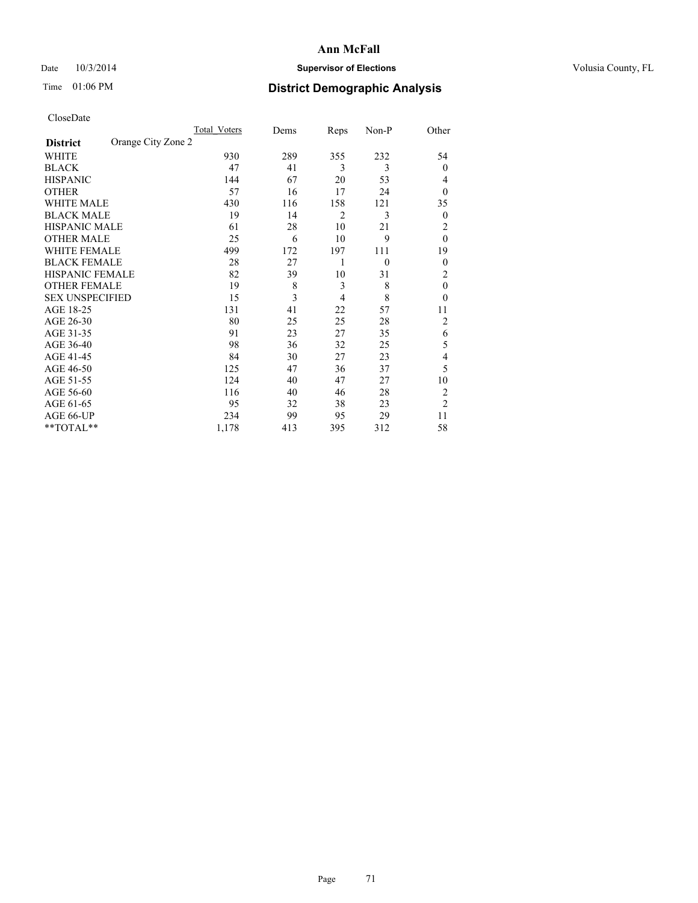## Date  $10/3/2014$  **Supervisor of Elections Supervisor of Elections** Volusia County, FL

## Time 01:06 PM **District Demographic Analysis**

|                        |                    | Total Voters | Dems | Reps | Non-P    | Other          |
|------------------------|--------------------|--------------|------|------|----------|----------------|
| <b>District</b>        | Orange City Zone 2 |              |      |      |          |                |
| WHITE                  |                    | 930          | 289  | 355  | 232      | 54             |
| <b>BLACK</b>           |                    | 47           | 41   | 3    | 3        | $\theta$       |
| <b>HISPANIC</b>        |                    | 144          | 67   | 20   | 53       | 4              |
| <b>OTHER</b>           |                    | 57           | 16   | 17   | 24       | $\theta$       |
| WHITE MALE             |                    | 430          | 116  | 158  | 121      | 35             |
| <b>BLACK MALE</b>      |                    | 19           | 14   | 2    | 3        | 0              |
| <b>HISPANIC MALE</b>   |                    | 61           | 28   | 10   | 21       | $\overline{2}$ |
| <b>OTHER MALE</b>      |                    | 25           | 6    | 10   | 9        | $\theta$       |
| WHITE FEMALE           |                    | 499          | 172  | 197  | 111      | 19             |
| <b>BLACK FEMALE</b>    |                    | 28           | 27   | 1    | $\theta$ | $\overline{0}$ |
| <b>HISPANIC FEMALE</b> |                    | 82           | 39   | 10   | 31       | $\overline{2}$ |
| <b>OTHER FEMALE</b>    |                    | 19           | 8    | 3    | 8        | $\theta$       |
| <b>SEX UNSPECIFIED</b> |                    | 15           | 3    | 4    | 8        | $\theta$       |
| AGE 18-25              |                    | 131          | 41   | 22   | 57       | 11             |
| AGE 26-30              |                    | 80           | 25   | 25   | 28       | $\overline{2}$ |
| AGE 31-35              |                    | 91           | 23   | 27   | 35       | 6              |
| AGE 36-40              |                    | 98           | 36   | 32   | 25       | 5              |
| AGE 41-45              |                    | 84           | 30   | 27   | 23       | 4              |
| AGE 46-50              |                    | 125          | 47   | 36   | 37       | 5              |
| AGE 51-55              |                    | 124          | 40   | 47   | 27       | 10             |
| AGE 56-60              |                    | 116          | 40   | 46   | 28       | $\overline{c}$ |
| AGE 61-65              |                    | 95           | 32   | 38   | 23       | $\overline{2}$ |
| AGE 66-UP              |                    | 234          | 99   | 95   | 29       | 11             |
| **TOTAL**              |                    | 1,178        | 413  | 395  | 312      | 58             |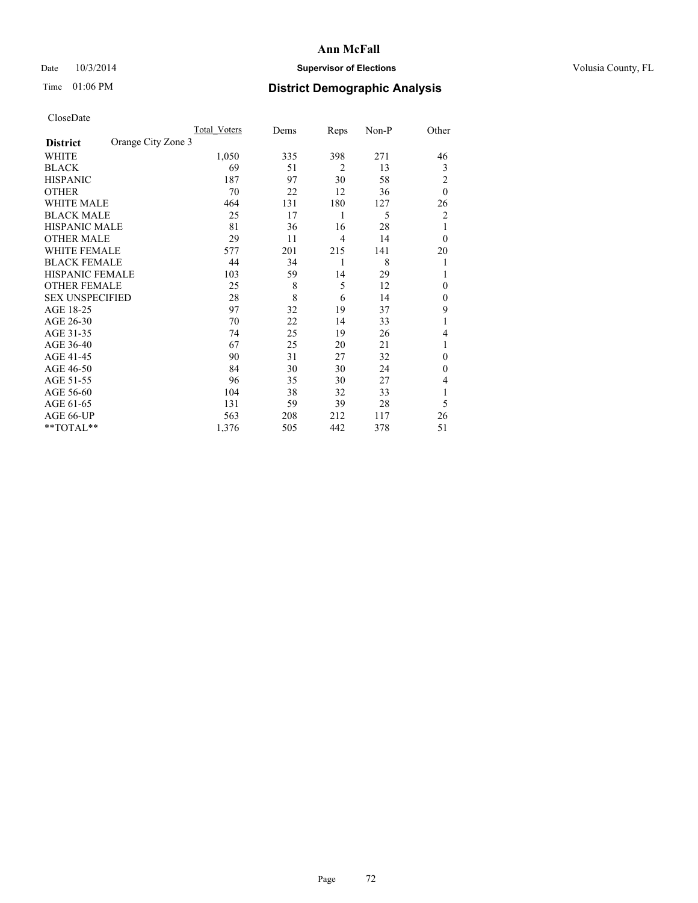## Date  $10/3/2014$  **Supervisor of Elections Supervisor of Elections** Volusia County, FL

## Time 01:06 PM **District Demographic Analysis**

|                        | Total Voters       | Dems | Reps           | Non-P | Other          |
|------------------------|--------------------|------|----------------|-------|----------------|
| <b>District</b>        | Orange City Zone 3 |      |                |       |                |
| WHITE                  | 1,050              | 335  | 398            | 271   | 46             |
| <b>BLACK</b>           | 69                 | 51   | $\overline{2}$ | 13    | 3              |
| <b>HISPANIC</b>        | 187                | 97   | 30             | 58    | $\overline{2}$ |
| <b>OTHER</b>           | 70                 | 22   | 12             | 36    | $\theta$       |
| WHITE MALE             | 464                | 131  | 180            | 127   | 26             |
| <b>BLACK MALE</b>      | 25                 | 17   | 1              | 5     | 2              |
| <b>HISPANIC MALE</b>   | 81                 | 36   | 16             | 28    | 1              |
| <b>OTHER MALE</b>      | 29                 | 11   | $\overline{4}$ | 14    | $\theta$       |
| <b>WHITE FEMALE</b>    | 577                | 201  | 215            | 141   | 20             |
| <b>BLACK FEMALE</b>    | 44                 | 34   | 1              | 8     | 1              |
| <b>HISPANIC FEMALE</b> | 103                | 59   | 14             | 29    |                |
| <b>OTHER FEMALE</b>    | 25                 | 8    | 5              | 12    | $\Omega$       |
| <b>SEX UNSPECIFIED</b> | 28                 | 8    | 6              | 14    | $\mathbf{0}$   |
| AGE 18-25              | 97                 | 32   | 19             | 37    | 9              |
| AGE 26-30              | 70                 | 22   | 14             | 33    | 1              |
| AGE 31-35              | 74                 | 25   | 19             | 26    | 4              |
| AGE 36-40              | 67                 | 25   | 20             | 21    | 1              |
| AGE 41-45              | 90                 | 31   | 27             | 32    | $\Omega$       |
| AGE 46-50              | 84                 | 30   | 30             | 24    | $\Omega$       |
| AGE 51-55              | 96                 | 35   | 30             | 27    | 4              |
| AGE 56-60              | 104                | 38   | 32             | 33    |                |
| AGE 61-65              | 131                | 59   | 39             | 28    | 5              |
| AGE 66-UP              | 563                | 208  | 212            | 117   | 26             |
| **TOTAL**              | 1,376              | 505  | 442            | 378   | 51             |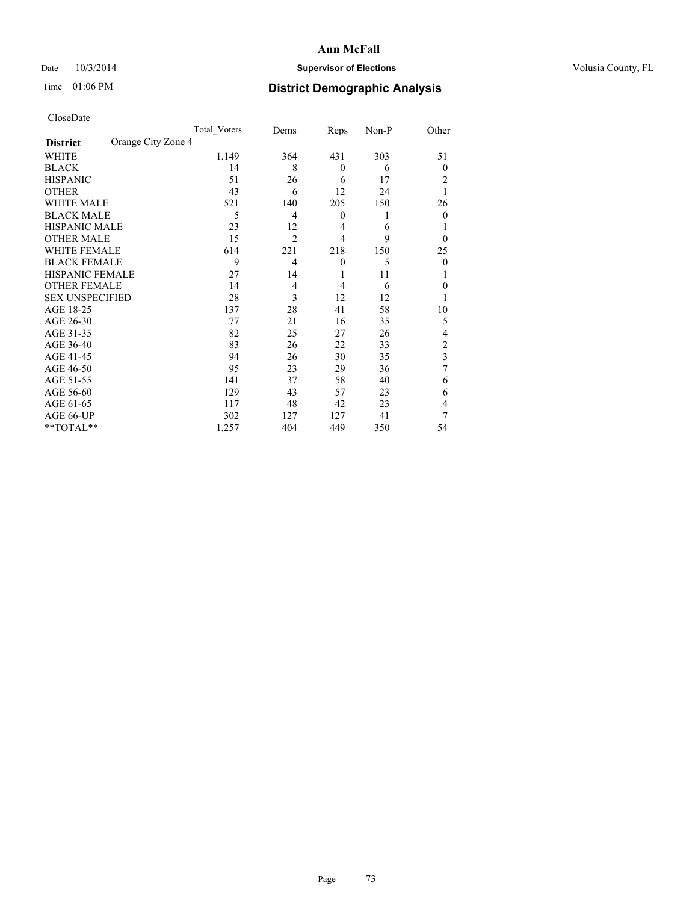## Date  $10/3/2014$  **Supervisor of Elections Supervisor of Elections** Volusia County, FL

## Time 01:06 PM **District Demographic Analysis**

|                        |                    | Total Voters | Dems           | Reps             | Non-P | Other          |
|------------------------|--------------------|--------------|----------------|------------------|-------|----------------|
| <b>District</b>        | Orange City Zone 4 |              |                |                  |       |                |
| WHITE                  |                    | 1,149        | 364            | 431              | 303   | 51             |
| <b>BLACK</b>           |                    | 14           | 8              | $\theta$         | 6     | $\theta$       |
| <b>HISPANIC</b>        |                    | 51           | 26             | 6                | 17    | 2              |
| <b>OTHER</b>           |                    | 43           | 6              | 12               | 24    |                |
| WHITE MALE             |                    | 521          | 140            | 205              | 150   | 26             |
| <b>BLACK MALE</b>      |                    | 5            | 4              | $\boldsymbol{0}$ | 1     | $\theta$       |
| <b>HISPANIC MALE</b>   |                    | 23           | 12             | $\overline{4}$   | 6     |                |
| <b>OTHER MALE</b>      |                    | 15           | $\overline{2}$ | 4                | 9     | $\theta$       |
| <b>WHITE FEMALE</b>    |                    | 614          | 221            | 218              | 150   | 25             |
| <b>BLACK FEMALE</b>    |                    | 9            | 4              | $\theta$         | 5     | $\theta$       |
| <b>HISPANIC FEMALE</b> |                    | 27           | 14             | 1                | 11    |                |
| <b>OTHER FEMALE</b>    |                    | 14           | 4              | 4                | 6     | 0              |
| <b>SEX UNSPECIFIED</b> |                    | 28           | 3              | 12               | 12    |                |
| AGE 18-25              |                    | 137          | 28             | 41               | 58    | 10             |
| AGE 26-30              |                    | 77           | 21             | 16               | 35    | 5              |
| AGE 31-35              |                    | 82           | 25             | 27               | 26    | 4              |
| AGE 36-40              |                    | 83           | 26             | 22               | 33    | $\overline{c}$ |
| AGE 41-45              |                    | 94           | 26             | 30               | 35    | 3              |
| AGE 46-50              |                    | 95           | 23             | 29               | 36    | 7              |
| AGE 51-55              |                    | 141          | 37             | 58               | 40    | 6              |
| AGE 56-60              |                    | 129          | 43             | 57               | 23    | 6              |
| AGE 61-65              |                    | 117          | 48             | 42               | 23    | 4              |
| AGE 66-UP              |                    | 302          | 127            | 127              | 41    | 7              |
| **TOTAL**              |                    | 1,257        | 404            | 449              | 350   | 54             |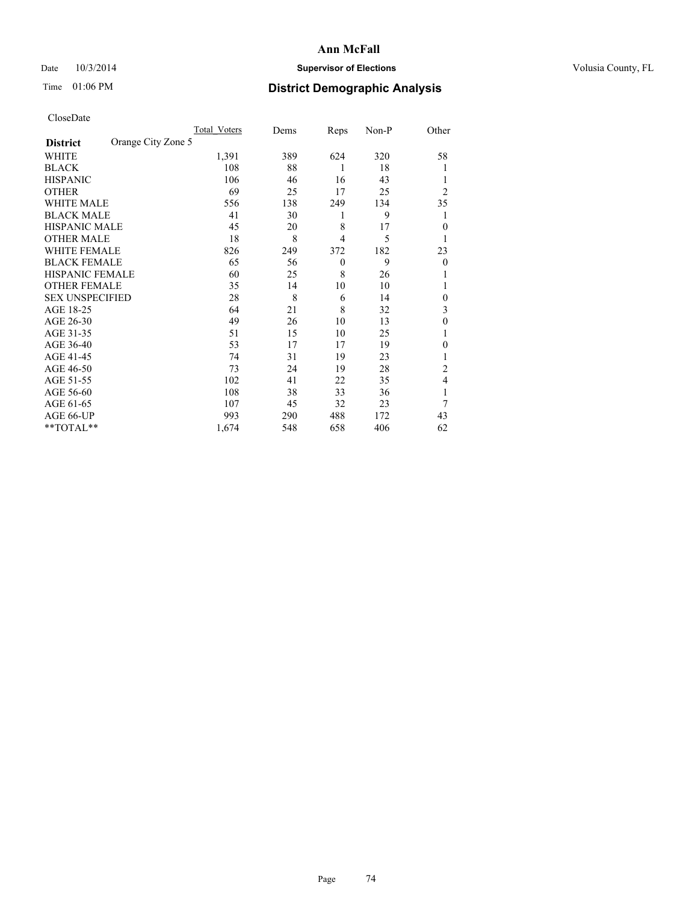## Date  $10/3/2014$  **Supervisor of Elections Supervisor of Elections** Volusia County, FL

## Time 01:06 PM **District Demographic Analysis**

|                        |                    | <b>Total Voters</b> | Dems | Reps           | Non-P | Other          |
|------------------------|--------------------|---------------------|------|----------------|-------|----------------|
| <b>District</b>        | Orange City Zone 5 |                     |      |                |       |                |
| WHITE                  |                    | 1,391               | 389  | 624            | 320   | 58             |
| <b>BLACK</b>           |                    | 108                 | 88   | 1              | 18    |                |
| <b>HISPANIC</b>        |                    | 106                 | 46   | 16             | 43    |                |
| <b>OTHER</b>           |                    | 69                  | 25   | 17             | 25    | $\overline{2}$ |
| WHITE MALE             |                    | 556                 | 138  | 249            | 134   | 35             |
| <b>BLACK MALE</b>      |                    | 41                  | 30   | 1              | 9     |                |
| <b>HISPANIC MALE</b>   |                    | 45                  | 20   | 8              | 17    | $\theta$       |
| <b>OTHER MALE</b>      |                    | 18                  | 8    | $\overline{4}$ | 5     | 1              |
| <b>WHITE FEMALE</b>    |                    | 826                 | 249  | 372            | 182   | 23             |
| <b>BLACK FEMALE</b>    |                    | 65                  | 56   | $\theta$       | 9     | $\theta$       |
| <b>HISPANIC FEMALE</b> |                    | 60                  | 25   | 8              | 26    |                |
| <b>OTHER FEMALE</b>    |                    | 35                  | 14   | 10             | 10    |                |
| <b>SEX UNSPECIFIED</b> |                    | 28                  | 8    | 6              | 14    | $\mathbf{0}$   |
| AGE 18-25              |                    | 64                  | 21   | 8              | 32    | 3              |
| AGE 26-30              |                    | 49                  | 26   | 10             | 13    | $\mathbf{0}$   |
| AGE 31-35              |                    | 51                  | 15   | 10             | 25    |                |
| AGE 36-40              |                    | 53                  | 17   | 17             | 19    | 0              |
| AGE 41-45              |                    | 74                  | 31   | 19             | 23    |                |
| AGE 46-50              |                    | 73                  | 24   | 19             | 28    | 2              |
| AGE 51-55              |                    | 102                 | 41   | 22             | 35    | 4              |
| AGE 56-60              |                    | 108                 | 38   | 33             | 36    |                |
| AGE 61-65              |                    | 107                 | 45   | 32             | 23    | 7              |
| AGE 66-UP              |                    | 993                 | 290  | 488            | 172   | 43             |
| **TOTAL**              |                    | 1,674               | 548  | 658            | 406   | 62             |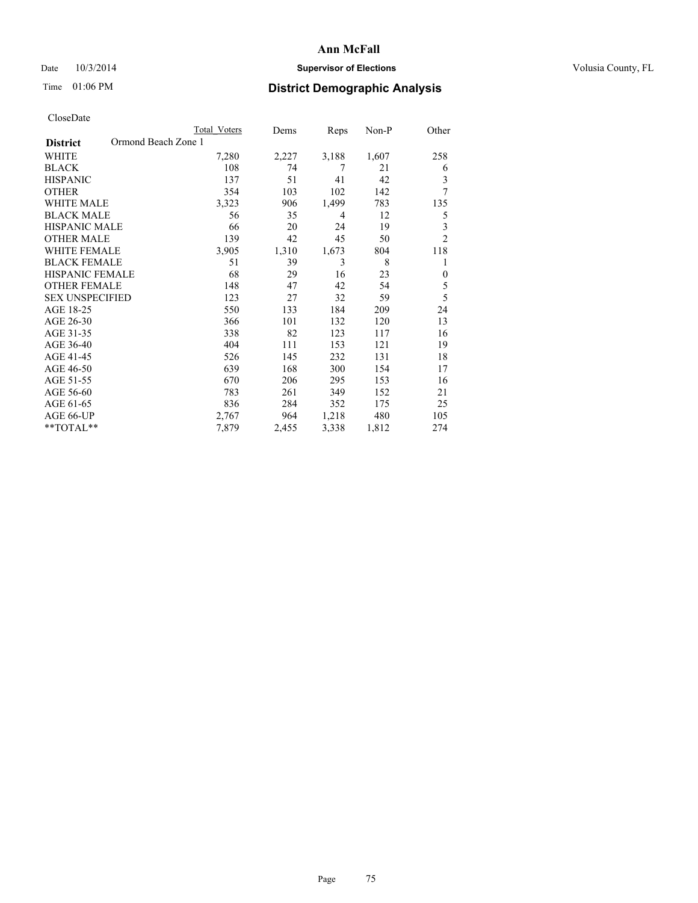## Date  $10/3/2014$  **Supervisor of Elections Supervisor of Elections** Volusia County, FL

## Time 01:06 PM **District Demographic Analysis**

|                                        | Total Voters | Dems  | Reps  | Non-P | Other          |
|----------------------------------------|--------------|-------|-------|-------|----------------|
| Ormond Beach Zone 1<br><b>District</b> |              |       |       |       |                |
| WHITE                                  | 7,280        | 2,227 | 3,188 | 1,607 | 258            |
| <b>BLACK</b>                           | 108          | 74    | 7     | 21    | 6              |
| <b>HISPANIC</b>                        | 137          | 51    | 41    | 42    | 3              |
| <b>OTHER</b>                           | 354          | 103   | 102   | 142   | 7              |
| <b>WHITE MALE</b>                      | 3,323        | 906   | 1,499 | 783   | 135            |
| <b>BLACK MALE</b>                      | 56           | 35    | 4     | 12    | 5              |
| <b>HISPANIC MALE</b>                   | 66           | 20    | 24    | 19    | 3              |
| <b>OTHER MALE</b>                      | 139          | 42    | 45    | 50    | $\overline{2}$ |
| <b>WHITE FEMALE</b>                    | 3,905        | 1,310 | 1,673 | 804   | 118            |
| <b>BLACK FEMALE</b>                    | 51           | 39    | 3     | 8     | 1              |
| <b>HISPANIC FEMALE</b>                 | 68           | 29    | 16    | 23    | $\mathbf{0}$   |
| <b>OTHER FEMALE</b>                    | 148          | 47    | 42    | 54    | 5              |
| <b>SEX UNSPECIFIED</b>                 | 123          | 27    | 32    | 59    | 5              |
| AGE 18-25                              | 550          | 133   | 184   | 209   | 24             |
| AGE 26-30                              | 366          | 101   | 132   | 120   | 13             |
| AGE 31-35                              | 338          | 82    | 123   | 117   | 16             |
| AGE 36-40                              | 404          | 111   | 153   | 121   | 19             |
| AGE 41-45                              | 526          | 145   | 232   | 131   | 18             |
| AGE 46-50                              | 639          | 168   | 300   | 154   | 17             |
| AGE 51-55                              | 670          | 206   | 295   | 153   | 16             |
| AGE 56-60                              | 783          | 261   | 349   | 152   | 21             |
| AGE 61-65                              | 836          | 284   | 352   | 175   | 25             |
| AGE 66-UP                              | 2,767        | 964   | 1,218 | 480   | 105            |
| **TOTAL**                              | 7,879        | 2,455 | 3,338 | 1,812 | 274            |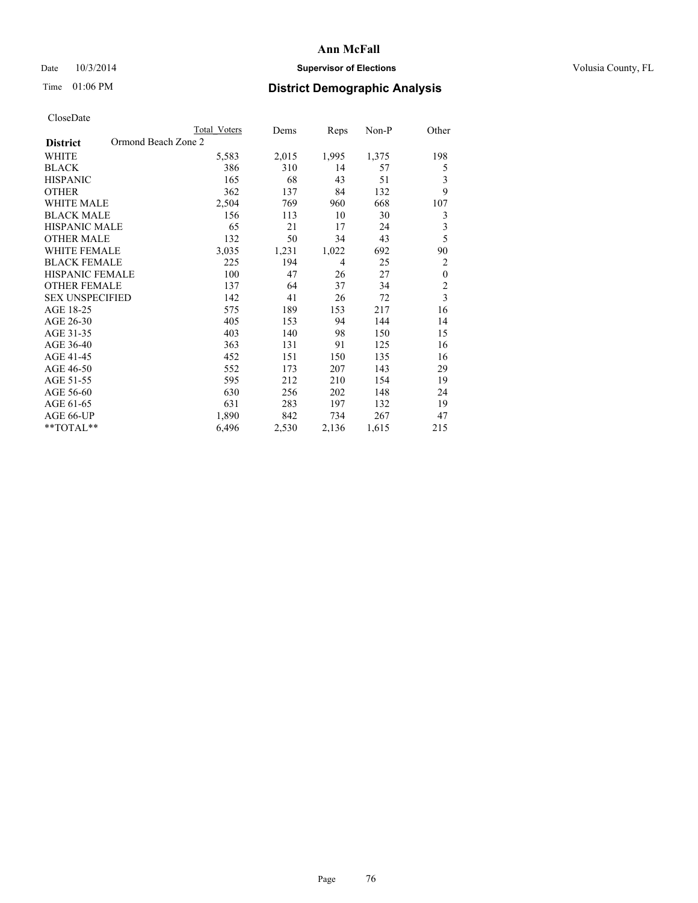## Date  $10/3/2014$  **Supervisor of Elections Supervisor of Elections** Volusia County, FL

## Time 01:06 PM **District Demographic Analysis**

|                                        | Total Voters | Dems  | Reps  | Non-P | Other                   |
|----------------------------------------|--------------|-------|-------|-------|-------------------------|
| Ormond Beach Zone 2<br><b>District</b> |              |       |       |       |                         |
| <b>WHITE</b>                           | 5,583        | 2,015 | 1,995 | 1,375 | 198                     |
| <b>BLACK</b>                           | 386          | 310   | 14    | 57    | 5                       |
| <b>HISPANIC</b>                        | 165          | 68    | 43    | 51    | 3                       |
| <b>OTHER</b>                           | 362          | 137   | 84    | 132   | 9                       |
| <b>WHITE MALE</b>                      | 2,504        | 769   | 960   | 668   | 107                     |
| <b>BLACK MALE</b>                      | 156          | 113   | 10    | 30    | 3                       |
| HISPANIC MALE                          | 65           | 21    | 17    | 24    | 3                       |
| <b>OTHER MALE</b>                      | 132          | 50    | 34    | 43    | 5                       |
| <b>WHITE FEMALE</b>                    | 3,035        | 1,231 | 1,022 | 692   | 90                      |
| <b>BLACK FEMALE</b>                    | 225          | 194   | 4     | 25    | $\overline{c}$          |
| <b>HISPANIC FEMALE</b>                 | 100          | 47    | 26    | 27    | $\boldsymbol{0}$        |
| <b>OTHER FEMALE</b>                    | 137          | 64    | 37    | 34    | $\overline{c}$          |
| <b>SEX UNSPECIFIED</b>                 | 142          | 41    | 26    | 72    | $\overline{\mathbf{3}}$ |
| AGE 18-25                              | 575          | 189   | 153   | 217   | 16                      |
| AGE 26-30                              | 405          | 153   | 94    | 144   | 14                      |
| AGE 31-35                              | 403          | 140   | 98    | 150   | 15                      |
| AGE 36-40                              | 363          | 131   | 91    | 125   | 16                      |
| AGE 41-45                              | 452          | 151   | 150   | 135   | 16                      |
| AGE 46-50                              | 552          | 173   | 207   | 143   | 29                      |
| AGE 51-55                              | 595          | 212   | 210   | 154   | 19                      |
| AGE 56-60                              | 630          | 256   | 202   | 148   | 24                      |
| AGE 61-65                              | 631          | 283   | 197   | 132   | 19                      |
| AGE 66-UP                              | 1,890        | 842   | 734   | 267   | 47                      |
| **TOTAL**                              | 6,496        | 2,530 | 2,136 | 1,615 | 215                     |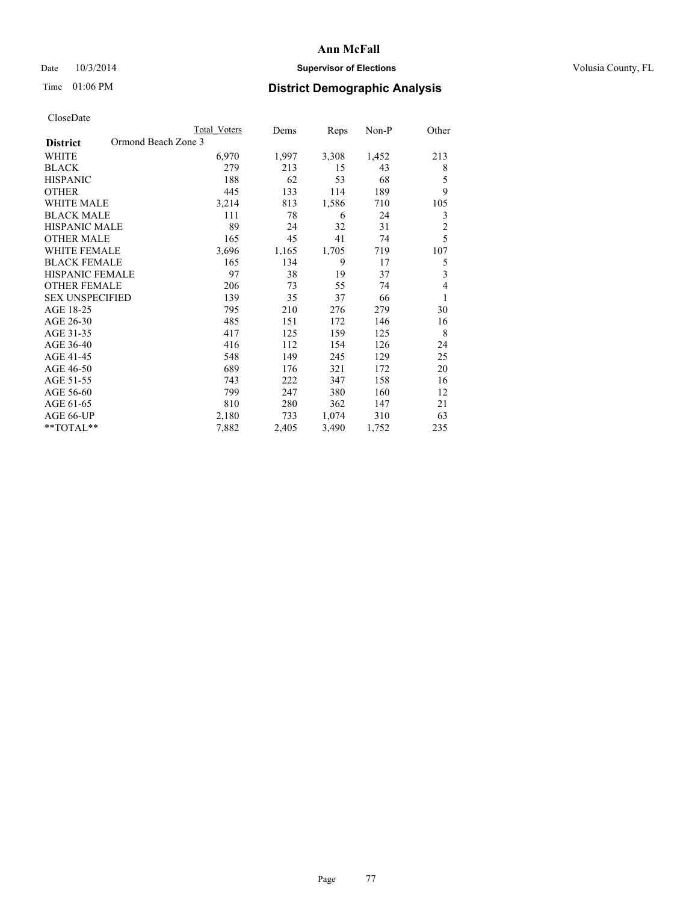## Date  $10/3/2014$  **Supervisor of Elections Supervisor of Elections** Volusia County, FL

## Time 01:06 PM **District Demographic Analysis**

|                                        | Total Voters | Dems  | Reps  | Non-P | Other          |
|----------------------------------------|--------------|-------|-------|-------|----------------|
| Ormond Beach Zone 3<br><b>District</b> |              |       |       |       |                |
| WHITE                                  | 6,970        | 1,997 | 3,308 | 1,452 | 213            |
| <b>BLACK</b>                           | 279          | 213   | 15    | 43    | 8              |
| <b>HISPANIC</b>                        | 188          | 62    | 53    | 68    | 5              |
| <b>OTHER</b>                           | 445          | 133   | 114   | 189   | 9              |
| <b>WHITE MALE</b>                      | 3,214        | 813   | 1,586 | 710   | 105            |
| <b>BLACK MALE</b>                      | 111          | 78    | 6     | 24    | 3              |
| <b>HISPANIC MALE</b>                   | 89           | 24    | 32    | 31    | $\overline{2}$ |
| <b>OTHER MALE</b>                      | 165          | 45    | 41    | 74    | 5              |
| <b>WHITE FEMALE</b>                    | 3,696        | 1,165 | 1,705 | 719   | 107            |
| <b>BLACK FEMALE</b>                    | 165          | 134   | 9     | 17    | 5              |
| <b>HISPANIC FEMALE</b>                 | 97           | 38    | 19    | 37    | 3              |
| <b>OTHER FEMALE</b>                    | 206          | 73    | 55    | 74    | 4              |
| <b>SEX UNSPECIFIED</b>                 | 139          | 35    | 37    | 66    | 1              |
| AGE 18-25                              | 795          | 210   | 276   | 279   | 30             |
| AGE 26-30                              | 485          | 151   | 172   | 146   | 16             |
| AGE 31-35                              | 417          | 125   | 159   | 125   | 8              |
| AGE 36-40                              | 416          | 112   | 154   | 126   | 24             |
| AGE 41-45                              | 548          | 149   | 245   | 129   | 25             |
| AGE 46-50                              | 689          | 176   | 321   | 172   | 20             |
| AGE 51-55                              | 743          | 222   | 347   | 158   | 16             |
| AGE 56-60                              | 799          | 247   | 380   | 160   | 12             |
| AGE 61-65                              | 810          | 280   | 362   | 147   | 21             |
| AGE 66-UP                              | 2,180        | 733   | 1,074 | 310   | 63             |
| **TOTAL**                              | 7,882        | 2,405 | 3,490 | 1,752 | 235            |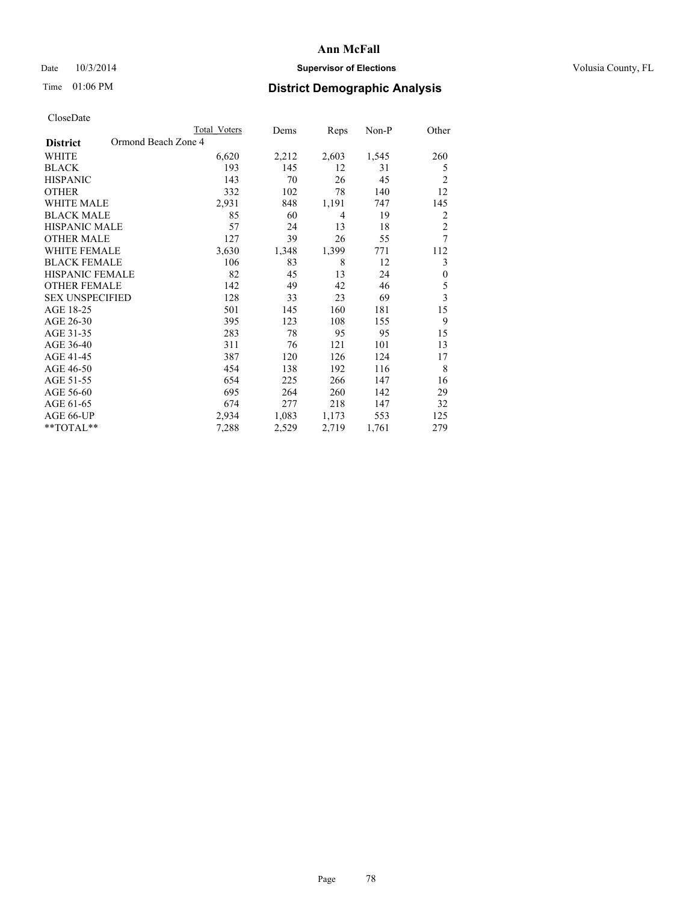## Date  $10/3/2014$  **Supervisor of Elections Supervisor of Elections** Volusia County, FL

## Time 01:06 PM **District Demographic Analysis**

|                                        | Total Voters | Dems  | Reps           | Non-P | Other                   |
|----------------------------------------|--------------|-------|----------------|-------|-------------------------|
| Ormond Beach Zone 4<br><b>District</b> |              |       |                |       |                         |
| WHITE                                  | 6,620        | 2,212 | 2,603          | 1,545 | 260                     |
| <b>BLACK</b>                           | 193          | 145   | 12             | 31    | 5                       |
| <b>HISPANIC</b>                        | 143          | 70    | 26             | 45    | $\overline{2}$          |
| <b>OTHER</b>                           | 332          | 102   | 78             | 140   | 12                      |
| <b>WHITE MALE</b>                      | 2,931        | 848   | 1,191          | 747   | 145                     |
| <b>BLACK MALE</b>                      | 85           | 60    | $\overline{4}$ | 19    | 2                       |
| <b>HISPANIC MALE</b>                   | 57           | 24    | 13             | 18    | $\overline{c}$          |
| <b>OTHER MALE</b>                      | 127          | 39    | 26             | 55    | 7                       |
| <b>WHITE FEMALE</b>                    | 3,630        | 1,348 | 1,399          | 771   | 112                     |
| <b>BLACK FEMALE</b>                    | 106          | 83    | 8              | 12    | 3                       |
| <b>HISPANIC FEMALE</b>                 | 82           | 45    | 13             | 24    | $\boldsymbol{0}$        |
| <b>OTHER FEMALE</b>                    | 142          | 49    | 42             | 46    | 5                       |
| <b>SEX UNSPECIFIED</b>                 | 128          | 33    | 23             | 69    | $\overline{\mathbf{3}}$ |
| AGE 18-25                              | 501          | 145   | 160            | 181   | 15                      |
| AGE 26-30                              | 395          | 123   | 108            | 155   | 9                       |
| AGE 31-35                              | 283          | 78    | 95             | 95    | 15                      |
| AGE 36-40                              | 311          | 76    | 121            | 101   | 13                      |
| AGE 41-45                              | 387          | 120   | 126            | 124   | 17                      |
| AGE 46-50                              | 454          | 138   | 192            | 116   | 8                       |
| AGE 51-55                              | 654          | 225   | 266            | 147   | 16                      |
| AGE 56-60                              | 695          | 264   | 260            | 142   | 29                      |
| AGE 61-65                              | 674          | 277   | 218            | 147   | 32                      |
| AGE 66-UP                              | 2,934        | 1,083 | 1,173          | 553   | 125                     |
| **TOTAL**                              | 7,288        | 2,529 | 2,719          | 1,761 | 279                     |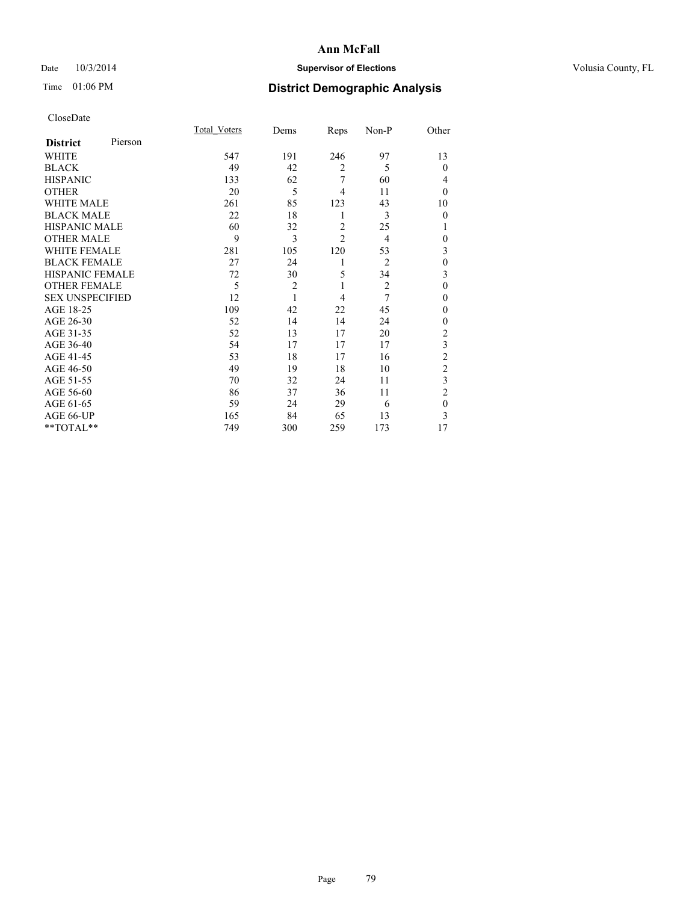## Date  $10/3/2014$  **Supervisor of Elections Supervisor of Elections** Volusia County, FL

# Time 01:06 PM **District Demographic Analysis**

|                        |         | <b>Total Voters</b> | Dems           | Reps           | Non-P          | Other          |
|------------------------|---------|---------------------|----------------|----------------|----------------|----------------|
| <b>District</b>        | Pierson |                     |                |                |                |                |
| WHITE                  |         | 547                 | 191            | 246            | 97             | 13             |
| <b>BLACK</b>           |         | 49                  | 42             | $\overline{2}$ | 5              | $\Omega$       |
| <b>HISPANIC</b>        |         | 133                 | 62             | 7              | 60             | 4              |
| <b>OTHER</b>           |         | 20                  | 5              | 4              | 11             | $\Omega$       |
| WHITE MALE             |         | 261                 | 85             | 123            | 43             | 10             |
| <b>BLACK MALE</b>      |         | 22                  | 18             | 1              | 3              | $\mathbf{0}$   |
| <b>HISPANIC MALE</b>   |         | 60                  | 32             | $\overline{2}$ | 25             | 1              |
| <b>OTHER MALE</b>      |         | 9                   | 3              | $\overline{c}$ | 4              | $\mathbf{0}$   |
| <b>WHITE FEMALE</b>    |         | 281                 | 105            | 120            | 53             | 3              |
| <b>BLACK FEMALE</b>    |         | 27                  | 24             | 1              | $\overline{2}$ | $\theta$       |
| HISPANIC FEMALE        |         | 72                  | 30             | 5              | 34             | 3              |
| <b>OTHER FEMALE</b>    |         | 5                   | $\overline{c}$ | 1              | $\overline{2}$ | $\theta$       |
| <b>SEX UNSPECIFIED</b> |         | 12                  | $\mathbf{1}$   | $\overline{4}$ | 7              | $\theta$       |
| AGE 18-25              |         | 109                 | 42             | 22             | 45             | $\Omega$       |
| AGE 26-30              |         | 52                  | 14             | 14             | 24             | $\mathbf{0}$   |
| AGE 31-35              |         | 52                  | 13             | 17             | 20             | $\overline{c}$ |
| AGE 36-40              |         | 54                  | 17             | 17             | 17             | 3              |
| AGE 41-45              |         | 53                  | 18             | 17             | 16             | $\overline{c}$ |
| AGE 46-50              |         | 49                  | 19             | 18             | 10             | $\overline{2}$ |
| AGE 51-55              |         | 70                  | 32             | 24             | 11             | 3              |
| AGE 56-60              |         | 86                  | 37             | 36             | 11             | $\overline{2}$ |
| AGE 61-65              |         | 59                  | 24             | 29             | 6              | $\mathbf{0}$   |
| AGE 66-UP              |         | 165                 | 84             | 65             | 13             | 3              |
| **TOTAL**              |         | 749                 | 300            | 259            | 173            | 17             |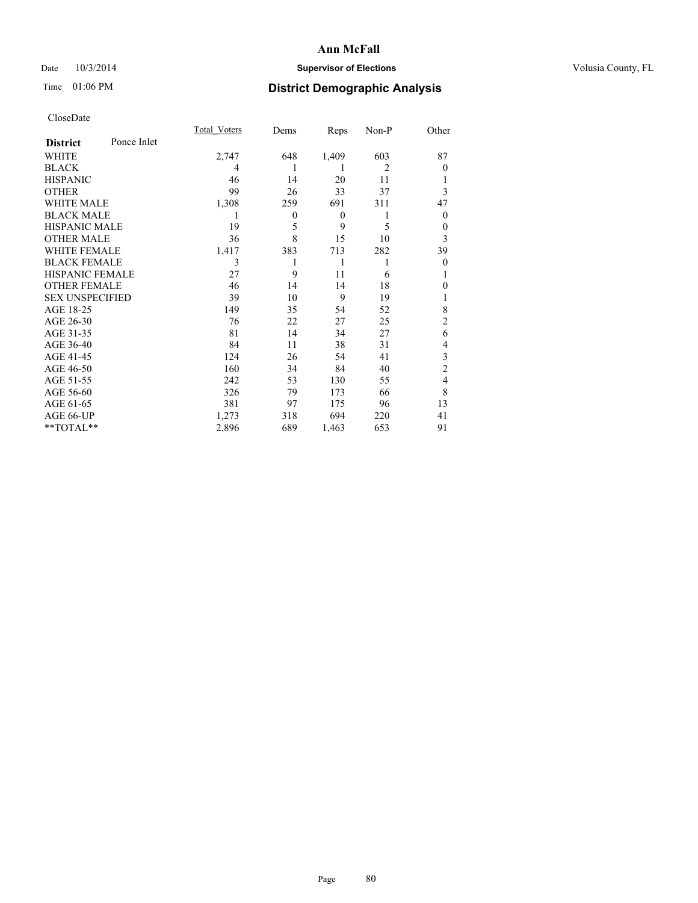## Date  $10/3/2014$  **Supervisor of Elections Supervisor of Elections** Volusia County, FL

## Time 01:06 PM **District Demographic Analysis**

|                        |             | <b>Total Voters</b> | Dems     | Reps             | Non-P          | Other          |
|------------------------|-------------|---------------------|----------|------------------|----------------|----------------|
| <b>District</b>        | Ponce Inlet |                     |          |                  |                |                |
| WHITE                  |             | 2,747               | 648      | 1,409            | 603            | 87             |
| <b>BLACK</b>           |             | 4                   |          |                  | $\overline{2}$ | $\theta$       |
| <b>HISPANIC</b>        |             | 46                  | 14       | 20               | 11             |                |
| <b>OTHER</b>           |             | 99                  | 26       | 33               | 37             | 3              |
| WHITE MALE             |             | 1,308               | 259      | 691              | 311            | 47             |
| <b>BLACK MALE</b>      |             | 1                   | $\theta$ | $\boldsymbol{0}$ | 1              | $\theta$       |
| <b>HISPANIC MALE</b>   |             | 19                  | 5        | 9                | 5              | 0              |
| <b>OTHER MALE</b>      |             | 36                  | 8        | 15               | 10             | 3              |
| WHITE FEMALE           |             | 1,417               | 383      | 713              | 282            | 39             |
| <b>BLACK FEMALE</b>    |             | 3                   | 1        | 1                |                | $\theta$       |
| <b>HISPANIC FEMALE</b> |             | 27                  | 9        | 11               | 6              |                |
| <b>OTHER FEMALE</b>    |             | 46                  | 14       | 14               | 18             | 0              |
| <b>SEX UNSPECIFIED</b> |             | 39                  | 10       | 9                | 19             | 1              |
| AGE 18-25              |             | 149                 | 35       | 54               | 52             | 8              |
| AGE 26-30              |             | 76                  | 22       | 27               | 25             | $\overline{c}$ |
| AGE 31-35              |             | 81                  | 14       | 34               | 27             | 6              |
| AGE 36-40              |             | 84                  | 11       | 38               | 31             | 4              |
| AGE 41-45              |             | 124                 | 26       | 54               | 41             | 3              |
| AGE 46-50              |             | 160                 | 34       | 84               | 40             | $\overline{2}$ |
| AGE 51-55              |             | 242                 | 53       | 130              | 55             | 4              |
| AGE 56-60              |             | 326                 | 79       | 173              | 66             | 8              |
| AGE 61-65              |             | 381                 | 97       | 175              | 96             | 13             |
| AGE 66-UP              |             | 1,273               | 318      | 694              | 220            | 41             |
| **TOTAL**              |             | 2,896               | 689      | 1,463            | 653            | 91             |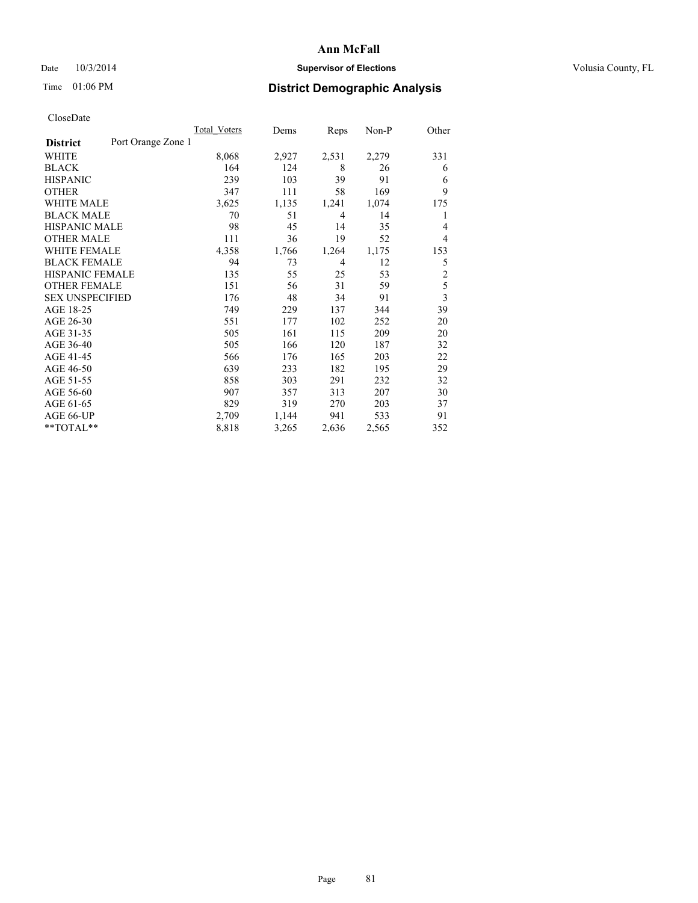## Date  $10/3/2014$  **Supervisor of Elections Supervisor of Elections** Volusia County, FL

## Time 01:06 PM **District Demographic Analysis**

|                        |                    | Total Voters | Dems  | Reps           | Non-P | Other          |
|------------------------|--------------------|--------------|-------|----------------|-------|----------------|
| <b>District</b>        | Port Orange Zone 1 |              |       |                |       |                |
| WHITE                  |                    | 8,068        | 2,927 | 2,531          | 2,279 | 331            |
| <b>BLACK</b>           |                    | 164          | 124   | 8              | 26    | 6              |
| <b>HISPANIC</b>        |                    | 239          | 103   | 39             | 91    | 6              |
| <b>OTHER</b>           |                    | 347          | 111   | 58             | 169   | 9              |
| <b>WHITE MALE</b>      |                    | 3,625        | 1,135 | 1,241          | 1,074 | 175            |
| <b>BLACK MALE</b>      |                    | 70           | 51    | 4              | 14    | 1              |
| <b>HISPANIC MALE</b>   |                    | 98           | 45    | 14             | 35    | 4              |
| <b>OTHER MALE</b>      |                    | 111          | 36    | 19             | 52    | 4              |
| <b>WHITE FEMALE</b>    |                    | 4,358        | 1,766 | 1,264          | 1,175 | 153            |
| <b>BLACK FEMALE</b>    |                    | 94           | 73    | $\overline{4}$ | 12    | 5              |
| <b>HISPANIC FEMALE</b> |                    | 135          | 55    | 25             | 53    | $\overline{2}$ |
| <b>OTHER FEMALE</b>    |                    | 151          | 56    | 31             | 59    | 5              |
| <b>SEX UNSPECIFIED</b> |                    | 176          | 48    | 34             | 91    | 3              |
| AGE 18-25              |                    | 749          | 229   | 137            | 344   | 39             |
| AGE 26-30              |                    | 551          | 177   | 102            | 252   | 20             |
| AGE 31-35              |                    | 505          | 161   | 115            | 209   | 20             |
| AGE 36-40              |                    | 505          | 166   | 120            | 187   | 32             |
| AGE 41-45              |                    | 566          | 176   | 165            | 203   | 22             |
| AGE 46-50              |                    | 639          | 233   | 182            | 195   | 29             |
| AGE 51-55              |                    | 858          | 303   | 291            | 232   | 32             |
| AGE 56-60              |                    | 907          | 357   | 313            | 207   | 30             |
| AGE 61-65              |                    | 829          | 319   | 270            | 203   | 37             |
| AGE 66-UP              |                    | 2,709        | 1,144 | 941            | 533   | 91             |
| **TOTAL**              |                    | 8,818        | 3,265 | 2,636          | 2,565 | 352            |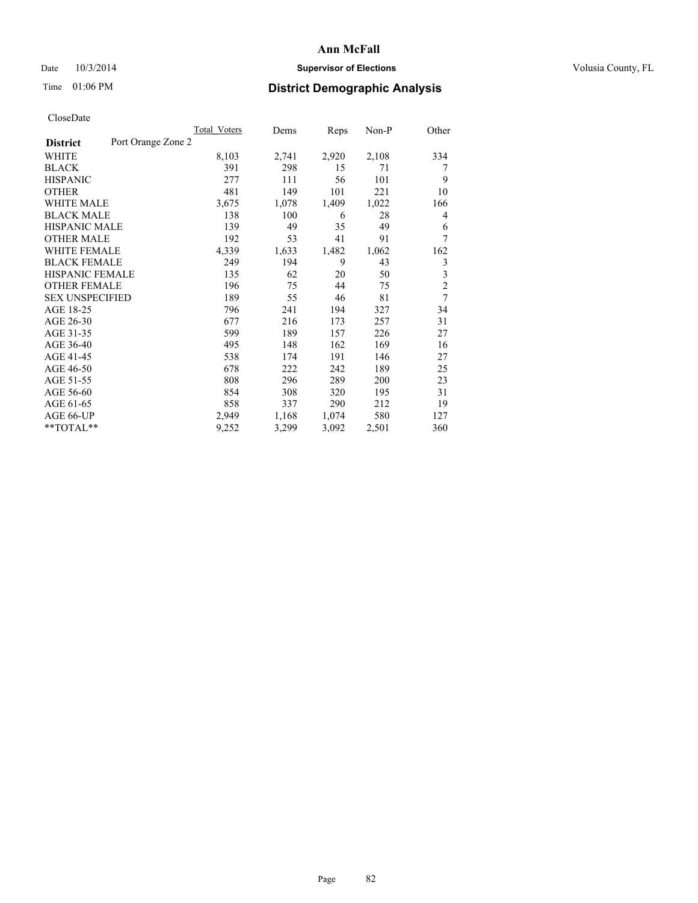## Date  $10/3/2014$  **Supervisor of Elections Supervisor of Elections** Volusia County, FL

## Time 01:06 PM **District Demographic Analysis**

| <b>Total Voters</b> | Dems               | Reps  | Non-P | Other          |
|---------------------|--------------------|-------|-------|----------------|
|                     |                    |       |       |                |
| 8,103               | 2,741              | 2,920 | 2,108 | 334            |
| 391                 | 298                | 15    | 71    | 7              |
| 277                 | 111                | 56    | 101   | 9              |
| 481                 | 149                | 101   | 221   | 10             |
| 3,675               | 1,078              | 1,409 | 1,022 | 166            |
| 138                 | 100                | 6     | 28    | 4              |
| 139                 | 49                 | 35    | 49    | 6              |
| 192                 | 53                 | 41    | 91    | 7              |
| 4,339               | 1,633              | 1,482 | 1,062 | 162            |
| 249                 | 194                | 9     | 43    | 3              |
| 135                 | 62                 | 20    | 50    | 3              |
| 196                 | 75                 | 44    | 75    | $\overline{c}$ |
| 189                 | 55                 | 46    | 81    | 7              |
| 796                 | 241                | 194   | 327   | 34             |
| 677                 | 216                | 173   | 257   | 31             |
| 599                 | 189                | 157   | 226   | 27             |
| 495                 | 148                | 162   | 169   | 16             |
| 538                 | 174                | 191   | 146   | 27             |
| 678                 | 222                | 242   | 189   | 25             |
| 808                 | 296                | 289   | 200   | 23             |
| 854                 | 308                | 320   | 195   | 31             |
| 858                 | 337                | 290   | 212   | 19             |
| 2,949               | 1,168              | 1,074 | 580   | 127            |
| 9,252               | 3,299              | 3,092 | 2,501 | 360            |
|                     | Port Orange Zone 2 |       |       |                |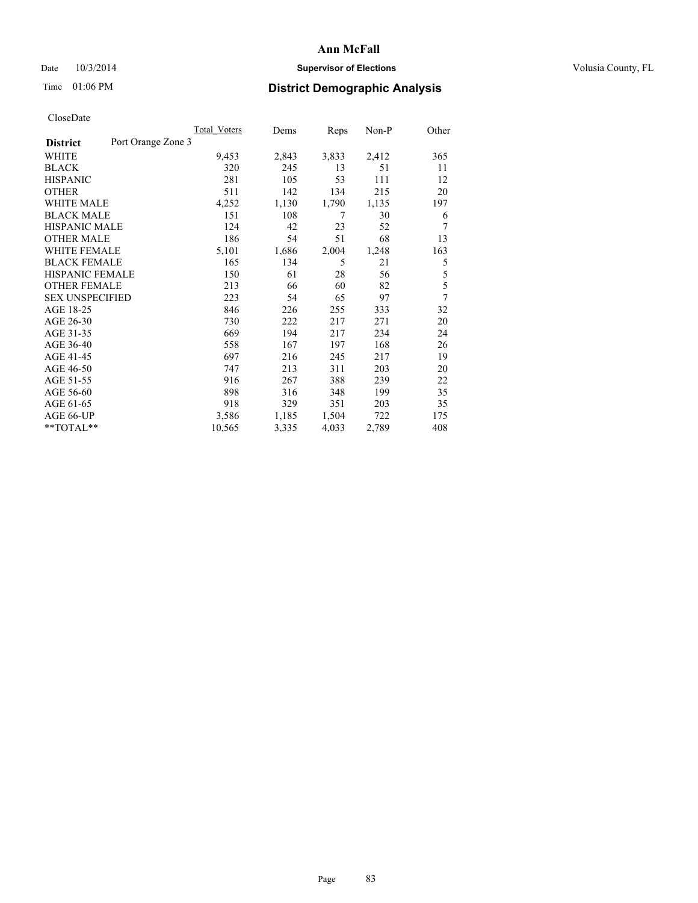## Date  $10/3/2014$  **Supervisor of Elections Supervisor of Elections** Volusia County, FL

# Time 01:06 PM **District Demographic Analysis**

|                        |                    | <b>Total Voters</b> | Dems  | Reps  | Non-P | Other |
|------------------------|--------------------|---------------------|-------|-------|-------|-------|
| <b>District</b>        | Port Orange Zone 3 |                     |       |       |       |       |
| WHITE                  |                    | 9,453               | 2,843 | 3,833 | 2,412 | 365   |
| <b>BLACK</b>           |                    | 320                 | 245   | 13    | 51    | 11    |
| <b>HISPANIC</b>        |                    | 281                 | 105   | 53    | 111   | 12    |
| <b>OTHER</b>           |                    | 511                 | 142   | 134   | 215   | 20    |
| WHITE MALE             |                    | 4,252               | 1,130 | 1,790 | 1,135 | 197   |
| <b>BLACK MALE</b>      |                    | 151                 | 108   | 7     | 30    | 6     |
| <b>HISPANIC MALE</b>   |                    | 124                 | 42    | 23    | 52    | 7     |
| <b>OTHER MALE</b>      |                    | 186                 | 54    | 51    | 68    | 13    |
| WHITE FEMALE           |                    | 5,101               | 1,686 | 2,004 | 1,248 | 163   |
| <b>BLACK FEMALE</b>    |                    | 165                 | 134   | 5     | 21    | 5     |
| HISPANIC FEMALE        |                    | 150                 | 61    | 28    | 56    | 5     |
| <b>OTHER FEMALE</b>    |                    | 213                 | 66    | 60    | 82    | 5     |
| <b>SEX UNSPECIFIED</b> |                    | 223                 | 54    | 65    | 97    | 7     |
| AGE 18-25              |                    | 846                 | 226   | 255   | 333   | 32    |
| AGE 26-30              |                    | 730                 | 222   | 217   | 271   | 20    |
| AGE 31-35              |                    | 669                 | 194   | 217   | 234   | 24    |
| AGE 36-40              |                    | 558                 | 167   | 197   | 168   | 26    |
| AGE 41-45              |                    | 697                 | 216   | 245   | 217   | 19    |
| AGE 46-50              |                    | 747                 | 213   | 311   | 203   | 20    |
| AGE 51-55              |                    | 916                 | 267   | 388   | 239   | 22    |
| AGE 56-60              |                    | 898                 | 316   | 348   | 199   | 35    |
| AGE 61-65              |                    | 918                 | 329   | 351   | 203   | 35    |
| AGE 66-UP              |                    | 3,586               | 1,185 | 1,504 | 722   | 175   |
| **TOTAL**              |                    | 10,565              | 3,335 | 4,033 | 2,789 | 408   |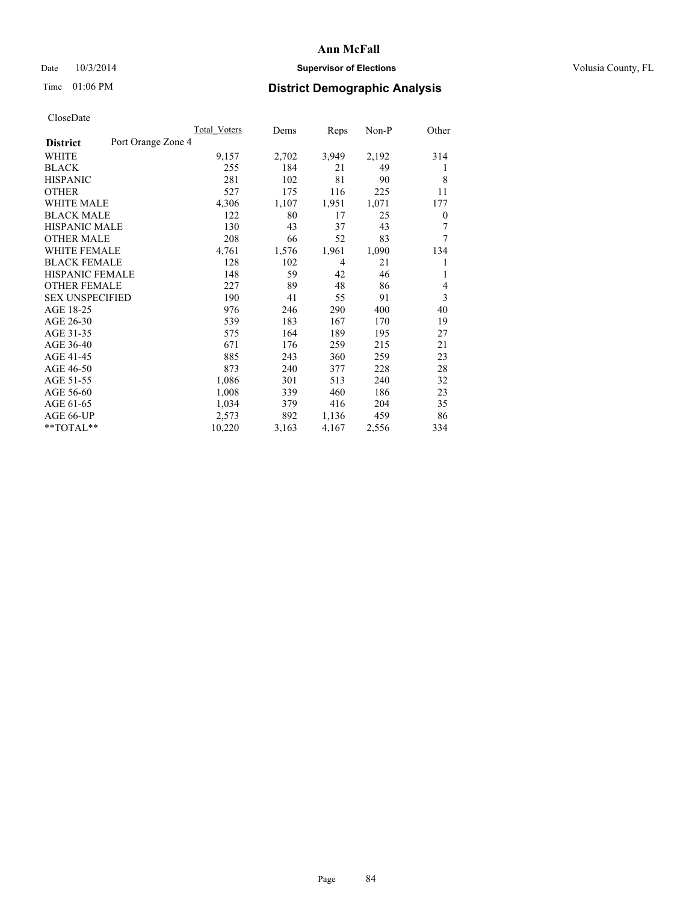## Date  $10/3/2014$  **Supervisor of Elections Supervisor of Elections** Volusia County, FL

## Time 01:06 PM **District Demographic Analysis**

|                        |                    | <b>Total Voters</b> | Dems  | Reps  | Non-P | Other |
|------------------------|--------------------|---------------------|-------|-------|-------|-------|
| <b>District</b>        | Port Orange Zone 4 |                     |       |       |       |       |
| WHITE                  |                    | 9,157               | 2,702 | 3,949 | 2,192 | 314   |
| <b>BLACK</b>           |                    | 255                 | 184   | 21    | 49    | 1     |
| <b>HISPANIC</b>        |                    | 281                 | 102   | 81    | 90    | 8     |
| <b>OTHER</b>           |                    | 527                 | 175   | 116   | 225   | 11    |
| WHITE MALE             |                    | 4,306               | 1,107 | 1,951 | 1,071 | 177   |
| <b>BLACK MALE</b>      |                    | 122                 | 80    | 17    | 25    | 0     |
| <b>HISPANIC MALE</b>   |                    | 130                 | 43    | 37    | 43    | 7     |
| <b>OTHER MALE</b>      |                    | 208                 | 66    | 52    | 83    | 7     |
| WHITE FEMALE           |                    | 4,761               | 1,576 | 1,961 | 1,090 | 134   |
| <b>BLACK FEMALE</b>    |                    | 128                 | 102   | 4     | 21    | 1     |
| HISPANIC FEMALE        |                    | 148                 | 59    | 42    | 46    | 1     |
| <b>OTHER FEMALE</b>    |                    | 227                 | 89    | 48    | 86    | 4     |
| <b>SEX UNSPECIFIED</b> |                    | 190                 | 41    | 55    | 91    | 3     |
| AGE 18-25              |                    | 976                 | 246   | 290   | 400   | 40    |
| AGE 26-30              |                    | 539                 | 183   | 167   | 170   | 19    |
| AGE 31-35              |                    | 575                 | 164   | 189   | 195   | 27    |
| AGE 36-40              |                    | 671                 | 176   | 259   | 215   | 21    |
| AGE 41-45              |                    | 885                 | 243   | 360   | 259   | 23    |
| AGE 46-50              |                    | 873                 | 240   | 377   | 228   | 28    |
| AGE 51-55              |                    | 1,086               | 301   | 513   | 240   | 32    |
| AGE 56-60              |                    | 1,008               | 339   | 460   | 186   | 23    |
| AGE 61-65              |                    | 1,034               | 379   | 416   | 204   | 35    |
| AGE 66-UP              |                    | 2,573               | 892   | 1,136 | 459   | 86    |
| **TOTAL**              |                    | 10,220              | 3,163 | 4,167 | 2,556 | 334   |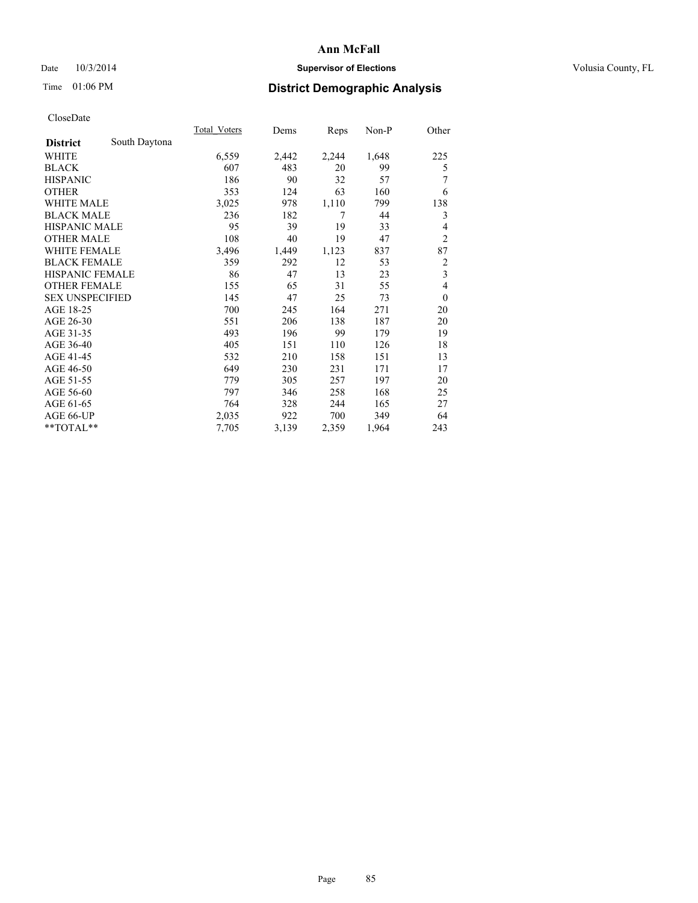## Date  $10/3/2014$  **Supervisor of Elections Supervisor of Elections** Volusia County, FL

# Time 01:06 PM **District Demographic Analysis**

|                        |               | <b>Total Voters</b> | Dems  | Reps  | Non-P | Other          |
|------------------------|---------------|---------------------|-------|-------|-------|----------------|
| <b>District</b>        | South Daytona |                     |       |       |       |                |
| WHITE                  |               | 6,559               | 2,442 | 2,244 | 1,648 | 225            |
| <b>BLACK</b>           |               | 607                 | 483   | 20    | 99    | 5              |
| <b>HISPANIC</b>        |               | 186                 | 90    | 32    | 57    | 7              |
| <b>OTHER</b>           |               | 353                 | 124   | 63    | 160   | 6              |
| WHITE MALE             |               | 3,025               | 978   | 1,110 | 799   | 138            |
| <b>BLACK MALE</b>      |               | 236                 | 182   | 7     | 44    | 3              |
| <b>HISPANIC MALE</b>   |               | 95                  | 39    | 19    | 33    | 4              |
| <b>OTHER MALE</b>      |               | 108                 | 40    | 19    | 47    | $\overline{2}$ |
| WHITE FEMALE           |               | 3,496               | 1,449 | 1,123 | 837   | 87             |
| <b>BLACK FEMALE</b>    |               | 359                 | 292   | 12    | 53    | 2              |
| <b>HISPANIC FEMALE</b> |               | 86                  | 47    | 13    | 23    | 3              |
| <b>OTHER FEMALE</b>    |               | 155                 | 65    | 31    | 55    | 4              |
| <b>SEX UNSPECIFIED</b> |               | 145                 | 47    | 25    | 73    | $\mathbf{0}$   |
| AGE 18-25              |               | 700                 | 245   | 164   | 271   | 20             |
| AGE 26-30              |               | 551                 | 206   | 138   | 187   | 20             |
| AGE 31-35              |               | 493                 | 196   | 99    | 179   | 19             |
| AGE 36-40              |               | 405                 | 151   | 110   | 126   | 18             |
| AGE 41-45              |               | 532                 | 210   | 158   | 151   | 13             |
| AGE 46-50              |               | 649                 | 230   | 231   | 171   | 17             |
| AGE 51-55              |               | 779                 | 305   | 257   | 197   | 20             |
| AGE 56-60              |               | 797                 | 346   | 258   | 168   | 25             |
| AGE 61-65              |               | 764                 | 328   | 244   | 165   | 27             |
| AGE 66-UP              |               | 2,035               | 922   | 700   | 349   | 64             |
| **TOTAL**              |               | 7,705               | 3,139 | 2,359 | 1,964 | 243            |